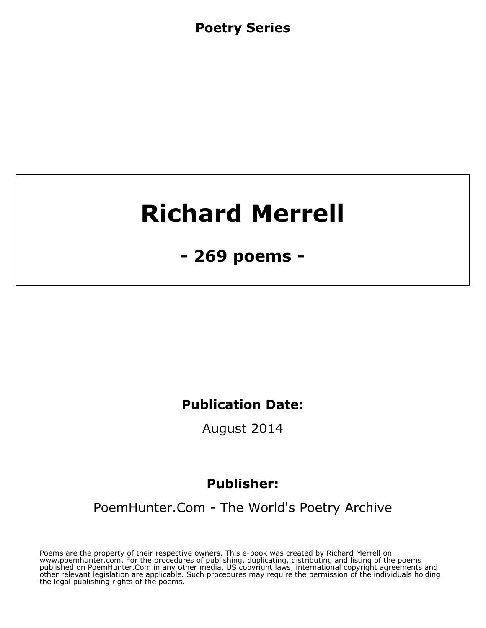**Poetry Series**

# **Richard Merrell**

**- 269 poems -**

**Publication Date:**

**August 2014**

# **Publisher:**

**[PoemHunter.Com - The World's Poetry Archive](http://www.PoemHunter.com)**

**Poems are the property of their respective owners. This e-book was created by Richard Merrell on www.poemhunter.com. For the procedures of publishing, duplicating, distributing and listing of the poems published on PoemHunter.Com in any other media, US copyright laws, international copyright agreements and other relevant legislation are applicable. Such procedures may require the permission of the individuals holding the legal publishing rights of the poems.**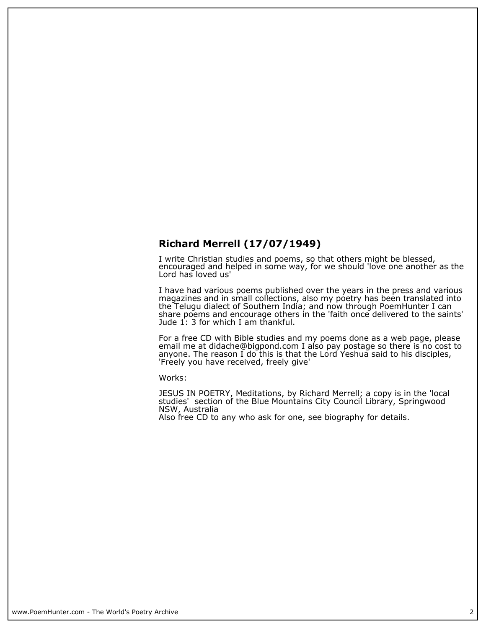#### **Richard Merrell (17/07/1949)**

**I write Christian studies and poems, so that others might be blessed, encouraged and helped in some way, for we should 'love one another as the Lord has loved us'**

**I have had various poems published over the years in the press and various magazines and in small collections, also my poetry has been translated into the Telugu dialect of Southern India; and now through PoemHunter I can share poems and encourage others in the 'faith once delivered to the saints' Jude 1: 3 for which I am thankful.**

**For a free CD with Bible studies and my poems done as a web page, please email me at didache@bigpond.com I also pay postage so there is no cost to anyone. The reason I do this is that the Lord Yeshua said to his disciples, 'Freely you have received, freely give'**

**Works:**

**JESUS IN POETRY, Meditations, by Richard Merrell; a copy is in the 'local studies' section of the Blue Mountains City Council Library, Springwood NSW, Australia**

**Also free CD to any who ask for one, see biography for details.**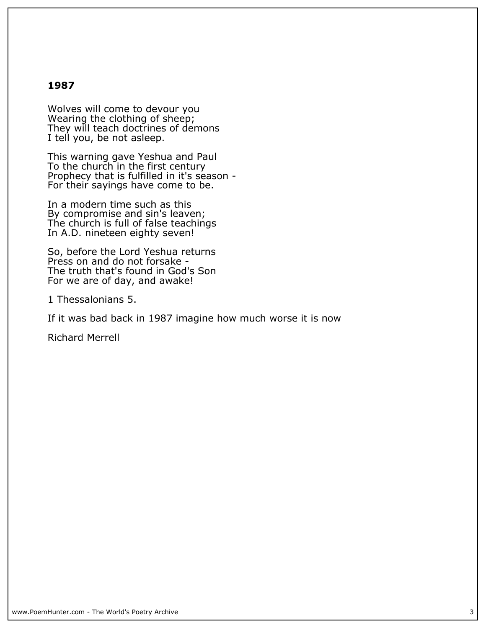#### **1987**

**Wolves will come to devour you Wearing the clothing of sheep; They will teach doctrines of demons I tell you, be not asleep.**

**This warning gave Yeshua and Paul To the church in the first century Prophecy that is fulfilled in it's season - For their sayings have come to be.**

**In a modern time such as this By compromise and sin's leaven; The church is full of false teachings In A.D. nineteen eighty seven!**

**So, before the Lord Yeshua returns Press on and do not forsake - The truth that's found in God's Son For we are of day, and awake!**

**1 Thessalonians 5.**

**If it was bad back in 1987 imagine how much worse it is now**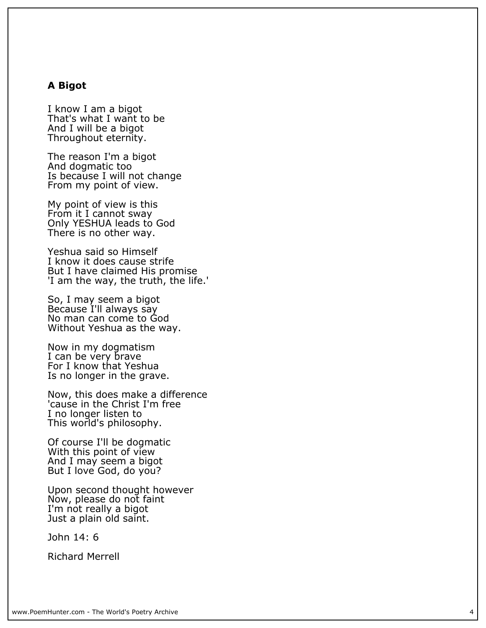#### **A Bigot**

**I know I am a bigot That's what I want to be And I will be a bigot Throughout eternity.**

**The reason I'm a bigot And dogmatic too Is because I will not change From my point of view.**

**My point of view is this From it I cannot sway Only YESHUA leads to God There is no other way.**

**Yeshua said so Himself I know it does cause strife But I have claimed His promise 'I am the way, the truth, the life.'**

**So, I may seem a bigot Because I'll always say No man can come to God Without Yeshua as the way.**

**Now in my dogmatism I can be very brave For I know that Yeshua Is no longer in the grave.**

**Now, this does make a difference 'cause in the Christ I'm free I no longer listen to This world's philosophy.**

**Of course I'll be dogmatic With this point of view And I may seem a bigot But I love God, do you?**

**Upon second thought however Now, please do not faint I'm not really a bigot Just a plain old saint.**

**John 14: 6**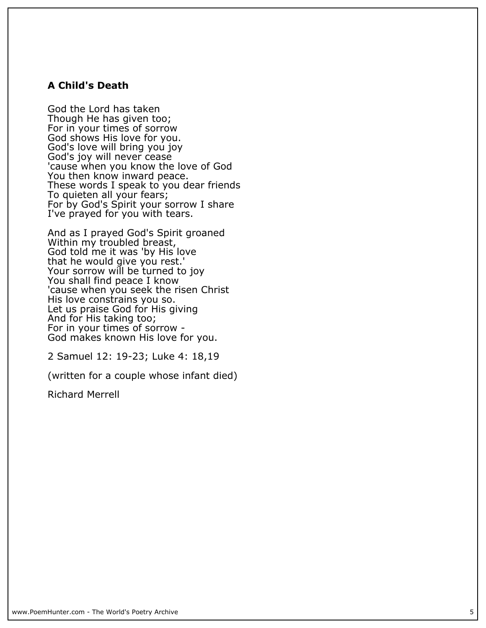#### **A Child's Death**

**God the Lord has taken Though He has given too; For in your times of sorrow God shows His love for you. God's love will bring you joy God's joy will never cease 'cause when you know the love of God You then know inward peace. These words I speak to you dear friends To quieten all your fears; For by God's Spirit your sorrow I share I've prayed for you with tears.**

**And as I prayed God's Spirit groaned Within my troubled breast, God told me it was 'by His love that he would give you rest.' Your sorrow will be turned to joy You shall find peace I know 'cause when you seek the risen Christ His love constrains you so. Let us praise God for His giving And for His taking too; For in your times of sorrow - God makes known His love for you.**

**2 Samuel 12: 19-23; Luke 4: 18,19**

**(written for a couple whose infant died)**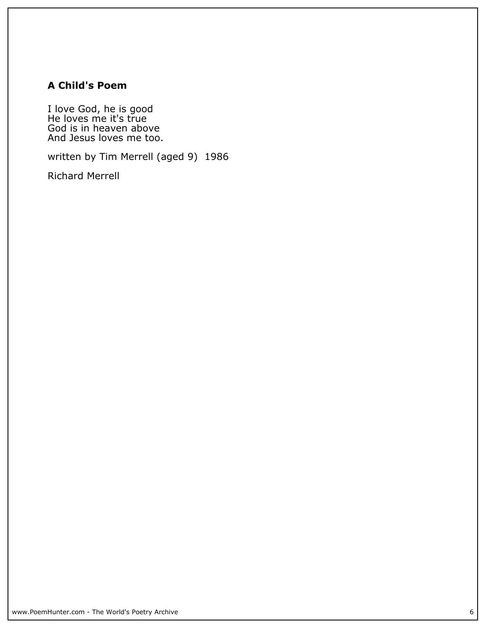## **A Child's Poem**

**I love God, he is good He loves me it's true God is in heaven above And Jesus loves me too.**

**written by Tim Merrell (aged 9) 1986**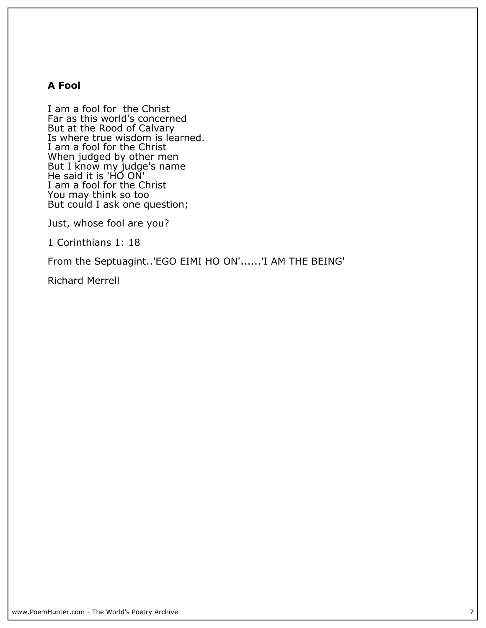#### **A Fool**

**I am a fool for the Christ Far as this world's concerned But at the Rood of Calvary Is where true wisdom is learned. I am a fool for the Christ When judged by other men But I know my judge's name He said it is 'HO ON' I am a fool for the Christ You may think so too But could I ask one question;**

**Just, whose fool are you?**

**1 Corinthians 1: 18**

**From the Septuagint..'EGO EIMI HO ON'......'I AM THE BEING'**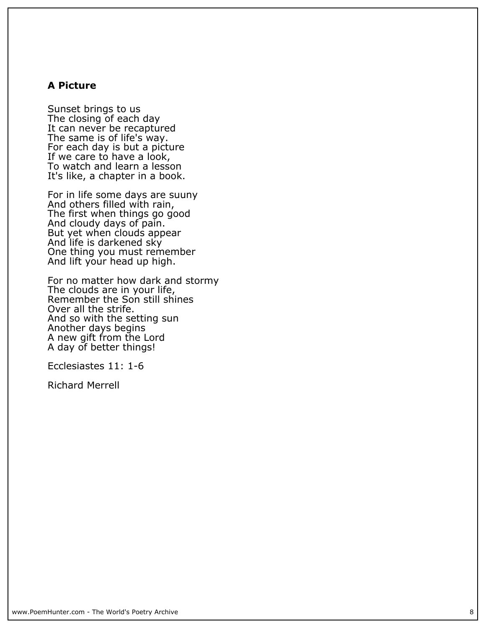#### **A Picture**

**Sunset brings to us The closing of each day It can never be recaptured The same is of life's way. For each day is but a picture If we care to have a look, To watch and learn a lesson It's like, a chapter in a book.**

**For in life some days are suuny And others filled with rain, The first when things go good And cloudy days of pain. But yet when clouds appear And life is darkened sky One thing you must remember And lift your head up high.**

**For no matter how dark and stormy The clouds are in your life, Remember the Son still shines Over all the strife. And so with the setting sun Another days begins A new gift from the Lord A day of better things!**

**Ecclesiastes 11: 1-6**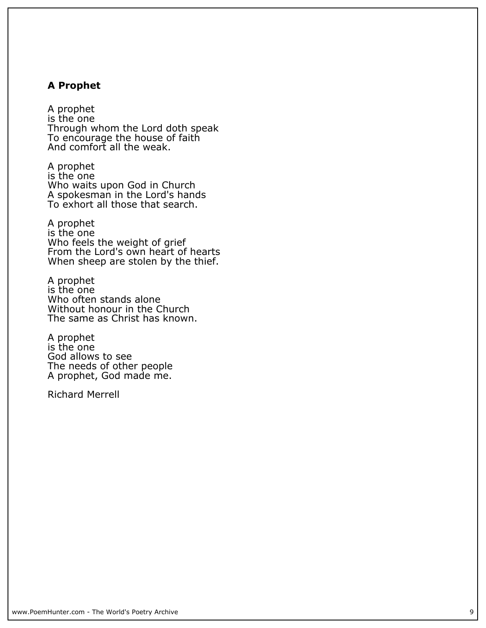#### **A Prophet**

**A prophet is the one Through whom the Lord doth speak To encourage the house of faith And comfort all the weak.**

**A prophet is the one Who waits upon God in Church A spokesman in the Lord's hands To exhort all those that search.**

**A prophet is the one Who feels the weight of grief From the Lord's own heart of hearts When sheep are stolen by the thief.**

**A prophet is the one Who often stands alone Without honour in the Church The same as Christ has known.**

**A prophet is the one God allows to see The needs of other people A prophet, God made me.**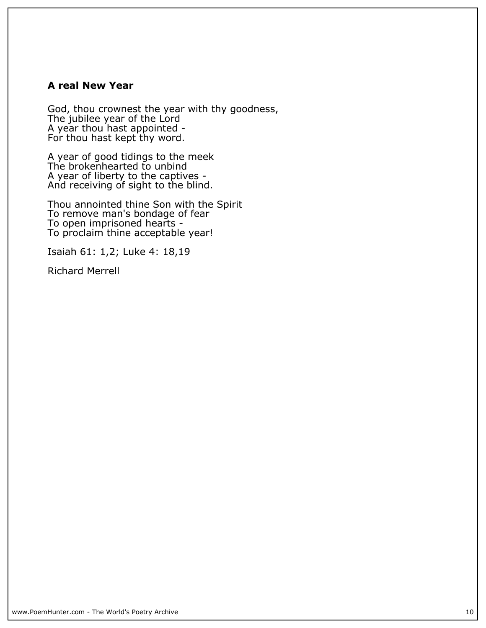#### **A real New Year**

**God, thou crownest the year with thy goodness, The jubilee year of the Lord A year thou hast appointed - For thou hast kept thy word.**

**A year of good tidings to the meek The brokenhearted to unbind A year of liberty to the captives - And receiving of sight to the blind.**

**Thou annointed thine Son with the Spirit To remove man's bondage of fear To open imprisoned hearts - To proclaim thine acceptable year!**

**Isaiah 61: 1,2; Luke 4: 18,19**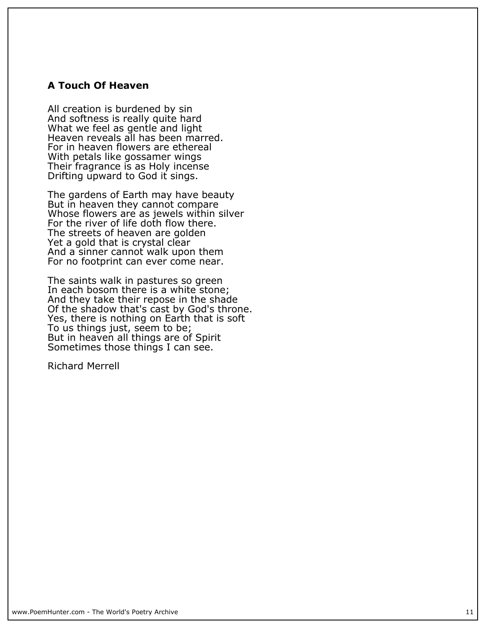#### **A Touch Of Heaven**

**All creation is burdened by sin And softness is really quite hard What we feel as gentle and light Heaven reveals all has been marred. For in heaven flowers are ethereal With petals like gossamer wings Their fragrance is as Holy incense Drifting upward to God it sings.**

**The gardens of Earth may have beauty But in heaven they cannot compare Whose flowers are as jewels within silver For the river of life doth flow there. The streets of heaven are golden Yet a gold that is crystal clear And a sinner cannot walk upon them For no footprint can ever come near.**

**The saints walk in pastures so green In each bosom there is a white stone; And they take their repose in the shade Of the shadow that's cast by God's throne. Yes, there is nothing on Earth that is soft** To us things just, seem to be; **But in heaven all things are of Spirit Sometimes those things I can see.**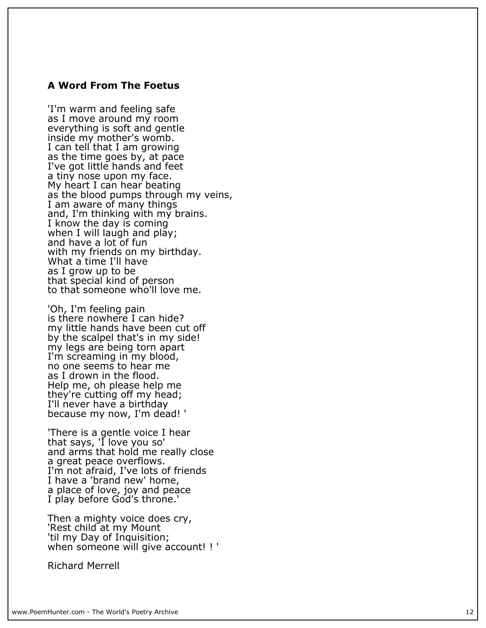#### **A Word From The Foetus**

**'I'm warm and feeling safe as I move around my room everything is soft and gentle inside my mother's womb. I can tell that I am growing as the time goes by, at pace I've got little hands and feet a tiny nose upon my face. My heart I can hear beating as the blood pumps through my veins, I am aware of many things and, I'm thinking with my brains. I know the day is coming when I will laugh and play; and have a lot of fun with my friends on my birthday. What a time I'll have as I grow up to be that special kind of person to that someone who'll love me.**

**'Oh, I'm feeling pain is there nowhere I can hide? my little hands have been cut off by the scalpel that's in my side! my legs are being torn apart I'm screaming in my blood, no one seems to hear me as I drown in the flood. Help me, oh please help me they're cutting off my head; I'll never have a birthday because my now, I'm dead! '**

**'There is a gentle voice I hear that says, 'I love you so' and arms that hold me really close a great peace overflows. I'm not afraid, I've lots of friends I have a 'brand new' home, a place of love, joy and peace I play before God's throne.'**

**Then a mighty voice does cry, 'Rest child at my Mount 'til my Day of Inquisition; when someone will give account! ! '**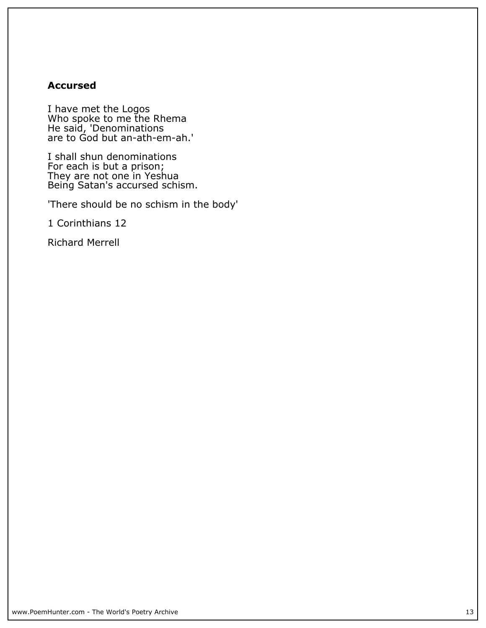#### **Accursed**

**I have met the Logos Who spoke to me the Rhema He said, 'Denominations are to God but an-ath-em-ah.'**

**I shall shun denominations For each is but a prison; They are not one in Yeshua Being Satan's accursed schism.**

**'There should be no schism in the body'**

**1 Corinthians 12**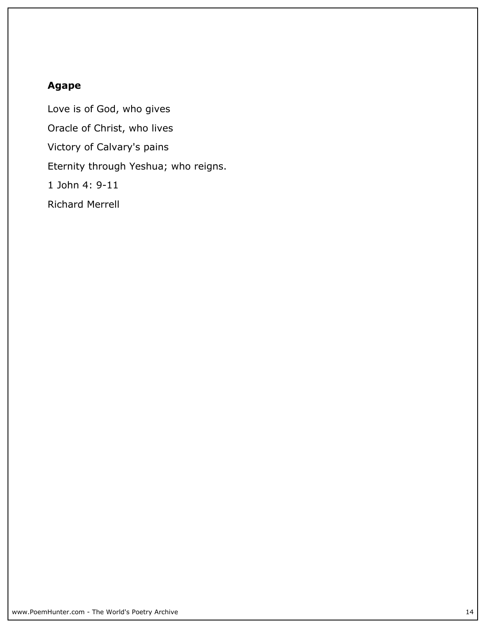### **Agape**

**Love is of God, who gives Oracle of Christ, who lives Victory of Calvary's pains Eternity through Yeshua; who reigns. 1 John 4: 9-11 Richard Merrell**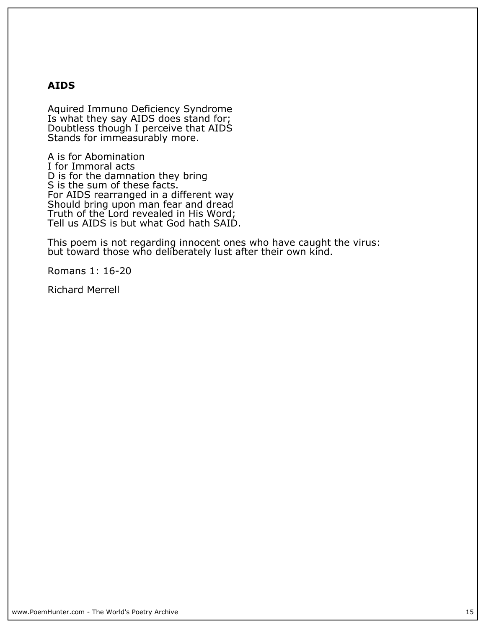#### **AIDS**

**Aquired Immuno Deficiency Syndrome Is what they say AIDS does stand for; Doubtless though I perceive that AIDS Stands for immeasurably more.**

**A is for Abomination I for Immoral acts D is for the damnation they bring S is the sum of these facts. For AIDS rearranged in a different way Should bring upon man fear and dread Truth of the Lord revealed in His Word; Tell us AIDS is but what God hath SAID.**

**This poem is not regarding innocent ones who have caught the virus: but toward those who deliberately lust after their own kind.**

**Romans 1: 16-20**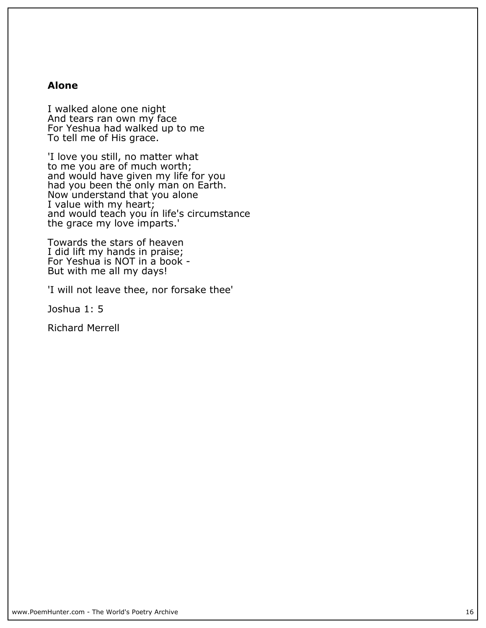#### **Alone**

**I walked alone one night And tears ran own my face For Yeshua had walked up to me To tell me of His grace.**

**'I love you still, no matter what to me you are of much worth; and would have given my life for you had you been the only man on Earth. Now understand that you alone I value with my heart; and would teach you in life's circumstance** the grace my love imparts.'

**Towards the stars of heaven I did lift my hands in praise; For Yeshua is NOT in a book - But with me all my days!**

**'I will not leave thee, nor forsake thee'**

**Joshua 1: 5**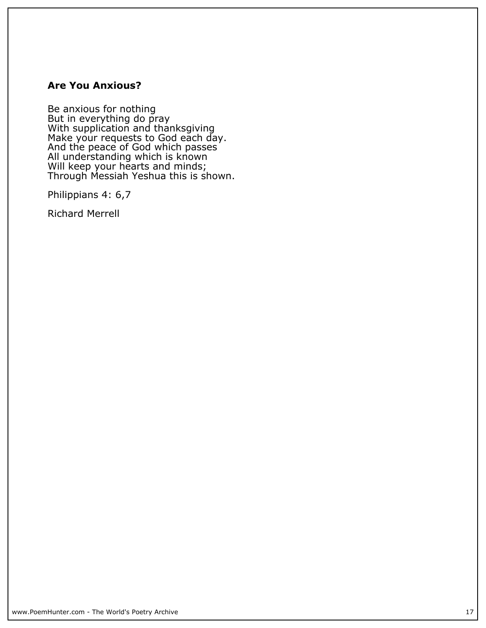#### **Are You Anxious?**

**Be anxious for nothing But in everything do pray With supplication and thanksgiving Make your requests to God each day. And the peace of God which passes All understanding which is known Will keep your hearts and minds; Through Messiah Yeshua this is shown.**

**Philippians 4: 6,7**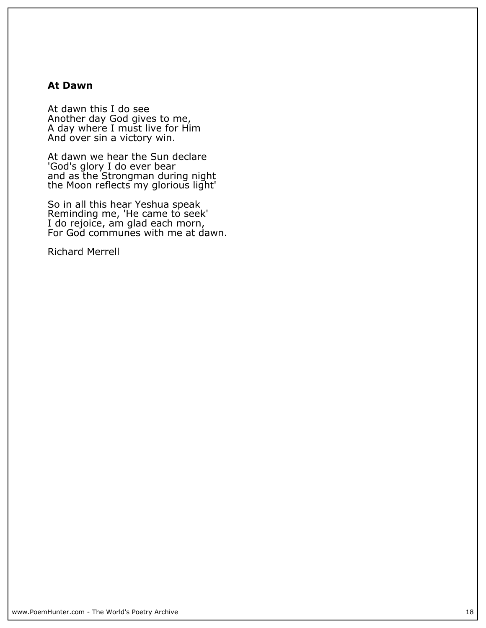#### **At Dawn**

**At dawn this I do see Another day God gives to me, A day where I must live for Him And over sin a victory win.**

**At dawn we hear the Sun declare 'God's glory I do ever bear and as the Strongman during night the Moon reflects my glorious light'**

**So in all this hear Yeshua speak Reminding me, 'He came to seek' I do rejoice, am glad each morn, For God communes with me at dawn.**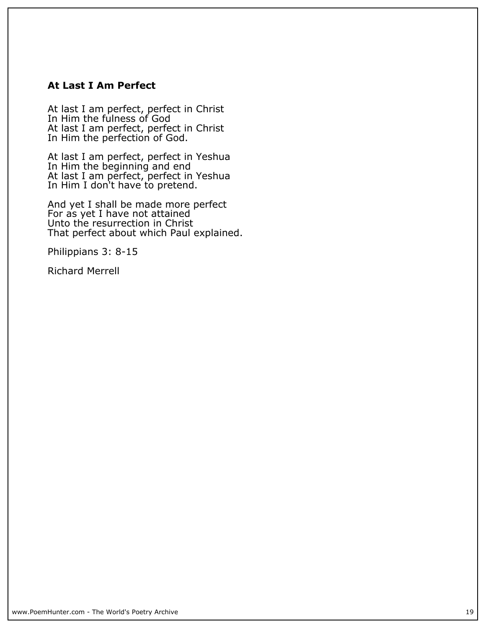#### **At Last I Am Perfect**

**At last I am perfect, perfect in Christ In Him the fulness of God At last I am perfect, perfect in Christ In Him the perfection of God.**

**At last I am perfect, perfect in Yeshua In Him the beginning and end At last I am perfect, perfect in Yeshua In Him I don't have to pretend.**

**And yet I shall be made more perfect For as yet I have not attained Unto the resurrection in Christ That perfect about which Paul explained.**

**Philippians 3: 8-15**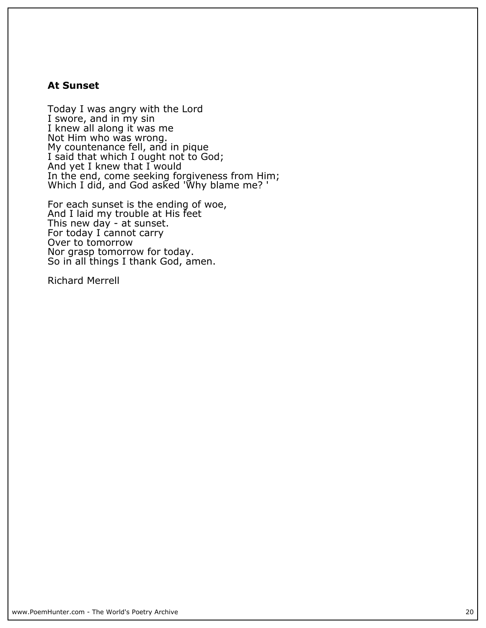#### **At Sunset**

**Today I was angry with the Lord I swore, and in my sin I knew all along it was me Not Him who was wrong. My countenance fell, and in pique I said that which I ought not to God; And yet I knew that I would In the end, come seeking forgiveness from Him; Which I did, and God asked 'Why blame me? '**

**For each sunset is the ending of woe, And I laid my trouble at His feet This new day - at sunset. For today I cannot carry Over to tomorrow Nor grasp tomorrow for today. So in all things I thank God, amen.**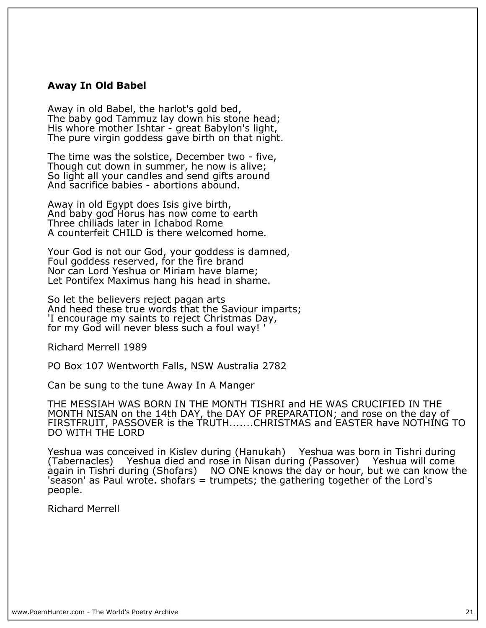#### **Away In Old Babel**

**Away in old Babel, the harlot's gold bed, The baby god Tammuz lay down his stone head; His whore mother Ishtar - great Babylon's light, The pure virgin goddess gave birth on that night.**

**The time was the solstice, December two - five, Though cut down in summer, he now is alive; So light all your candles and send gifts around And sacrifice babies - abortions abound.**

**Away in old Egypt does Isis give birth, And baby god Horus has now come to earth Three chiliads later in Ichabod Rome A counterfeit CHILD is there welcomed home.**

**Your God is not our God, your goddess is damned, Foul goddess reserved, for the fire brand Nor can Lord Yeshua or Miriam have blame; Let Pontifex Maximus hang his head in shame.**

**So let the believers reject pagan arts And heed these true words that the Saviour imparts; 'I encourage my saints to reject Christmas Day, for my God will never bless such a foul way! '**

**Richard Merrell 1989**

**PO Box 107 Wentworth Falls, NSW Australia 2782**

**Can be sung to the tune Away In A Manger**

**THE MESSIAH WAS BORN IN THE MONTH TISHRI and HE WAS CRUCIFIED IN THE MONTH NISAN on the 14th DAY, the DAY OF PREPARATION; and rose on the day of FIRSTFRUIT, PASSOVER is the TRUTH.......CHRISTMAS and EASTER have NOTHING TO DO WITH THE LORD**

**Yeshua was conceived in Kislev during (Hanukah) Yeshua was born in Tishri during (Tabernacles) Yeshua died and rose in Nisan during (Passover) Yeshua will come again in Tishri during (Shofars) NO ONE knows the day or hour, but we can know the 'season' as Paul wrote. shofars = trumpets; the gathering together of the Lord's people.**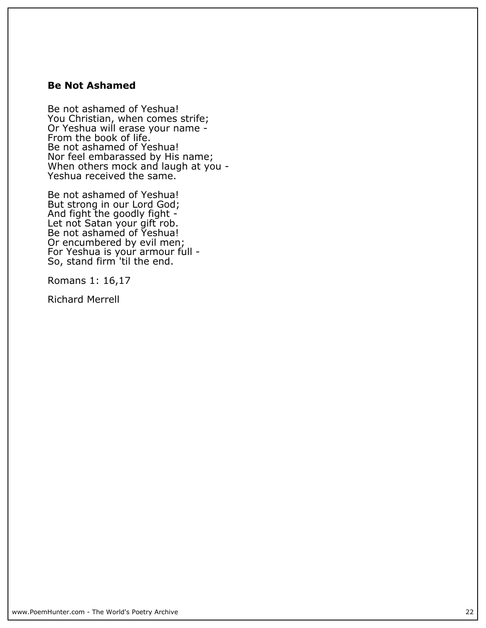#### **Be Not Ashamed**

**Be not ashamed of Yeshua! You Christian, when comes strife; Or Yeshua will erase your name - From the book of life. Be not ashamed of Yeshua! Nor feel embarassed by His name; When others mock and laugh at you - Yeshua received the same.**

**Be not ashamed of Yeshua! But strong in our Lord God; And fight the goodly fight - Let not Satan your gift rob. Be not ashamed of Yeshua! Or encumbered by evil men; For Yeshua is your armour full - So, stand firm 'til the end.**

**Romans 1: 16,17**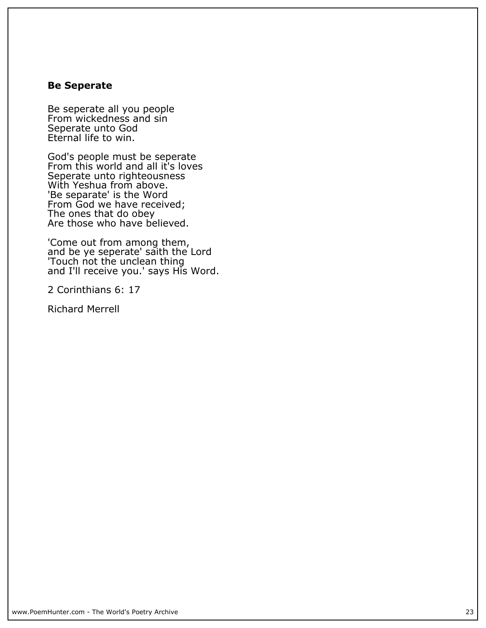#### **Be Seperate**

**Be seperate all you people From wickedness and sin Seperate unto God Eternal life to win.**

**God's people must be seperate From this world and all it's loves Seperate unto righteousness With Yeshua from above. 'Be separate' is the Word From God we have received; The ones that do obey Are those who have believed.**

**'Come out from among them, and be ye seperate' saith the Lord 'Touch not the unclean thing and I'll receive you.' says His Word.**

**2 Corinthians 6: 17**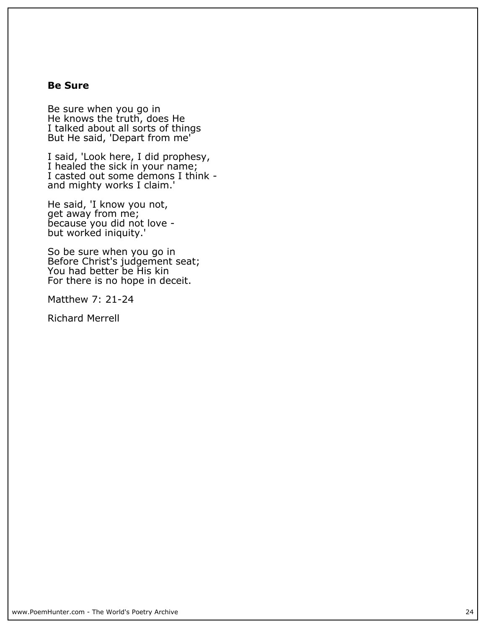#### **Be Sure**

**Be sure when you go in He knows the truth, does He I talked about all sorts of things But He said, 'Depart from me'**

**I said, 'Look here, I did prophesy, I healed the sick in your name; I casted out some demons I think and mighty works I claim.'**

**He said, 'I know you not, get away from me; because you did not love but worked iniquity.'**

**So be sure when you go in Before Christ's judgement seat; You had better be His kin For there is no hope in deceit.**

**Matthew 7: 21-24**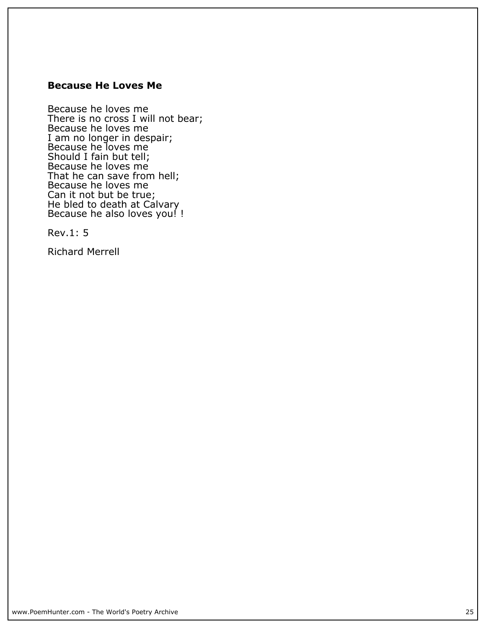#### **Because He Loves Me**

**Because he loves me There is no cross I will not bear; Because he loves me I am no longer in despair; Because he loves me Should I fain but tell; Because he loves me That he can save from hell; Because he loves me Can it not but be true; He bled to death at Calvary Because he also loves you! !**

**Rev.1: 5**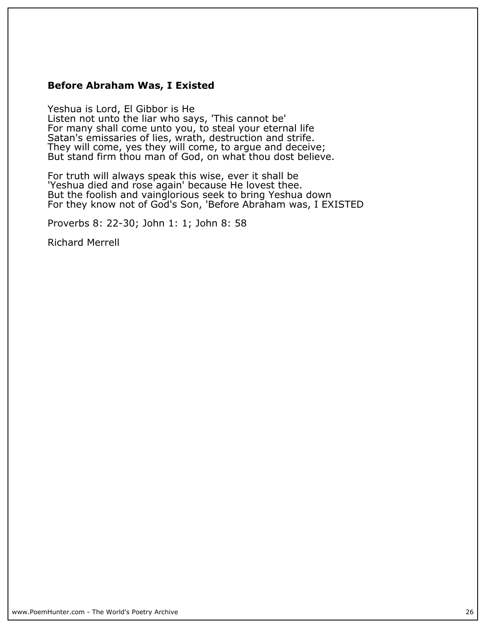#### **Before Abraham Was, I Existed**

**Yeshua is Lord, El Gibbor is He Listen not unto the liar who says, 'This cannot be' For many shall come unto you, to steal your eternal life Satan's emissaries of lies, wrath, destruction and strife. They will come, yes they will come, to argue and deceive; But stand firm thou man of God, on what thou dost believe.**

**For truth will always speak this wise, ever it shall be 'Yeshua died and rose again' because He lovest thee. But the foolish and vainglorious seek to bring Yeshua down For they know not of God's Son, 'Before Abraham was, I EXISTED**

**Proverbs 8: 22-30; John 1: 1; John 8: 58**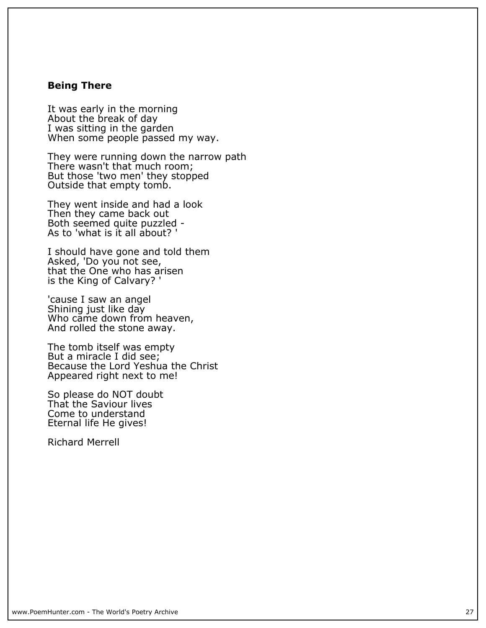#### **Being There**

**It was early in the morning About the break of day I was sitting in the garden When some people passed my way.**

**They were running down the narrow path There wasn't that much room;** But those 'two men' they stopped **Outside that empty tomb.**

**They went inside and had a look Then they came back out Both seemed quite puzzled - As to 'what is it all about? '**

**I should have gone and told them Asked, 'Do you not see, that the One who has arisen is the King of Calvary? '**

**'cause I saw an angel Shining just like day** Who came down from heaven, **And rolled the stone away.**

**The tomb itself was empty But a miracle I did see; Because the Lord Yeshua the Christ Appeared right next to me!**

**So please do NOT doubt That the Saviour lives Come to understand Eternal life He gives!**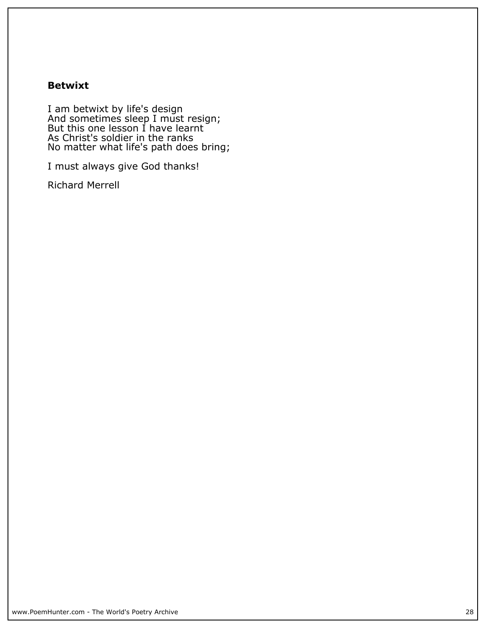#### **Betwixt**

**I am betwixt by life's design And sometimes sleep I must resign; But this one lesson I have learnt As Christ's soldier in the ranks No matter what life's path does bring;**

**I must always give God thanks!**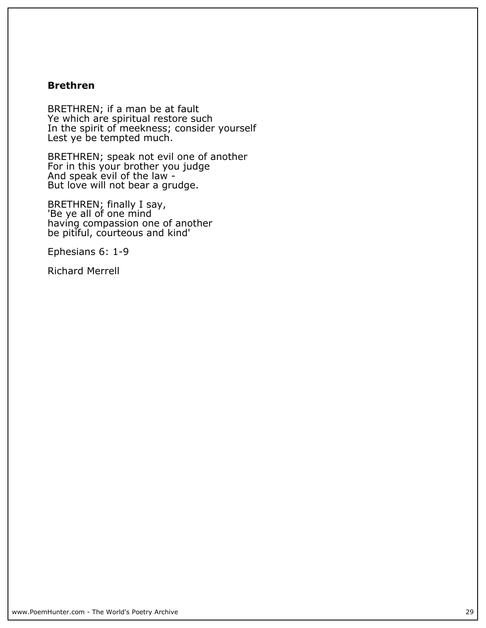#### **Brethren**

**BRETHREN; if a man be at fault Ye which are spiritual restore such In the spirit of meekness; consider yourself Lest ye be tempted much.**

**BRETHREN; speak not evil one of another For in this your brother you judge And speak evil of the law - But love will not bear a grudge.**

**BRETHREN; finally I say, 'Be ye all of one mind having compassion one of another be pitiful, courteous and kind'**

**Ephesians 6: 1-9**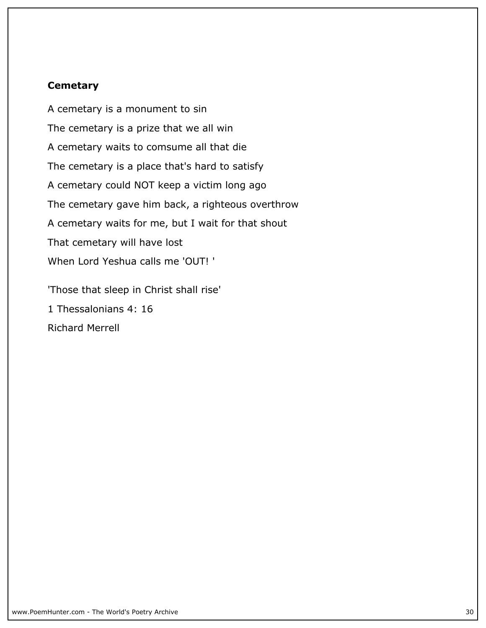#### **Cemetary**

**A cemetary is a monument to sin The cemetary is a prize that we all win A cemetary waits to comsume all that die The cemetary is a place that's hard to satisfy A cemetary could NOT keep a victim long ago The cemetary gave him back, a righteous overthrow A cemetary waits for me, but I wait for that shout That cemetary will have lost When Lord Yeshua calls me 'OUT! '**

**'Those that sleep in Christ shall rise' 1 Thessalonians 4: 16 Richard Merrell**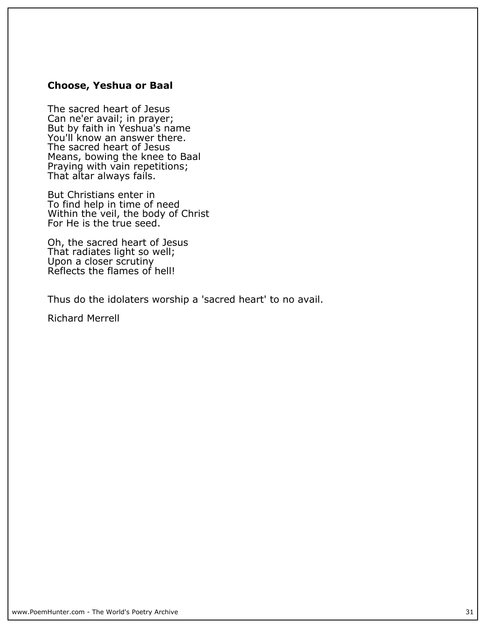#### **Choose, Yeshua or Baal**

**The sacred heart of Jesus Can ne'er avail; in prayer; But by faith in Yeshua's name You'll know an answer there. The sacred heart of Jesus Means, bowing the knee to Baal Praying with vain repetitions; That altar always fails.**

**But Christians enter in To find help in time of need Within the veil, the body of Christ For He is the true seed.**

**Oh, the sacred heart of Jesus That radiates light so well; Upon a closer scrutiny Reflects the flames of hell!**

**Thus do the idolaters worship a 'sacred heart' to no avail.**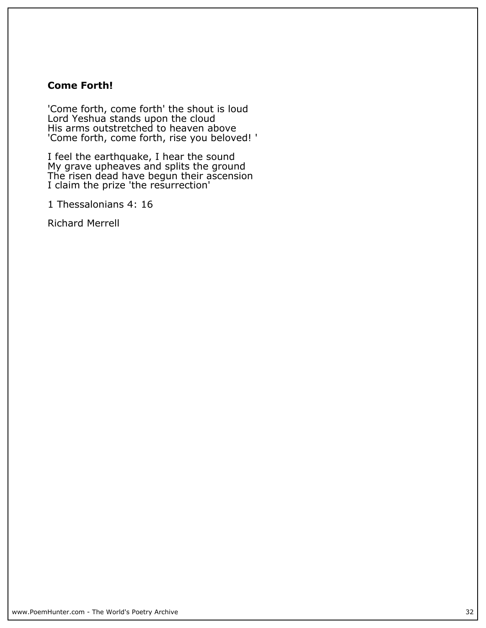#### **Come Forth!**

**'Come forth, come forth' the shout is loud Lord Yeshua stands upon the cloud His arms outstretched to heaven above 'Come forth, come forth, rise you beloved! '**

**I feel the earthquake, I hear the sound My grave upheaves and splits the ground The risen dead have begun their ascension I claim the prize 'the resurrection'**

**1 Thessalonians 4: 16**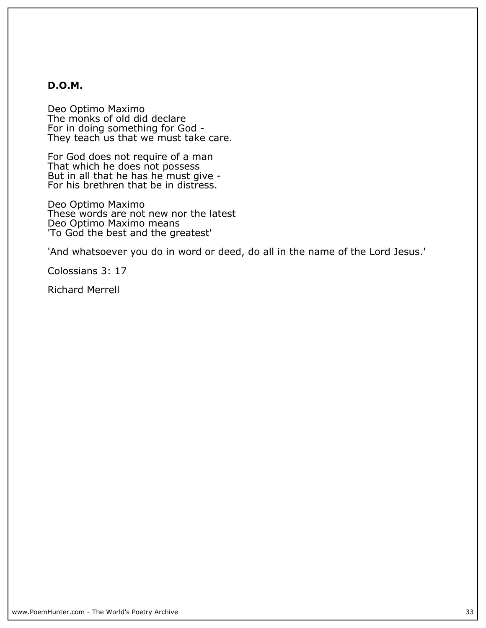#### **D.O.M.**

**Deo Optimo Maximo The monks of old did declare For in doing something for God - They teach us that we must take care.**

**For God does not require of a man That which he does not possess But in all that he has he must give - For his brethren that be in distress.**

**Deo Optimo Maximo These words are not new nor the latest Deo Optimo Maximo means 'To God the best and the greatest'**

**'And whatsoever you do in word or deed, do all in the name of the Lord Jesus.'**

**Colossians 3: 17**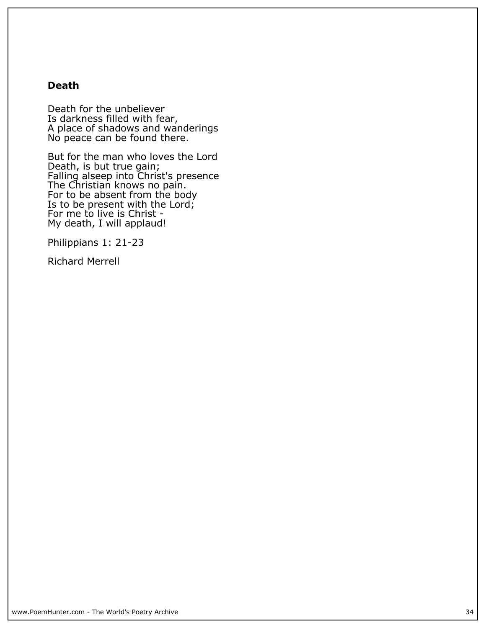#### **Death**

**Death for the unbeliever Is darkness filled with fear, A place of shadows and wanderings No peace can be found there.**

**But for the man who loves the Lord Death, is but true gain; Falling alseep into Christ's presence The Christian knows no pain. For to be absent from the body Is to be present with the Lord; For me to live is Christ - My death, I will applaud!**

**Philippians 1: 21-23**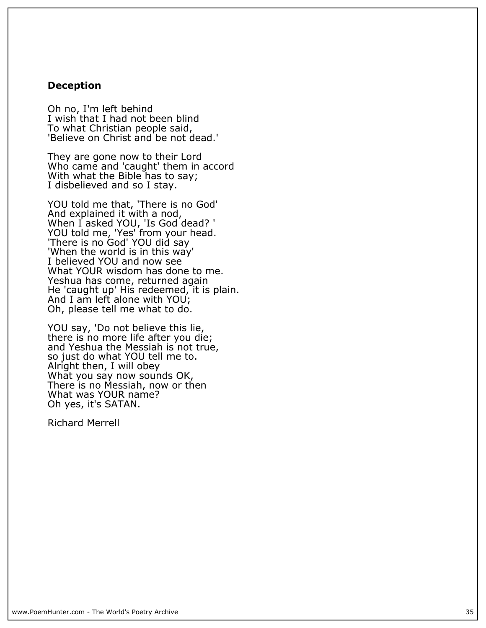#### **Deception**

**Oh no, I'm left behind I wish that I had not been blind To what Christian people said, 'Believe on Christ and be not dead.'**

**They are gone now to their Lord Who came and 'caught' them in accord With what the Bible has to say; I disbelieved and so I stay.**

**YOU told me that, 'There is no God' And explained it with a nod, When I asked YOU, 'Is God dead? ' YOU told me, 'Yes' from your head. 'There is no God' YOU did say 'When the world is in this way' I believed YOU and now see What YOUR wisdom has done to me. Yeshua has come, returned again He 'caught up' His redeemed, it is plain. And I am left alone with YOU; Oh, please tell me what to do.**

**YOU say, 'Do not believe this lie, there is no more life after you die; and Yeshua the Messiah is not true, so just do what YOU tell me to. Alright then, I will obey What you say now sounds OK, There is no Messiah, now or then What was YOUR name? Oh yes, it's SATAN.**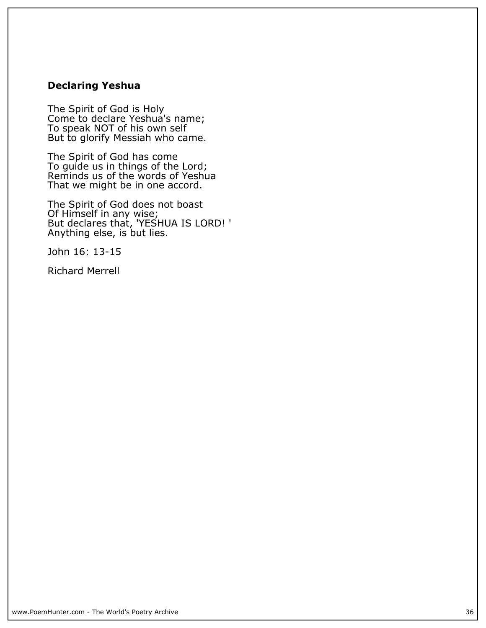#### **Declaring Yeshua**

**The Spirit of God is Holy Come to declare Yeshua's name; To speak NOT of his own self But to glorify Messiah who came.**

**The Spirit of God has come To guide us in things of the Lord; Reminds us of the words of Yeshua That we might be in one accord.**

**The Spirit of God does not boast Of Himself in any wise; But declares that, 'YESHUA IS LORD! ' Anything else, is but lies.**

**John 16: 13-15**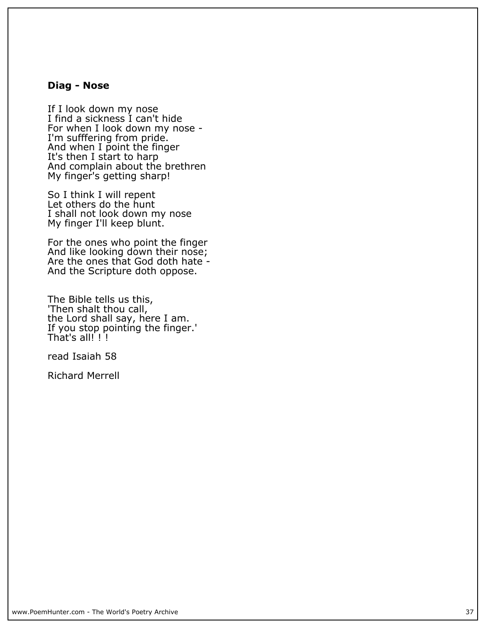#### **Diag - Nose**

**If I look down my nose I find a sickness I can't hide For when I look down my nose - I'm sufffering from pride. And when I point the finger It's then I start to harp And complain about the brethren My finger's getting sharp!**

**So I think I will repent Let others do the hunt I shall not look down my nose My finger I'll keep blunt.**

**For the ones who point the finger And like looking down their nose; Are the ones that God doth hate - And the Scripture doth oppose.**

**The Bible tells us this, 'Then shalt thou call, the Lord shall say, here I am. If you stop pointing the finger.' That's all! ! !**

**read Isaiah 58**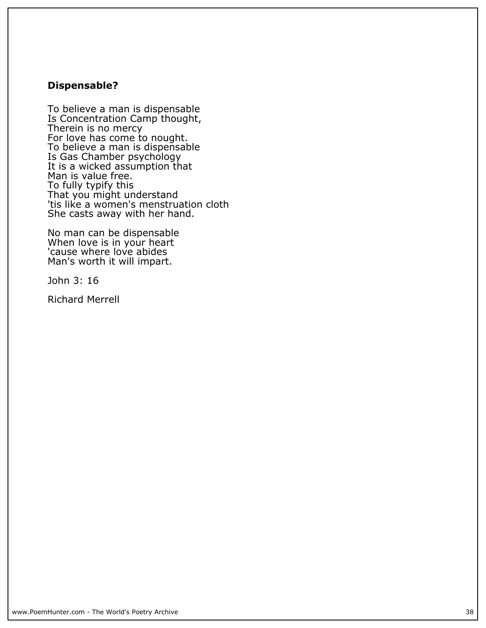# **Dispensable?**

**To believe a man is dispensable Is Concentration Camp thought, Therein is no mercy For love has come to nought. To believe a man is dispensable Is Gas Chamber psychology It is a wicked assumption that Man is value free. To fully typify this That you might understand 'tis like a women's menstruation cloth She casts away with her hand.**

**No man can be dispensable When love is in your heart 'cause where love abides Man's worth it will impart.**

**John 3: 16**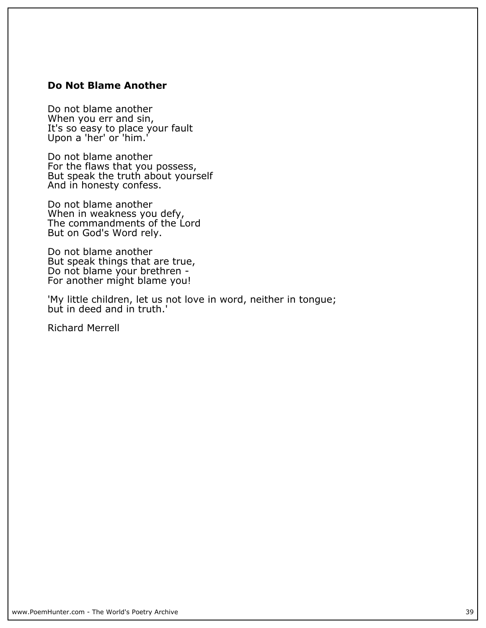## **Do Not Blame Another**

**Do not blame another When you err and sin, It's so easy to place your fault Upon a 'her' or 'him.'**

**Do not blame another For the flaws that you possess, But speak the truth about yourself And in honesty confess.**

**Do not blame another When in weakness you defy, The commandments of the Lord But on God's Word rely.**

**Do not blame another But speak things that are true, Do not blame your brethren - For another might blame you!**

**'My little children, let us not love in word, neither in tongue; but in deed and in truth.'**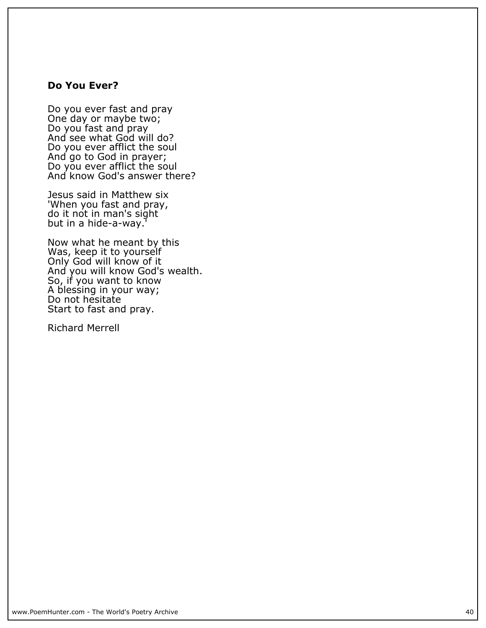#### **Do You Ever?**

**Do you ever fast and pray One day or maybe two; Do you fast and pray And see what God will do? Do you ever afflict the soul And go to God in prayer; Do you ever afflict the soul And know God's answer there?**

**Jesus said in Matthew six 'When you fast and pray, do it not in man's sight but in a hide-a-way.'**

**Now what he meant by this Was, keep it to yourself Only God will know of it And you will know God's wealth. So, if you want to know A blessing in your way; Do not hesitate Start to fast and pray.**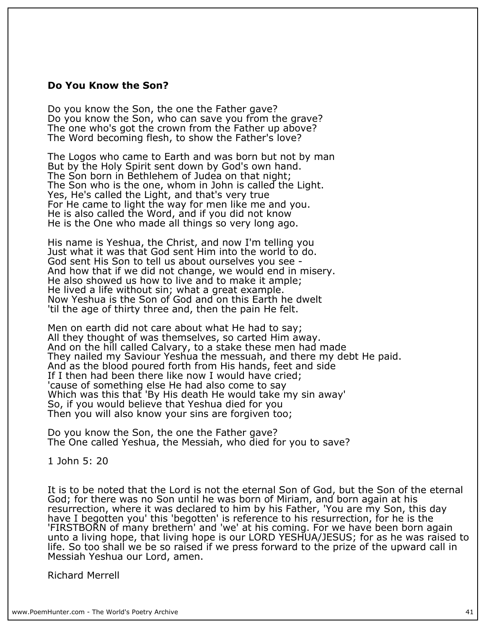#### **Do You Know the Son?**

**Do you know the Son, the one the Father gave? Do you know the Son, who can save you from the grave? The one who's got the crown from the Father up above? The Word becoming flesh, to show the Father's love?**

**The Logos who came to Earth and was born but not by man But by the Holy Spirit sent down by God's own hand. The Son born in Bethlehem of Judea on that night; The Son who is the one, whom in John is called the Light. Yes, He's called the Light, and that's very true For He came to light the way for men like me and you. He is also called the Word, and if you did not know He is the One who made all things so very long ago.**

**His name is Yeshua, the Christ, and now I'm telling you Just what it was that God sent Him into the world to do. God sent His Son to tell us about ourselves you see - And how that if we did not change, we would end in misery. He also showed us how to live and to make it ample; He lived a life without sin; what a great example. Now Yeshua is the Son of God and on this Earth he dwelt 'til the age of thirty three and, then the pain He felt.**

**Men on earth did not care about what He had to say; All they thought of was themselves, so carted Him away. And on the hill called Calvary, to a stake these men had made They nailed my Saviour Yeshua the messuah, and there my debt He paid. And as the blood poured forth from His hands, feet and side If I then had been there like now I would have cried; 'cause of something else He had also come to say Which was this that 'By His death He would take my sin away' So, if you would believe that Yeshua died for you Then you will also know your sins are forgiven too;**

**Do you know the Son, the one the Father gave? The One called Yeshua, the Messiah, who died for you to save?**

**1 John 5: 20**

**It is to be noted that the Lord is not the eternal Son of God, but the Son of the eternal God; for there was no Son until he was born of Miriam, and born again at his resurrection, where it was declared to him by his Father, 'You are my Son, this day have I begotten you' this 'begotten' is reference to his resurrection, for he is the 'FIRSTBORN of many brethern' and 'we' at his coming. For we have been born again unto a living hope, that living hope is our LORD YESHUA/JESUS; for as he was raised to life. So too shall we be so raised if we press forward to the prize of the upward call in Messiah Yeshua our Lord, amen.**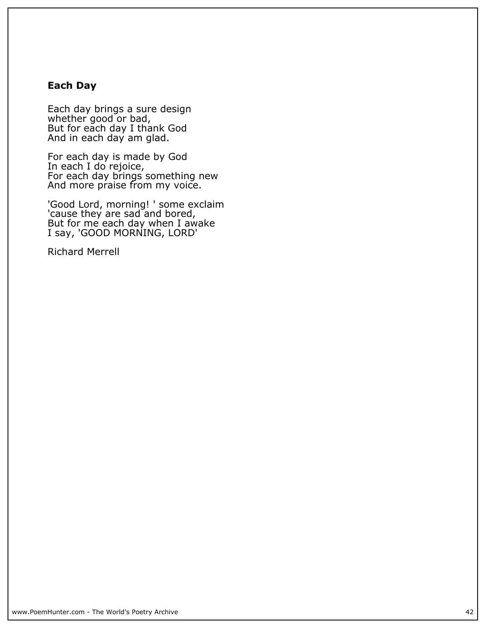## **Each Day**

**Each day brings a sure design whether good or bad, But for each day I thank God And in each day am glad.**

**For each day is made by God In each I do rejoice, For each day brings something new And more praise from my voice.**

**'Good Lord, morning! ' some exclaim 'cause they are sad and bored, But for me each day when I awake I say, 'GOOD MORNING, LORD'**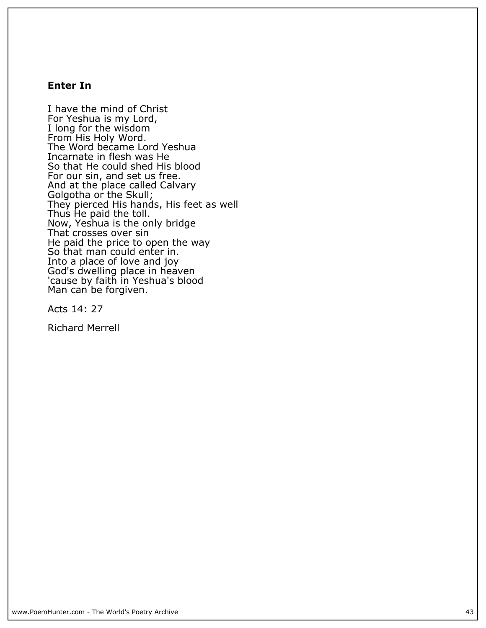## **Enter In**

**I have the mind of Christ For Yeshua is my Lord, I long for the wisdom From His Holy Word. The Word became Lord Yeshua Incarnate in flesh was He So that He could shed His blood For our sin, and set us free. And at the place called Calvary Golgotha or the Skull; They pierced His hands, His feet as well Thus He paid the toll. Now, Yeshua is the only bridge That crosses over sin He paid the price to open the way So that man could enter in. Into a place of love and joy God's dwelling place in heaven 'cause by faith in Yeshua's blood Man can be forgiven.**

**Acts 14: 27**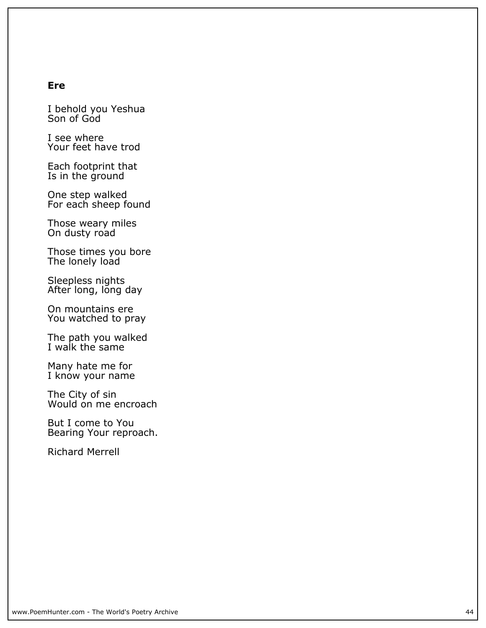#### **Ere**

**I behold you Yeshua Son of God**

**I see where Your feet have trod**

**Each footprint that Is in the ground**

**One step walked For each sheep found**

**Those weary miles On dusty road**

**Those times you bore The lonely load**

**Sleepless nights After long, long day**

**On mountains ere You watched to pray**

**The path you walked I walk the same**

**Many hate me for** I know your name

**The City of sin Would on me encroach**

**But I come to You Bearing Your reproach.**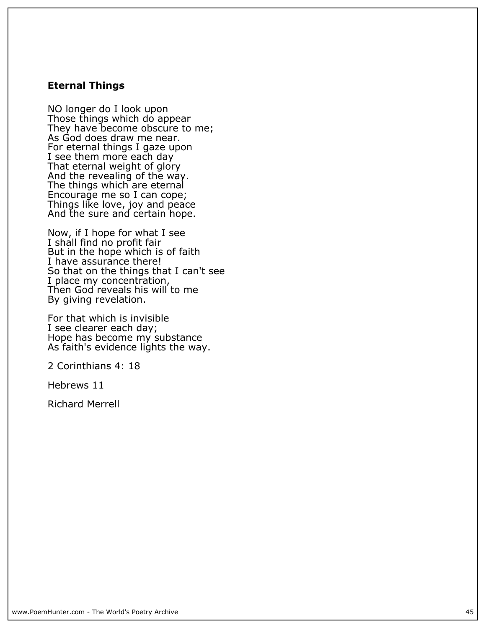#### **Eternal Things**

**NO longer do I look upon Those things which do appear They have become obscure to me; As God does draw me near. For eternal things I gaze upon I see them more each day That eternal weight of glory And the revealing of the way. The things which are eternal Encourage me so I can cope; Things like love, joy and peace And the sure and certain hope.**

**Now, if I hope for what I see I shall find no profit fair But in the hope which is of faith I have assurance there! So that on the things that I can't see I place my concentration, Then God reveals his will to me By giving revelation.**

**For that which is invisible I see clearer each day; Hope has become my substance As faith's evidence lights the way.**

**2 Corinthians 4: 18**

**Hebrews 11**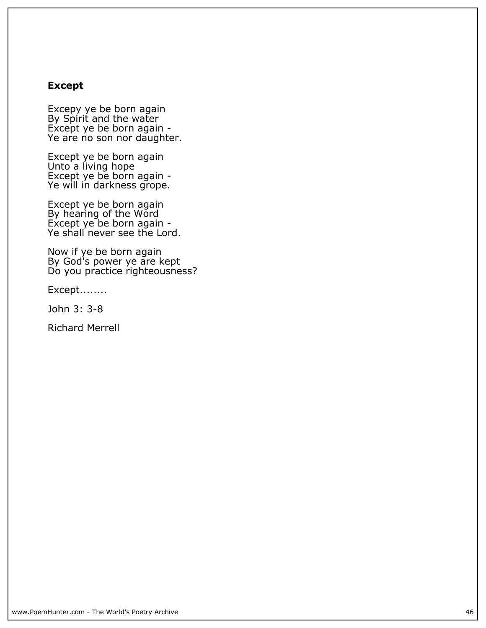## **Except**

**Excepy ye be born again By Spirit and the water Except ye be born again - Ye are no son nor daughter.**

**Except ye be born again Unto a living hope Except ye be born again - Ye will in darkness grope.**

**Except ye be born again By hearing of the Word Except ye be born again - Ye shall never see the Lord.**

**Now if ye be born again By God's power ye are kept Do you practice righteousness?**

**Except........**

**John 3: 3-8**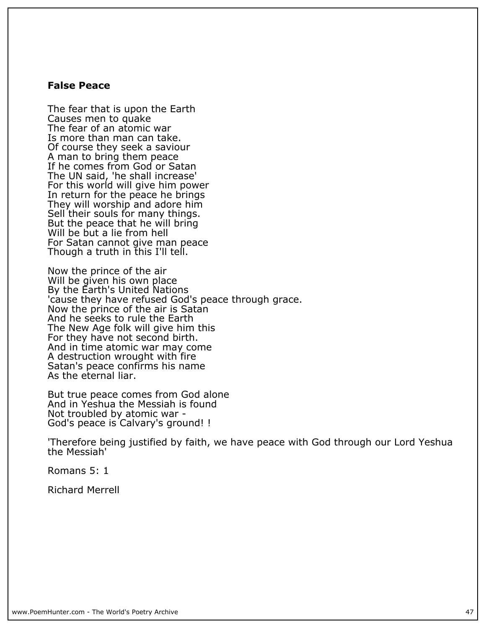#### **False Peace**

**The fear that is upon the Earth Causes men to quake The fear of an atomic war Is more than man can take. Of course they seek a saviour A man to bring them peace If he comes from God or Satan The UN said, 'he shall increase' For this world will give him power In return for the peace he brings They will worship and adore him Sell their souls for many things. But the peace that he will bring Will be but a lie from hell For Satan cannot give man peace Though a truth in this I'll tell.**

**Now the prince of the air Will be given his own place By the Earth's United Nations 'cause they have refused God's peace through grace. Now the prince of the air is Satan And he seeks to rule the Earth The New Age folk will give him this For they have not second birth. And in time atomic war may come A destruction wrought with fire Satan's peace confirms his name As the eternal liar.**

**But true peace comes from God alone And in Yeshua the Messiah is found Not troubled by atomic war - God's peace is Calvary's ground! !**

**'Therefore being justified by faith, we have peace with God through our Lord Yeshua the Messiah'**

**Romans 5: 1**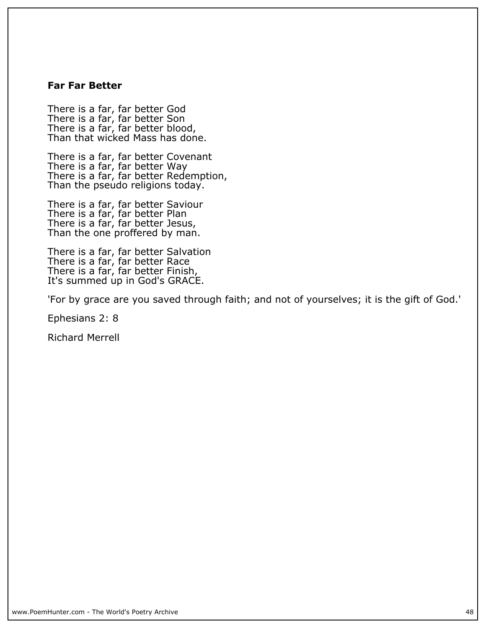#### **Far Far Better**

**There is a far, far better God There is a far, far better Son There is a far, far better blood, Than that wicked Mass has done.**

**There is a far, far better Covenant There is a far, far better Way There is a far, far better Redemption,** Than the pseudo religions today.

**There is a far, far better Saviour There is a far, far better Plan There is a far, far better Jesus, Than the one proffered by man.**

**There is a far, far better Salvation There is a far, far better Race There is a far, far better Finish, It's summed up in God's GRACE.**

**'For by grace are you saved through faith; and not of yourselves; it is the gift of God.'**

**Ephesians 2: 8**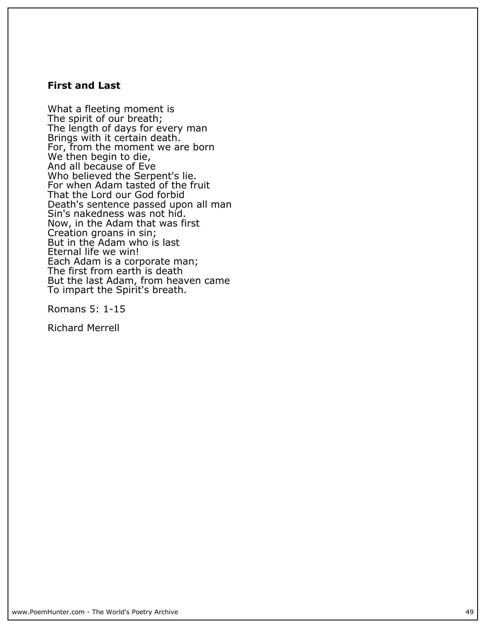#### **First and Last**

**What a fleeting moment is The spirit of our breath; The length of days for every man Brings with it certain death. For, from the moment we are born** We then begin to die, **And all because of Eve Who believed the Serpent's lie. For when Adam tasted of the fruit That the Lord our God forbid Death's sentence passed upon all man Sin's nakedness was not hid. Now, in the Adam that was first Creation groans in sin; But in the Adam who is last Eternal life we win! Each Adam is a corporate man; The first from earth is death But the last Adam, from heaven came To impart the Spirit's breath.**

**Romans 5: 1-15**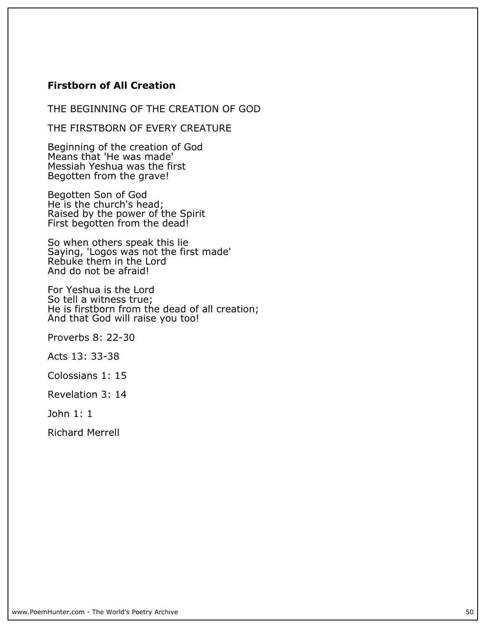## **Firstborn of All Creation**

**THE BEGINNING OF THE CREATION OF GOD**

**THE FIRSTBORN OF EVERY CREATURE**

**Beginning of the creation of God Means that 'He was made' Messiah Yeshua was the first Begotten from the grave!**

**Begotten Son of God He is the church's head; Raised by the power of the Spirit First begotten from the dead!**

**So when others speak this lie Saying, 'Logos was not the first made' Rebuke them in the Lord And do not be afraid!**

**For Yeshua is the Lord So tell a witness true; He is firstborn from the dead of all creation; And that God will raise you too!**

**Proverbs 8: 22-30**

**Acts 13: 33-38**

**Colossians 1: 15**

**Revelation 3: 14**

**John 1: 1**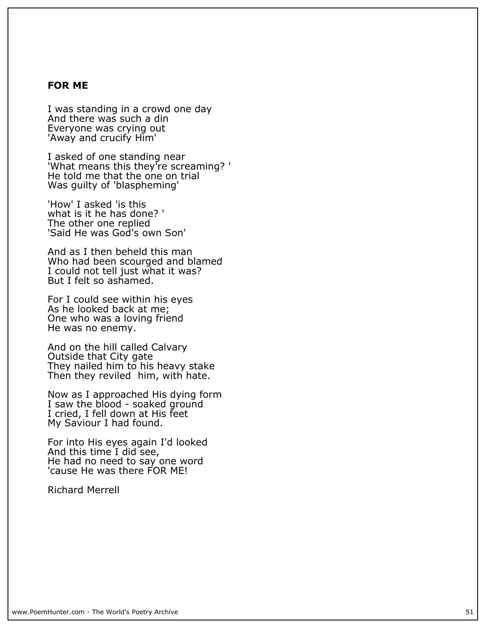#### **FOR ME**

**I was standing in a crowd one day And there was such a din Everyone was crying out 'Away and crucify Him'**

**I asked of one standing near 'What means this they're screaming? ' He told me that the one on trial Was guilty of 'blaspheming'**

**'How' I asked 'is this what is it he has done? ' The other one replied 'Said He was God's own Son'**

**And as I then beheld this man Who had been scourged and blamed I could not tell just what it was? But I felt so ashamed.**

**For I could see within his eyes As he looked back at me; One who was a loving friend He was no enemy.**

**And on the hill called Calvary Outside that City gate They nailed him to his heavy stake Then they reviled him, with hate.**

**Now as I approached His dying form I saw the blood - soaked ground I cried, I fell down at His feet My Saviour I had found.**

**For into His eyes again I'd looked And this time I did see, He had no need to say one word 'cause He was there FOR ME!**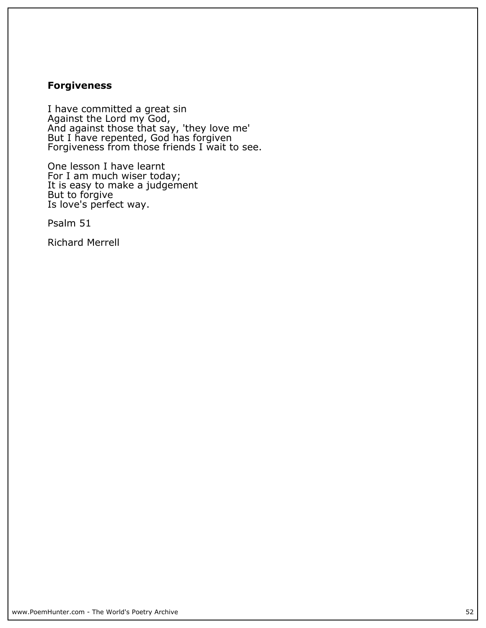# **Forgiveness**

**I have committed a great sin Against the Lord my God, And against those that say, 'they love me' But I have repented, God has forgiven Forgiveness from those friends I wait to see.**

**One lesson I have learnt For I am much wiser today; It is easy to make a judgement But to forgive Is love's perfect way.**

**Psalm 51**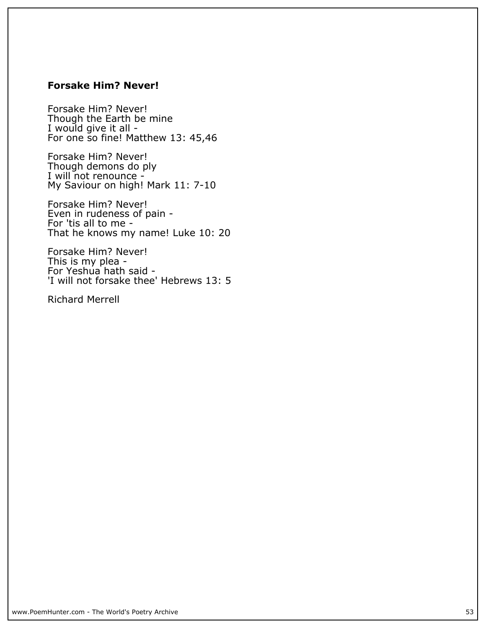## **Forsake Him? Never!**

**Forsake Him? Never! Though the Earth be mine I would give it all - For one so fine! Matthew 13: 45,46**

**Forsake Him? Never! Though demons do ply I will not renounce - My Saviour on high! Mark 11: 7-10**

**Forsake Him? Never! Even in rudeness of pain - For 'tis all to me - That he knows my name! Luke 10: 20**

**Forsake Him? Never! This is my plea - For Yeshua hath said - 'I will not forsake thee' Hebrews 13: 5**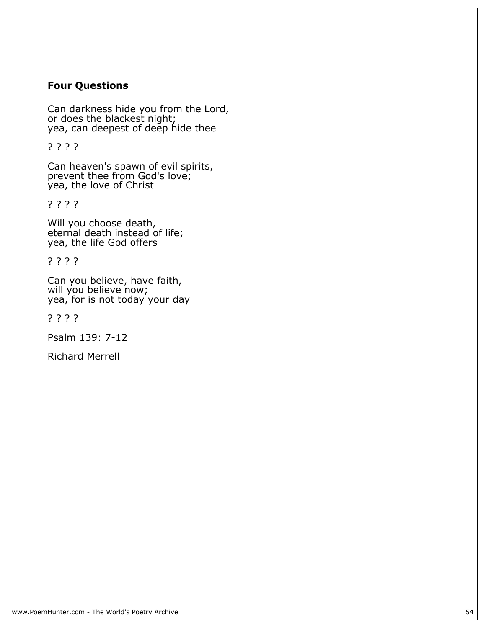## **Four Questions**

**Can darkness hide you from the Lord, or does the blackest night; yea, can deepest of deep hide thee**

**? ? ? ?**

**Can heaven's spawn of evil spirits, prevent thee from God's love; yea, the love of Christ**

**? ? ? ?**

**Will you choose death, eternal death instead of life; yea, the life God offers**

**? ? ? ?**

**Can you believe, have faith,** will you believe now; **yea, for is not today your day**

**? ? ? ?**

**Psalm 139: 7-12**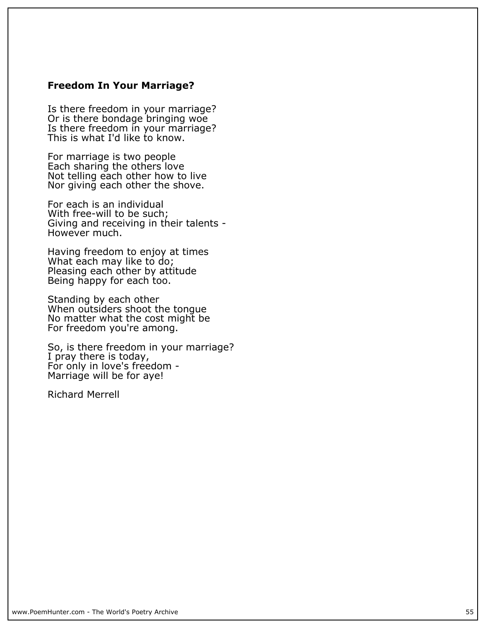#### **Freedom In Your Marriage?**

**Is there freedom in your marriage? Or is there bondage bringing woe Is there freedom in your marriage? This is what I'd like to know.**

**For marriage is two people Each sharing the others love Not telling each other how to live Nor giving each other the shove.**

**For each is an individual With free-will to be such; Giving and receiving in their talents - However much.**

**Having freedom to enjoy at times What each may like to do; Pleasing each other by attitude Being happy for each too.**

**Standing by each other When outsiders shoot the tongue No matter what the cost might be For freedom you're among.**

**So, is there freedom in your marriage? I pray there is today,** For only in love's freedom -**Marriage will be for aye!**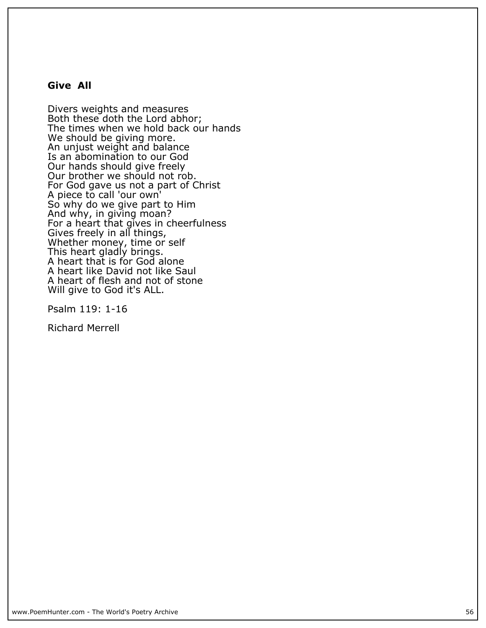#### **Give All**

**Divers weights and measures Both these doth the Lord abhor; The times when we hold back our hands We should be giving more. An unjust weight and balance Is an abomination to our God Our hands should give freely Our brother we should not rob. For God gave us not a part of Christ A piece to call 'our own' So why do we give part to Him And why, in giving moan? For a heart that gives in cheerfulness Gives freely in all things, Whether money, time or self This heart gladly brings. A heart that is for God alone A heart like David not like Saul A heart of flesh and not of stone Will give to God it's ALL.**

**Psalm 119: 1-16**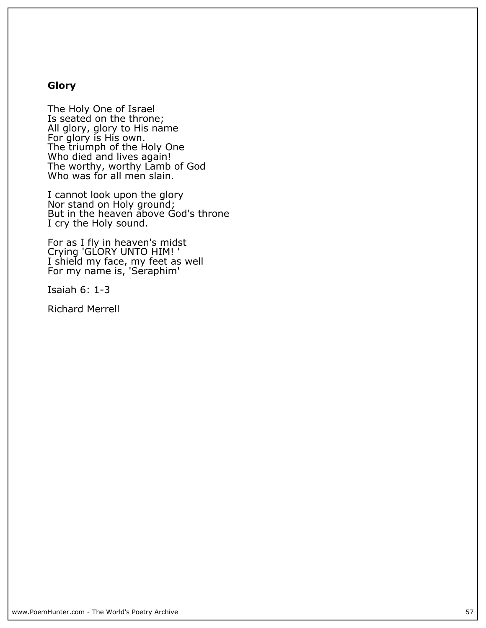# **Glory**

**The Holy One of Israel Is seated on the throne; All glory, glory to His name For glory is His own. The triumph of the Holy One Who died and lives again! The worthy, worthy Lamb of God Who was for all men slain.**

**I cannot look upon the glory Nor stand on Holy ground; But in the heaven above God's throne I cry the Holy sound.**

**For as I fly in heaven's midst Crying 'GLORY UNTO HIM! ' I shield my face, my feet as well For my name is, 'Seraphim'**

**Isaiah 6: 1-3**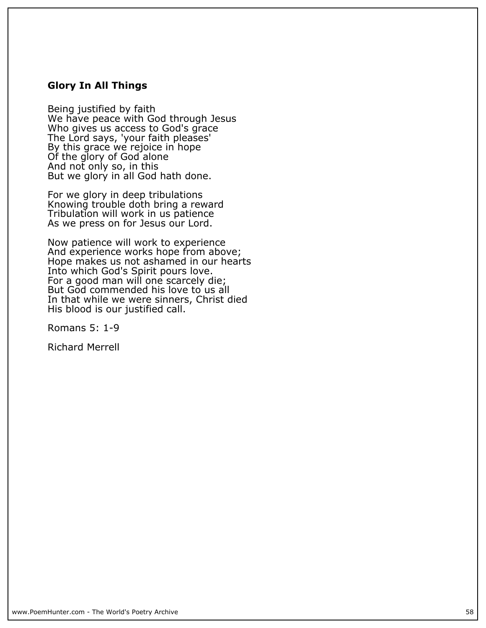## **Glory In All Things**

**Being justified by faith We have peace with God through Jesus Who gives us access to God's grace The Lord says, 'your faith pleases' By this grace we rejoice in hope Of the glory of God alone And not only so, in this But we glory in all God hath done.**

**For we glory in deep tribulations Knowing trouble doth bring a reward Tribulation will work in us patience As we press on for Jesus our Lord.**

**Now patience will work to experience And experience works hope from above; Hope makes us not ashamed in our hearts Into which God's Spirit pours love. For a good man will one scarcely die; But God commended his love to us all In that while we were sinners, Christ died His blood is our justified call.**

**Romans 5: 1-9**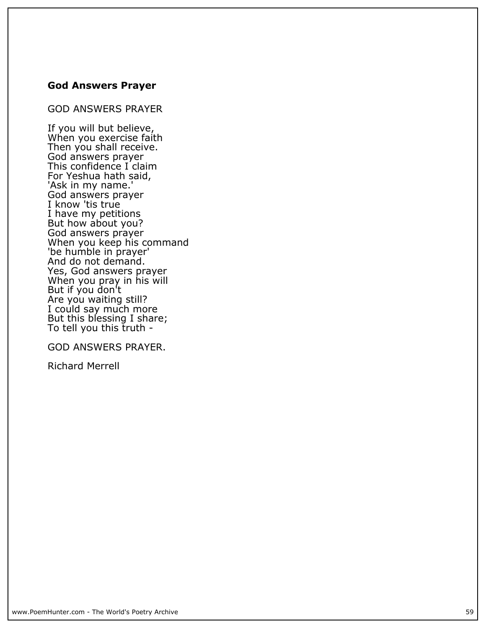## **God Answers Prayer**

**GOD ANSWERS PRAYER**

**If you will but believe, When you exercise faith Then you shall receive. God answers prayer This confidence I claim For Yeshua hath said, 'Ask in my name.' God answers prayer I know 'tis true I have my petitions But how about you? God answers prayer When you keep his command 'be humble in prayer' And do not demand. Yes, God answers prayer When you pray in his will But if you don't Are you waiting still? I could say much more But this blessing I share; To tell you this truth -**

**GOD ANSWERS PRAYER.**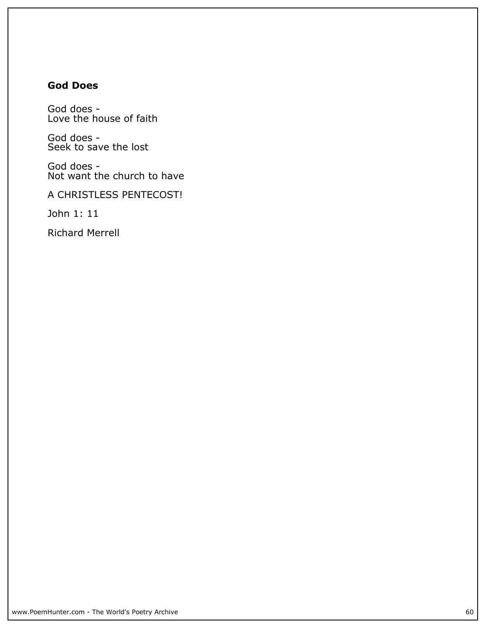# **God Does**

**God does - Love the house of faith**

**God does - Seek to save the lost**

**God does - Not want the church to have**

**A CHRISTLESS PENTECOST!**

**John 1: 11**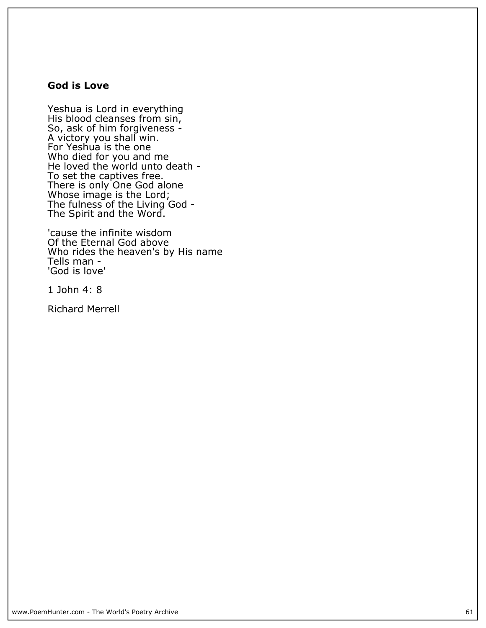## **God is Love**

**Yeshua is Lord in everything His blood cleanses from sin, So, ask of him forgiveness - A victory you shall win. For Yeshua is the one Who died for you and me He loved the world unto death - To set the captives free. There is only One God alone Whose image is the Lord; The fulness of the Living God - The Spirit and the Word.**

**'cause the infinite wisdom Of the Eternal God above Who rides the heaven's by His name Tells man - 'God is love'**

**1 John 4: 8**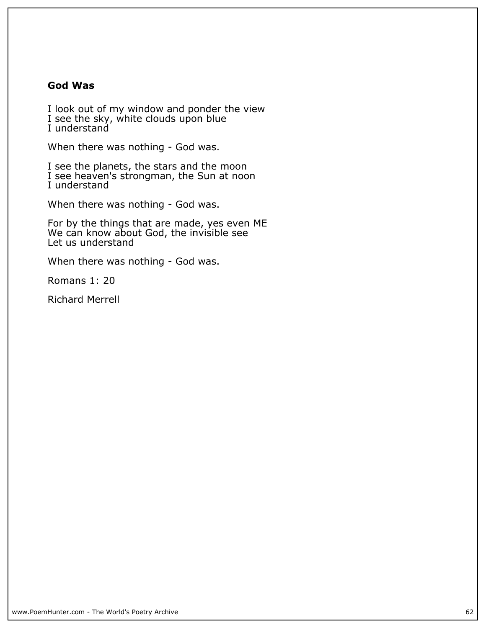## **God Was**

**I look out of my window and ponder the view I see the sky, white clouds upon blue I understand**

**When there was nothing - God was.**

**I see the planets, the stars and the moon I see heaven's strongman, the Sun at noon I understand**

**When there was nothing - God was.**

**For by the things that are made, yes even ME We can know about God, the invisible see Let us understand**

**When there was nothing - God was.**

**Romans 1: 20**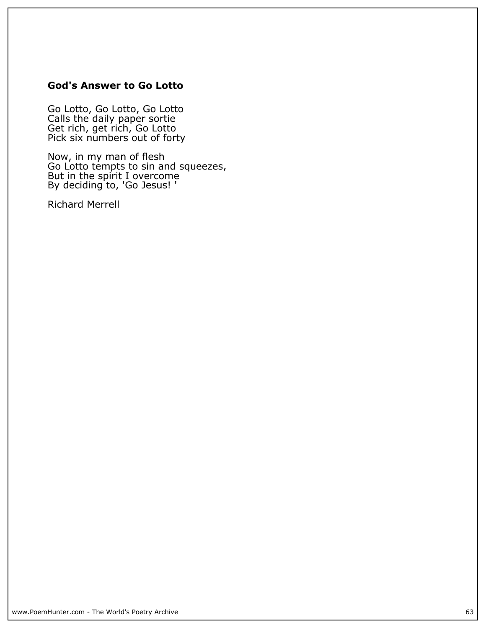## **God's Answer to Go Lotto**

**Go Lotto, Go Lotto, Go Lotto Calls the daily paper sortie Get rich, get rich, Go Lotto Pick six numbers out of forty**

**Now, in my man of flesh Go Lotto tempts to sin and squeezes, But in the spirit I overcome By deciding to, 'Go Jesus! '**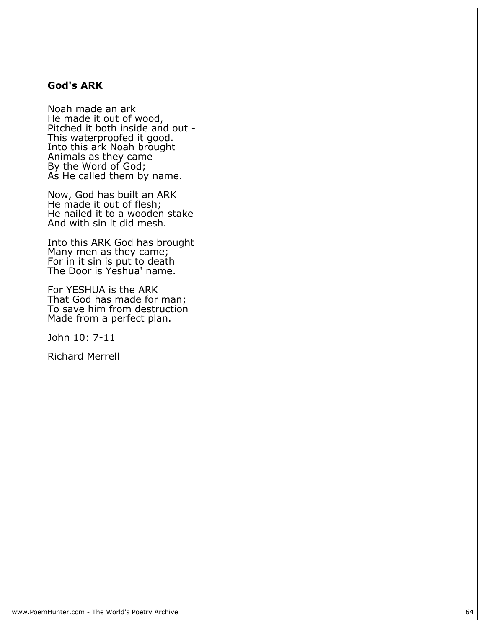## **God's ARK**

**Noah made an ark He made it out of wood, Pitched it both inside and out - This waterproofed it good. Into this ark Noah brought Animals as they came By the Word of God; As He called them by name.**

**Now, God has built an ARK He made it out of flesh; He nailed it to a wooden stake And with sin it did mesh.**

**Into this ARK God has brought Many men as they came; For in it sin is put to death The Door is Yeshua' name.**

**For YESHUA is the ARK That God has made for man; To save him from destruction Made from a perfect plan.**

**John 10: 7-11**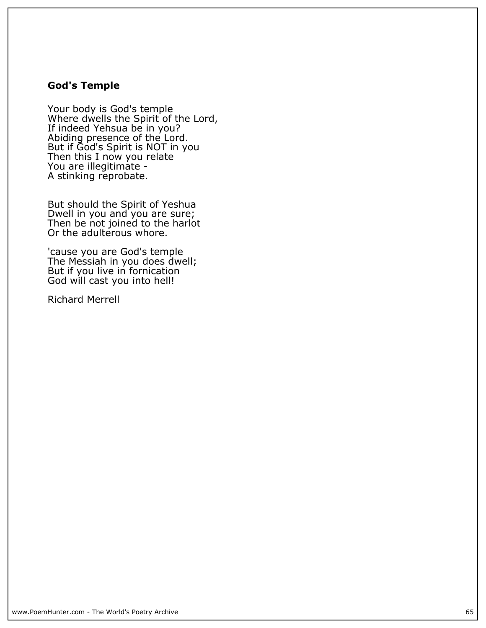## **God's Temple**

**Your body is God's temple Where dwells the Spirit of the Lord, If indeed Yehsua be in you? Abiding presence of the Lord. But if God's Spirit is NOT in you Then this I now you relate You are illegitimate - A stinking reprobate.**

**But should the Spirit of Yeshua Dwell in you and you are sure; Then be not joined to the harlot Or the adulterous whore.**

**'cause you are God's temple The Messiah in you does dwell; But if you live in fornication God will cast you into hell!**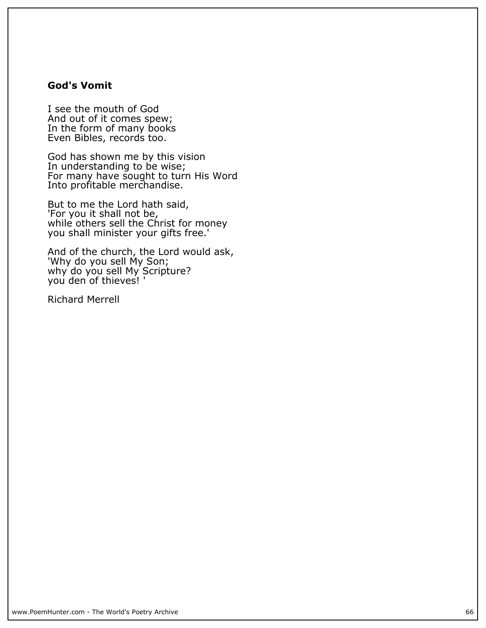## **God's Vomit**

**I see the mouth of God And out of it comes spew; In the form of many books Even Bibles, records too.**

**God has shown me by this vision In understanding to be wise; For many have sought to turn His Word Into profitable merchandise.**

**But to me the Lord hath said, 'For you it shall not be, while others sell the Christ for money you shall minister your gifts free.'**

**And of the church, the Lord would ask, 'Why do you sell My Son; why do you sell My Scripture? you den of thieves! '**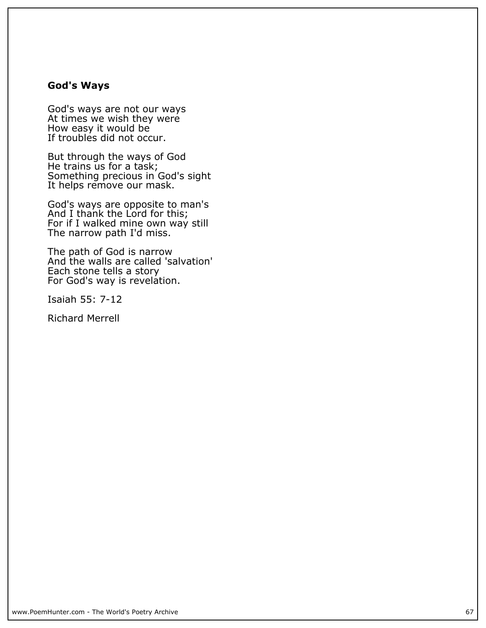#### **God's Ways**

**God's ways are not our ways At times we wish they were How easy it would be If troubles did not occur.**

**But through the ways of God He trains us for a task; Something precious in God's sight It helps remove our mask.**

**God's ways are opposite to man's And I thank the Lord for this; For if I walked mine own way still The narrow path I'd miss.**

**The path of God is narrow And the walls are called 'salvation' Each stone tells a story For God's way is revelation.**

**Isaiah 55: 7-12**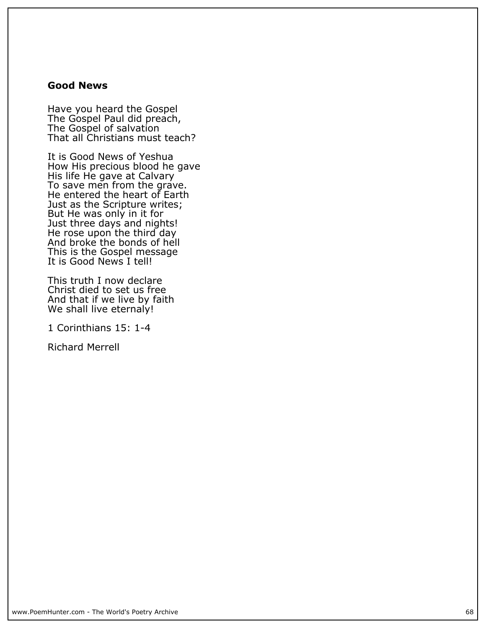## **Good News**

**Have you heard the Gospel The Gospel Paul did preach, The Gospel of salvation That all Christians must teach?**

**It is Good News of Yeshua How His precious blood he gave His life He gave at Calvary To save men from the grave. He entered the heart of Earth Just as the Scripture writes; But He was only in it for Just three days and nights! He rose upon the third day And broke the bonds of hell This is the Gospel message It is Good News I tell!**

**This truth I now declare Christ died to set us free And that if we live by faith We shall live eternaly!**

**1 Corinthians 15: 1-4**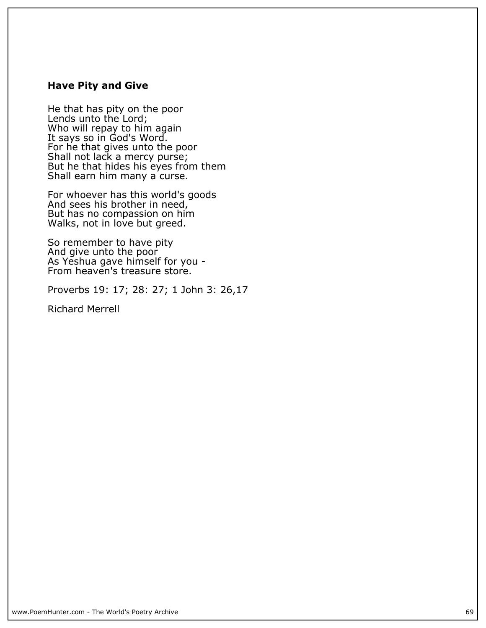#### **Have Pity and Give**

**He that has pity on the poor Lends unto the Lord; Who will repay to him again It says so in God's Word. For he that gives unto the poor Shall not lack a mercy purse; But he that hides his eyes from them** Shall earn him many a curse.

**For whoever has this world's goods And sees his brother in need, But has no compassion on him Walks, not in love but greed.**

**So remember to have pity And give unto the poor As Yeshua gave himself for you - From heaven's treasure store.**

**Proverbs 19: 17; 28: 27; 1 John 3: 26,17**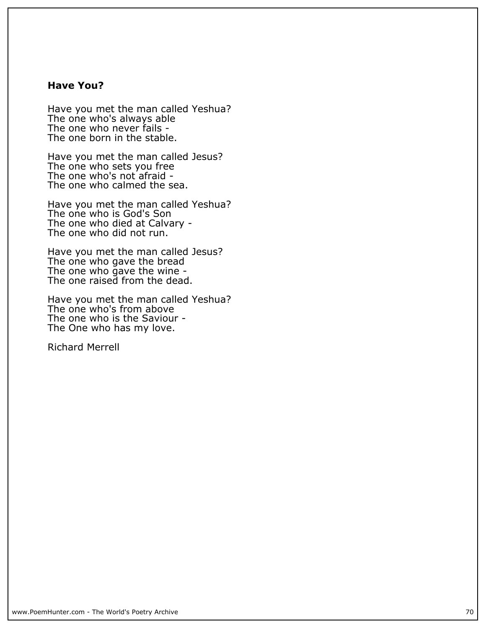## **Have You?**

**Have you met the man called Yeshua?** The one who's always able **The one who never fails - The one born in the stable.**

**Have you met the man called Jesus? The one who sets you free The one who's not afraid - The one who calmed the sea.**

**Have you met the man called Yeshua? The one who is God's Son The one who died at Calvary - The one who did not run.**

**Have you met the man called Jesus? The one who gave the bread The one who gave the wine - The one raised from the dead.**

**Have you met the man called Yeshua? The one who's from above The one who is the Saviour - The One who has my love.**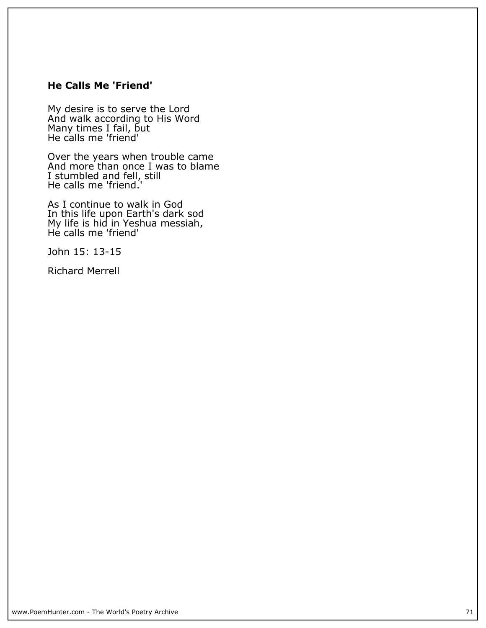## **He Calls Me 'Friend'**

**My desire is to serve the Lord And walk according to His Word Many times I fail, but He calls me 'friend'**

**Over the years when trouble came And more than once I was to blame I stumbled and fell, still He calls me 'friend.'**

**As I continue to walk in God In this life upon Earth's dark sod My life is hid in Yeshua messiah, He calls me 'friend'**

**John 15: 13-15**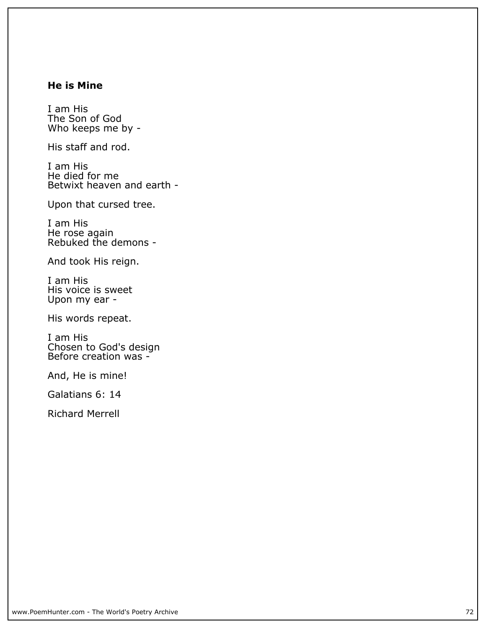## **He is Mine**

**I am His The Son of God Who keeps me by -**

**His staff and rod.**

**I am His He died for me Betwixt heaven and earth -**

**Upon that cursed tree.**

**I am His He rose again Rebuked the demons -**

**And took His reign.**

**I am His His voice is sweet Upon my ear -**

**His words repeat.**

**I am His Chosen to God's design Before creation was -**

**And, He is mine!**

**Galatians 6: 14**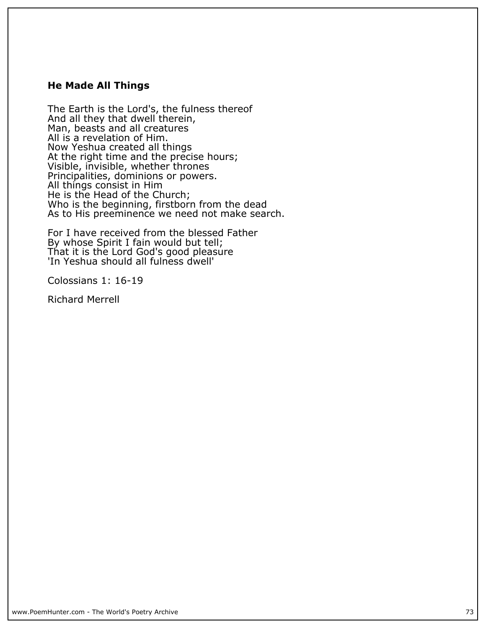#### **He Made All Things**

**The Earth is the Lord's, the fulness thereof And all they that dwell therein, Man, beasts and all creatures All is a revelation of Him. Now Yeshua created all things** At the right time and the precise hours; **Visible, invisible, whether thrones Principalities, dominions or powers. All things consist in Him He is the Head of the Church; Who is the beginning, firstborn from the dead As to His preeminence we need not make search.**

**For I have received from the blessed Father By whose Spirit I fain would but tell; That it is the Lord God's good pleasure 'In Yeshua should all fulness dwell'**

**Colossians 1: 16-19**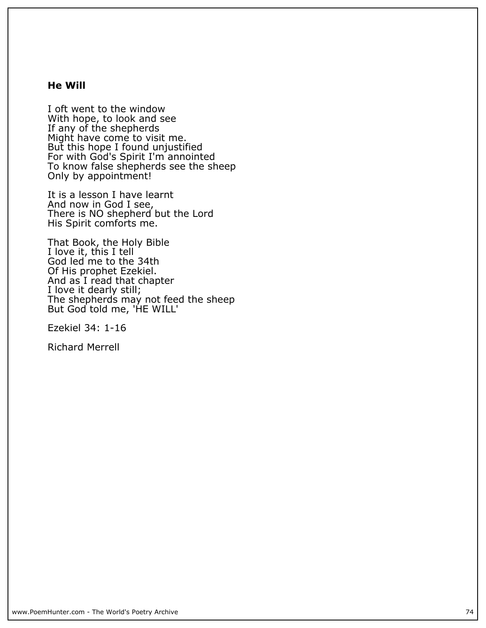#### **He Will**

**I oft went to the window With hope, to look and see If any of the shepherds Might have come to visit me. But this hope I found unjustified For with God's Spirit I'm annointed To know false shepherds see the sheep Only by appointment!**

**It is a lesson I have learnt And now in God I see, There is NO shepherd but the Lord His Spirit comforts me.**

**That Book, the Holy Bible I love it, this I tell God led me to the 34th Of His prophet Ezekiel. And as I read that chapter I love it dearly still;** The shepherds may not feed the sheep **But God told me, 'HE WILL'**

**Ezekiel 34: 1-16**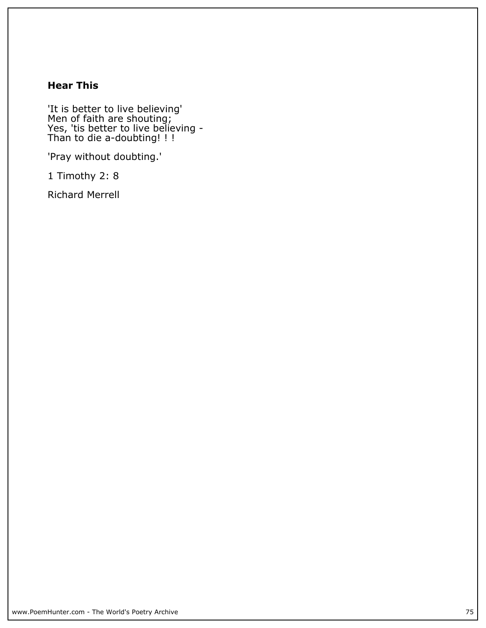# **Hear This**

**'It is better to live believing' Men of faith are shouting; Yes, 'tis better to live believing - Than to die a-doubting! ! !**

**'Pray without doubting.'**

**1 Timothy 2: 8**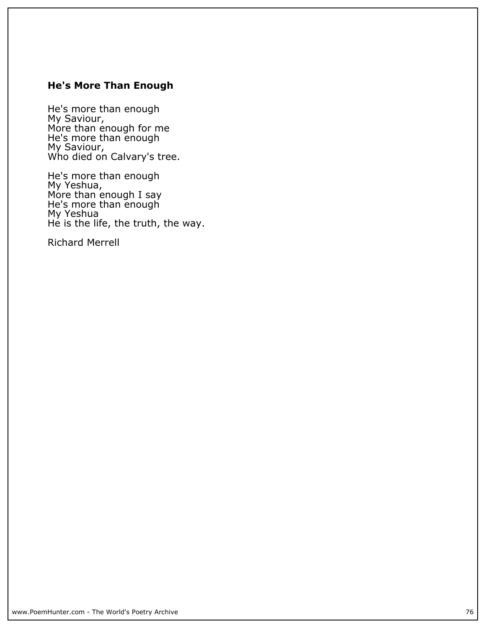# **He's More Than Enough**

**He's more than enough My Saviour, More than enough for me He's more than enough My Saviour, Who died on Calvary's tree.**

**He's more than enough My Yeshua, More than enough I say He's more than enough My Yeshua He is the life, the truth, the way.**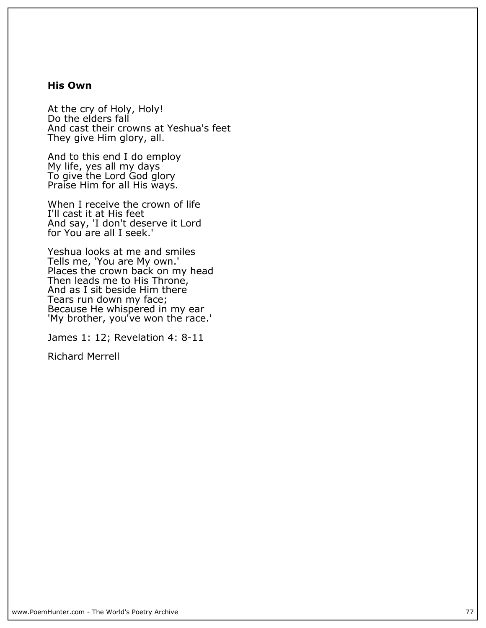#### **His Own**

**At the cry of Holy, Holy! Do the elders fall And cast their crowns at Yeshua's feet They give Him glory, all.**

**And to this end I do employ My life, yes all my days To give the Lord God glory Praise Him for all His ways.**

**When I receive the crown of life I'll cast it at His feet And say, 'I don't deserve it Lord for You are all I seek.'**

**Yeshua looks at me and smiles Tells me, 'You are My own.' Places the crown back on my head Then leads me to His Throne, And as I sit beside Him there Tears run down my face;** Because He whispered in my ear 'My brother, you've won the race.'

**James 1: 12; Revelation 4: 8-11**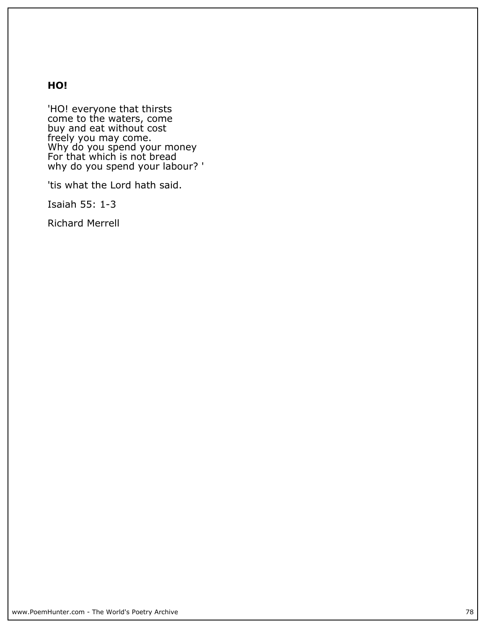## **HO!**

**'HO! everyone that thirsts come to the waters, come buy and eat without cost freely you may come. Why do you spend your money For that which is not bread why do you spend your labour? '**

**'tis what the Lord hath said.**

**Isaiah 55: 1-3**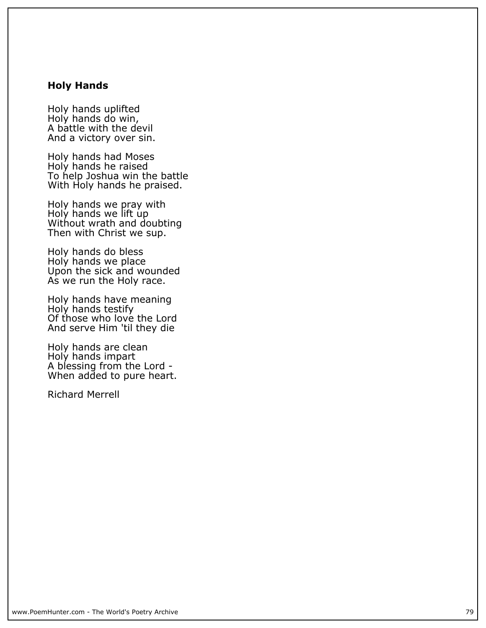#### **Holy Hands**

**Holy hands uplifted Holy hands do win, A battle with the devil And a victory over sin.**

**Holy hands had Moses Holy hands he raised To help Joshua win the battle With Holy hands he praised.**

**Holy hands we pray with Holy hands we lift up Without wrath and doubting Then with Christ we sup.**

**Holy hands do bless Holy hands we place Upon the sick and wounded As we run the Holy race.**

**Holy hands have meaning Holy hands testify** Of those who love the Lord **And serve Him 'til they die**

**Holy hands are clean Holy hands impart A blessing from the Lord - When added to pure heart.**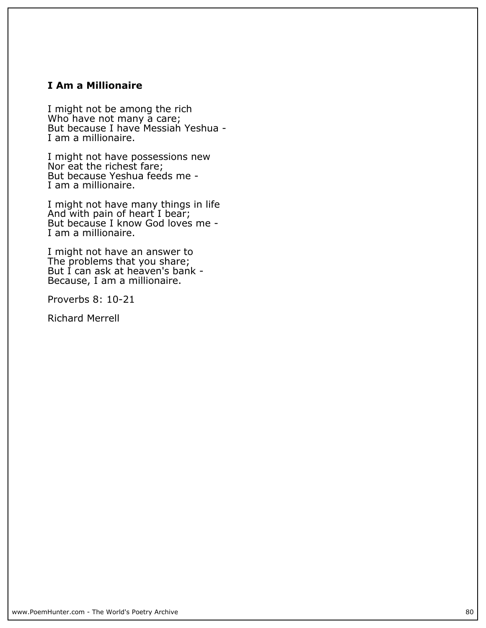## **I Am a Millionaire**

**I might not be among the rich Who have not many a care; But because I have Messiah Yeshua - I am a millionaire.**

**I might not have possessions new Nor eat the richest fare; But because Yeshua feeds me - I am a millionaire.**

**I might not have many things in life And with pain of heart I bear; But because I know God loves me - I am a millionaire.**

**I might not have an answer to The problems that you share; But I can ask at heaven's bank - Because, I am a millionaire.**

**Proverbs 8: 10-21**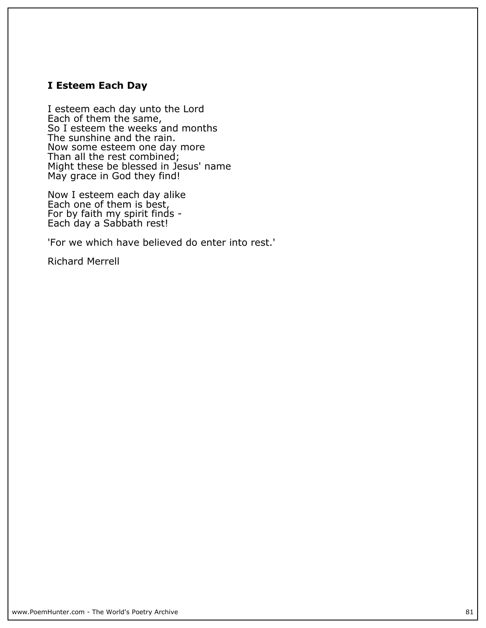## **I Esteem Each Day**

**I esteem each day unto the Lord Each of them the same, So I esteem the weeks and months The sunshine and the rain. Now some esteem one day more Than all the rest combined; Might these be blessed in Jesus' name May grace in God they find!**

**Now I esteem each day alike Each one of them is best, For by faith my spirit finds - Each day a Sabbath rest!**

**'For we which have believed do enter into rest.'**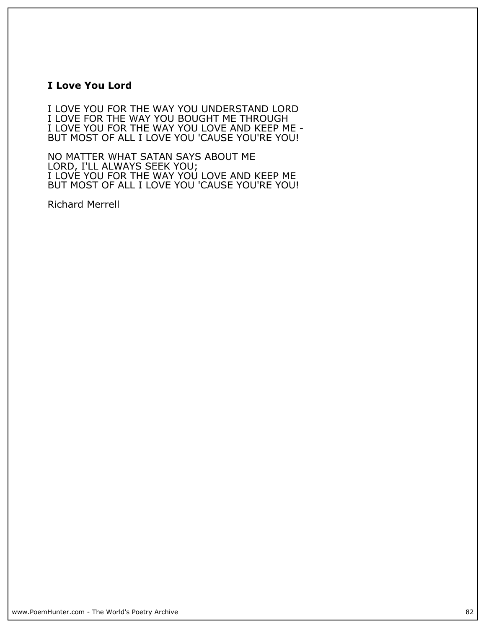### **I Love You Lord**

**I LOVE YOU FOR THE WAY YOU UNDERSTAND LORD I LOVE FOR THE WAY YOU BOUGHT ME THROUGH I LOVE YOU FOR THE WAY YOU LOVE AND KEEP ME - BUT MOST OF ALL I LOVE YOU 'CAUSE YOU'RE YOU!**

**NO MATTER WHAT SATAN SAYS ABOUT ME LORD, I'LL ALWAYS SEEK YOU; I LOVE YOU FOR THE WAY YOU LOVE AND KEEP ME BUT MOST OF ALL I LOVE YOU 'CAUSE YOU'RE YOU!**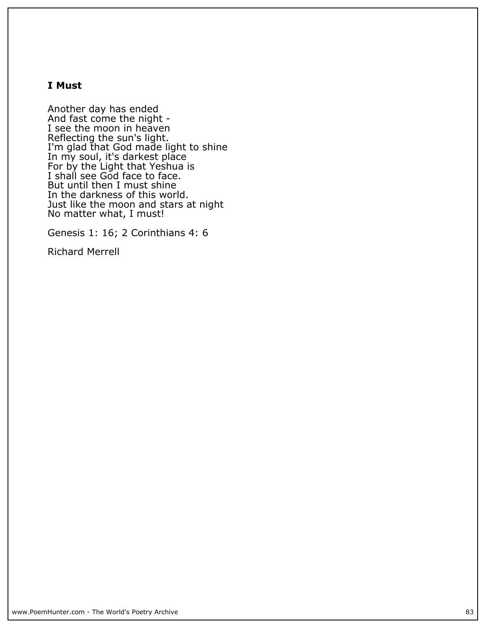## **I Must**

**Another day has ended And fast come the night - I see the moon in heaven Reflecting the sun's light. I'm glad that God made light to shine In my soul, it's darkest place For by the Light that Yeshua is I shall see God face to face. But until then I must shine In the darkness of this world. Just like the moon and stars at night No matter what, I must!**

**Genesis 1: 16; 2 Corinthians 4: 6**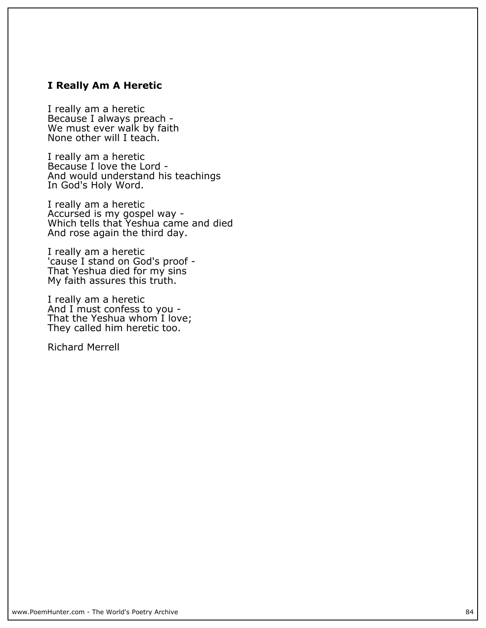## **I Really Am A Heretic**

**I really am a heretic Because I always preach - We must ever walk by faith None other will I teach.**

**I really am a heretic Because I love the Lord - And would understand his teachings In God's Holy Word.**

**I really am a heretic Accursed is my gospel way - Which tells that Yeshua came and died And rose again the third day.**

**I really am a heretic 'cause I stand on God's proof - That Yeshua died for my sins My faith assures this truth.**

**I really am a heretic And I must confess to you - That the Yeshua whom I love; They called him heretic too.**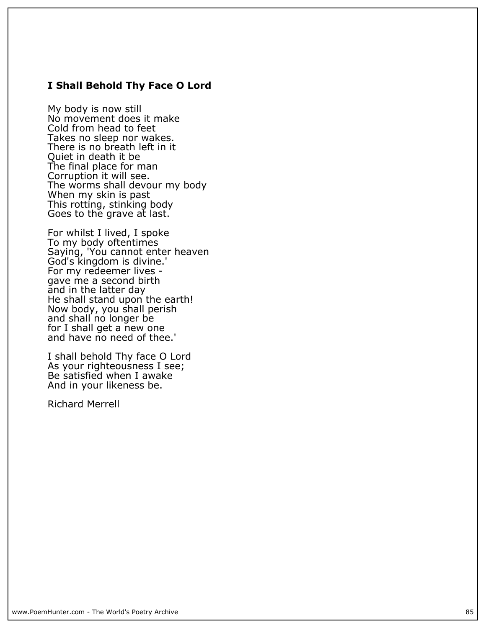### **I Shall Behold Thy Face O Lord**

**My body is now still No movement does it make Cold from head to feet Takes no sleep nor wakes. There is no breath left in it Quiet in death it be The final place for man Corruption it will see. The worms shall devour my body When my skin is past This rotting, stinking body Goes to the grave at last.**

**For whilst I lived, I spoke To my body oftentimes Saying, 'You cannot enter heaven God's kingdom is divine.' For my redeemer lives gave me a second birth and in the latter day He shall stand upon the earth! Now body, you shall perish and shall no longer be for I shall get a new one and have no need of thee.'**

**I shall behold Thy face O Lord As your righteousness I see; Be satisfied when I awake And in your likeness be.**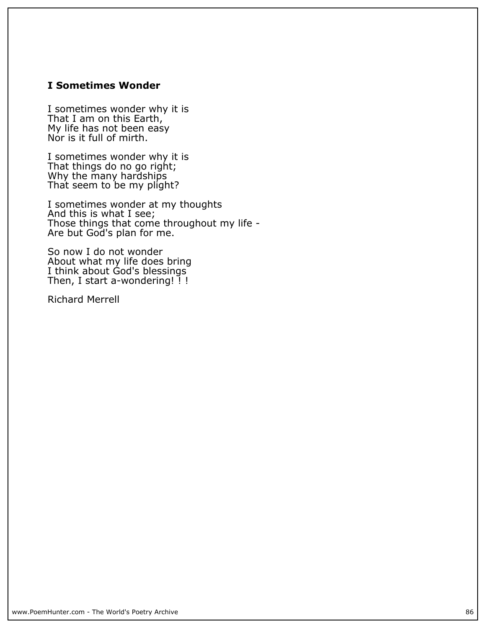## **I Sometimes Wonder**

**I sometimes wonder why it is That I am on this Earth, My life has not been easy Nor is it full of mirth.**

**I sometimes wonder why it is That things do no go right; Why the many hardships That seem to be my plight?**

**I sometimes wonder at my thoughts And this is what I see; Those things that come throughout my life - Are but God's plan for me.**

**So now I do not wonder About what my life does bring I think about God's blessings Then, I start a-wondering! ! !**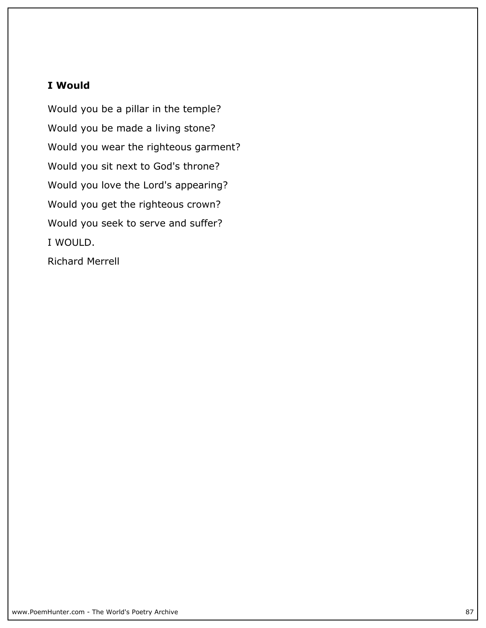## **I Would**

**Would you be a pillar in the temple? Would you be made a living stone? Would you wear the righteous garment? Would you sit next to God's throne? Would you love the Lord's appearing? Would you get the righteous crown? Would you seek to serve and suffer? I WOULD.**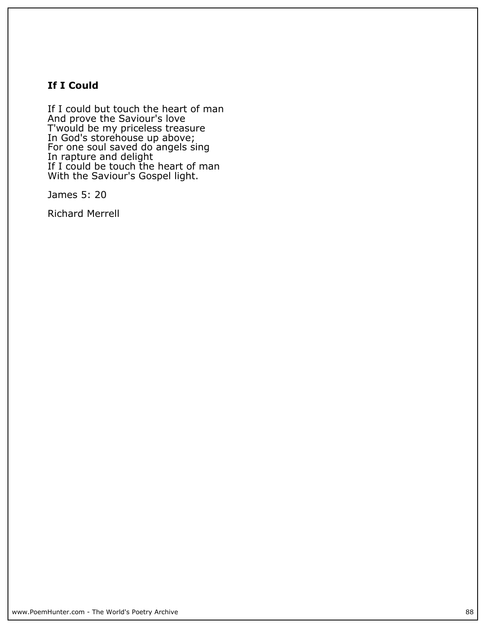# **If I Could**

**If I could but touch the heart of man And prove the Saviour's love T'would be my priceless treasure In God's storehouse up above; For one soul saved do angels sing In rapture and delight If I could be touch the heart of man With the Saviour's Gospel light.**

**James 5: 20**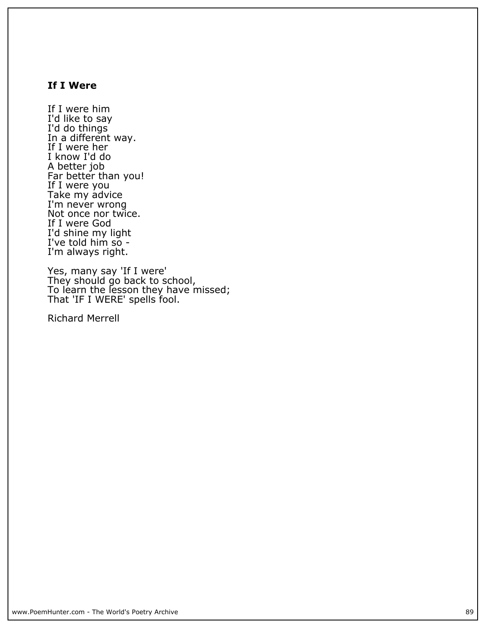## **If I Were**

**If I were him I'd like to say I'd do things In a different way. If I were her I know I'd do A better job Far better than you! If I were you Take my advice** I'm never wrong **Not once nor twice. If I were God I'd shine my light I've told him so - I'm always right.**

**Yes, many say 'If I were' They should go back to school, To learn the lesson they have missed; That 'IF I WERE' spells fool.**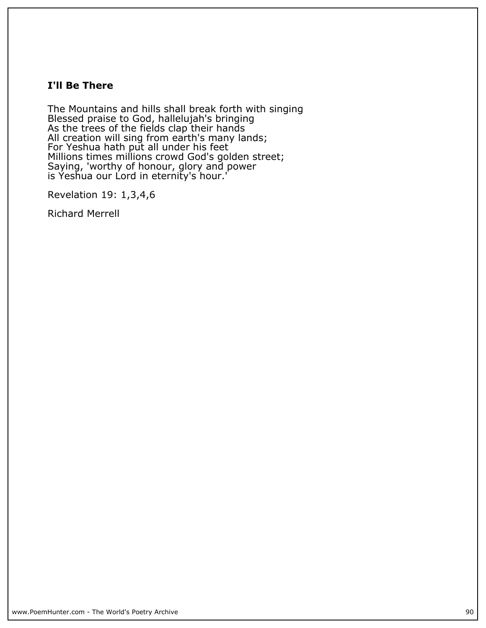## **I'll Be There**

**The Mountains and hills shall break forth with singing Blessed praise to God, hallelujah's bringing As the trees of the fields clap their hands All creation will sing from earth's many lands; For Yeshua hath put all under his feet Millions times millions crowd God's golden street; Saying, 'worthy of honour, glory and power is Yeshua our Lord in eternity's hour.'**

**Revelation 19: 1,3,4,6**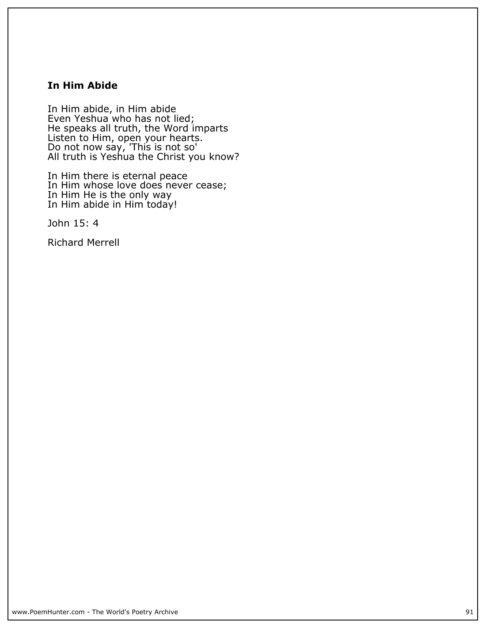## **In Him Abide**

**In Him abide, in Him abide Even Yeshua who has not lied; He speaks all truth, the Word imparts Listen to Him, open your hearts. Do not now say, 'This is not so' All truth is Yeshua the Christ you know?**

**In Him there is eternal peace In Him whose love does never cease; In Him He is the only way In Him abide in Him today!**

**John 15: 4**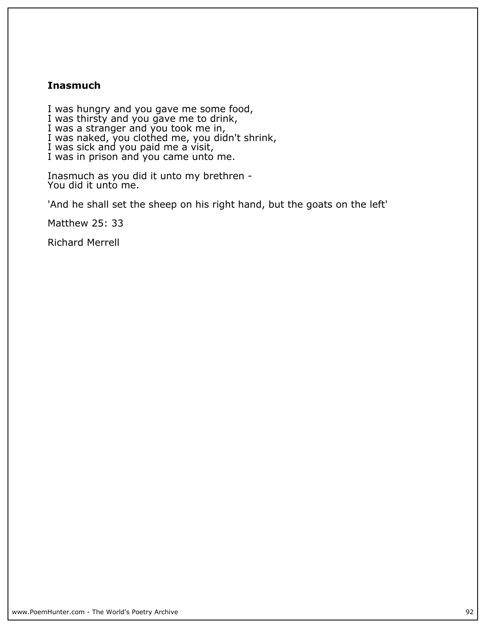## **Inasmuch**

**I was hungry and you gave me some food, I was thirsty and you gave me to drink, I was a stranger and you took me in, I was naked, you clothed me, you didn't shrink, I was sick and you paid me a visit, I was in prison and you came unto me.**

**Inasmuch as you did it unto my brethren - You did it unto me.**

**'And he shall set the sheep on his right hand, but the goats on the left'**

**Matthew 25: 33**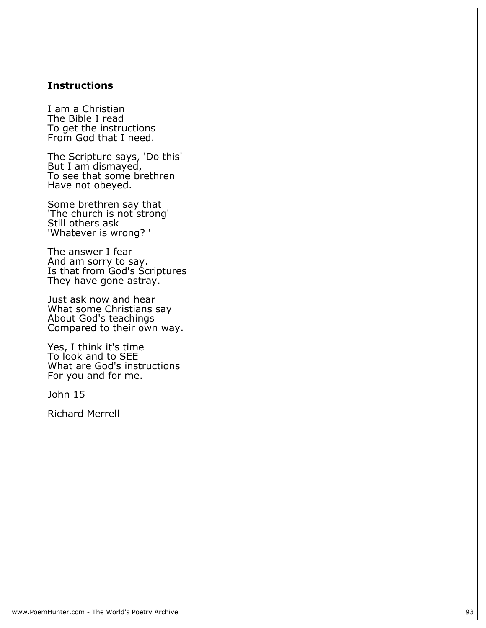## **Instructions**

**I am a Christian The Bible I read To get the instructions From God that I need.**

**The Scripture says, 'Do this' But I am dismayed, To see that some brethren Have not obeyed.**

**Some brethren say that 'The church is not strong' Still others ask 'Whatever is wrong? '**

**The answer I fear And am sorry to say. Is that from God's Scriptures They have gone astray.**

**Just ask now and hear What some Christians say About God's teachings Compared to their own way.**

**Yes, I think it's time To look and to SEE What are God's instructions For you and for me.**

**John 15**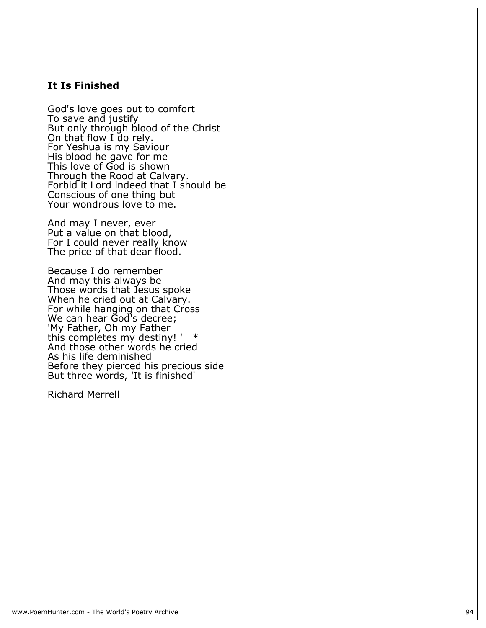#### **It Is Finished**

**God's love goes out to comfort To save and justify But only through blood of the Christ On that flow I do rely. For Yeshua is my Saviour His blood he gave for me This love of God is shown Through the Rood at Calvary. Forbid it Lord indeed that I should be Conscious of one thing but Your wondrous love to me.**

**And may I never, ever Put a value on that blood, For I could never really know The price of that dear flood.**

**Because I do remember And may this always be Those words that Jesus spoke When he cried out at Calvary. For while hanging on that Cross We can hear God's decree; 'My Father, Oh my Father this completes my destiny! ' \* And those other words he cried As his life deminished Before they pierced his precious side But three words, 'It is finished'**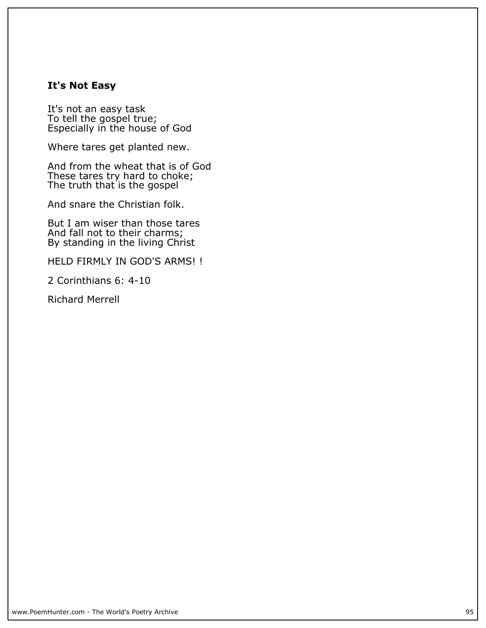## **It's Not Easy**

**It's not an easy task To tell the gospel true; Especially in the house of God**

**Where tares get planted new.**

**And from the wheat that is of God These tares try hard to choke; The truth that is the gospel**

**And snare the Christian folk.**

**But I am wiser than those tares And fall not to their charms; By standing in the living Christ**

**HELD FIRMLY IN GOD'S ARMS! !**

**2 Corinthians 6: 4-10**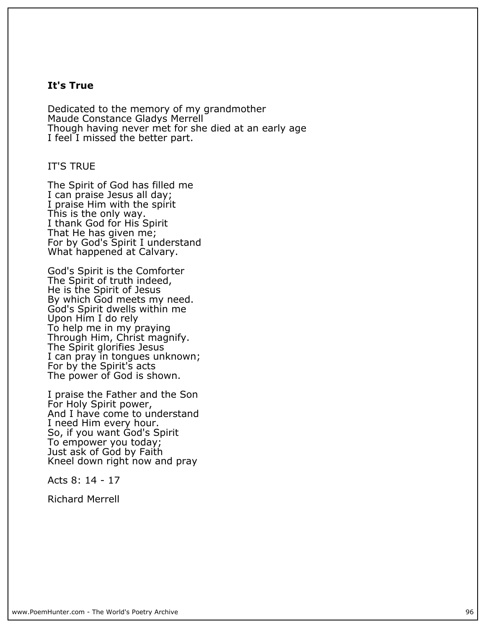### **It's True**

**Dedicated to the memory of my grandmother Maude Constance Gladys Merrell Though having never met for she died at an early age I feel I missed the better part.**

#### **IT'S TRUE**

**The Spirit of God has filled me I can praise Jesus all day; I praise Him with the spirit This is the only way. I thank God for His Spirit That He has given me; For by God's Spirit I understand What happened at Calvary.**

**God's Spirit is the Comforter The Spirit of truth indeed, He is the Spirit of Jesus By which God meets my need. God's Spirit dwells within me Upon Him I do rely To help me in my praying Through Him, Christ magnify. The Spirit glorifies Jesus I can pray in tongues unknown; For by the Spirit's acts The power of God is shown.**

**I praise the Father and the Son For Holy Spirit power, And I have come to understand I need Him every hour. So, if you want God's Spirit To empower you today; Just ask of God by Faith Kneel down right now and pray**

**Acts 8: 14 - 17**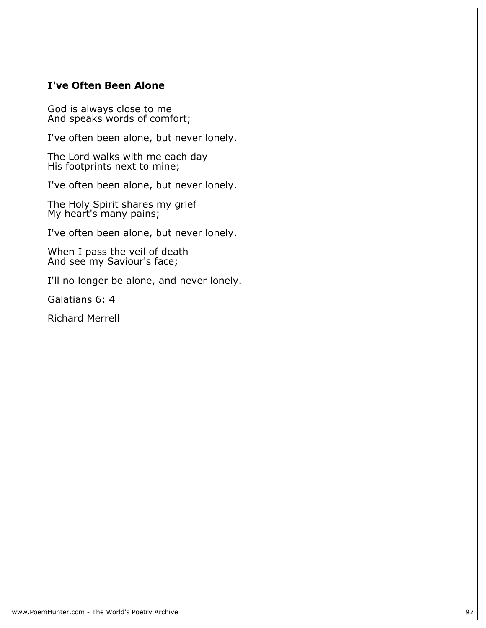## **I've Often Been Alone**

**God is always close to me And speaks words of comfort;**

**I've often been alone, but never lonely.**

**The Lord walks with me each day His footprints next to mine;**

**I've often been alone, but never lonely.**

**The Holy Spirit shares my grief My heart's many pains;**

**I've often been alone, but never lonely.**

**When I pass the veil of death And see my Saviour's face;**

**I'll no longer be alone, and never lonely.**

**Galatians 6: 4**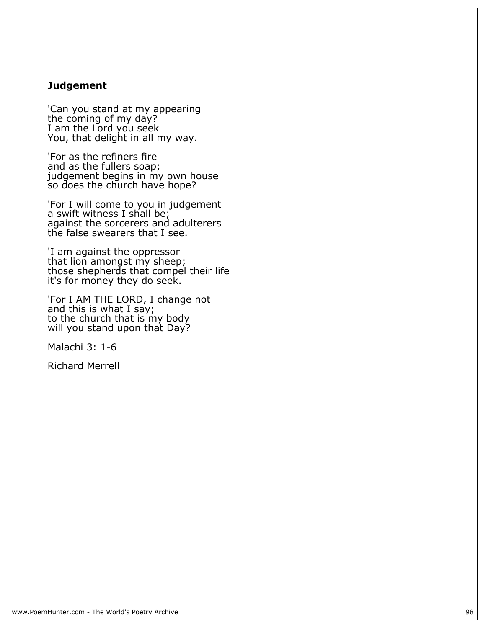### **Judgement**

**'Can you stand at my appearing the coming of my day? I am the Lord you seek You, that delight in all my way.**

**'For as the refiners fire and as the fullers soap; judgement begins in my own house so does the church have hope?**

**'For I will come to you in judgement a swift witness I shall be; against the sorcerers and adulterers the false swearers that I see.**

**'I am against the oppressor that lion amongst my sheep; those shepherds that compel their life it's for money they do seek.**

**'For I AM THE LORD, I change not and this is what I say; to the church that is my body will you stand upon that Day?**

**Malachi 3: 1-6**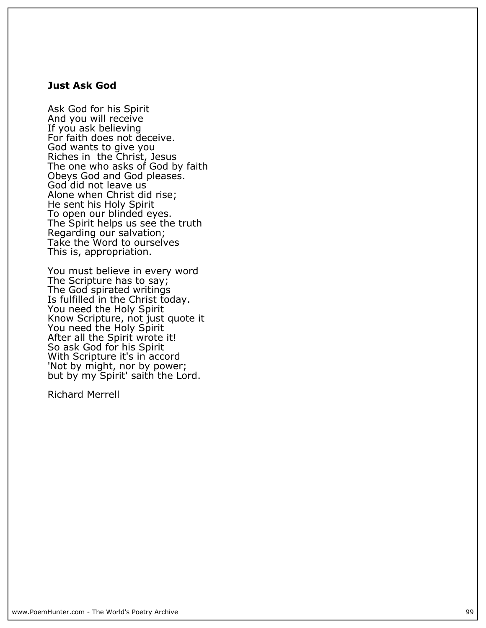#### **Just Ask God**

**Ask God for his Spirit And you will receive If you ask believing For faith does not deceive. God wants to give you Riches in the Christ, Jesus The one who asks of God by faith Obeys God and God pleases. God did not leave us Alone when Christ did rise; He sent his Holy Spirit To open our blinded eyes. The Spirit helps us see the truth Regarding our salvation; Take the Word to ourselves This is, appropriation.**

**You must believe in every word The Scripture has to say; The God spirated writings Is fulfilled in the Christ today. You need the Holy Spirit Know Scripture, not just quote it You need the Holy Spirit After all the Spirit wrote it! So ask God for his Spirit With Scripture it's in accord 'Not by might, nor by power; but by my Spirit' saith the Lord.**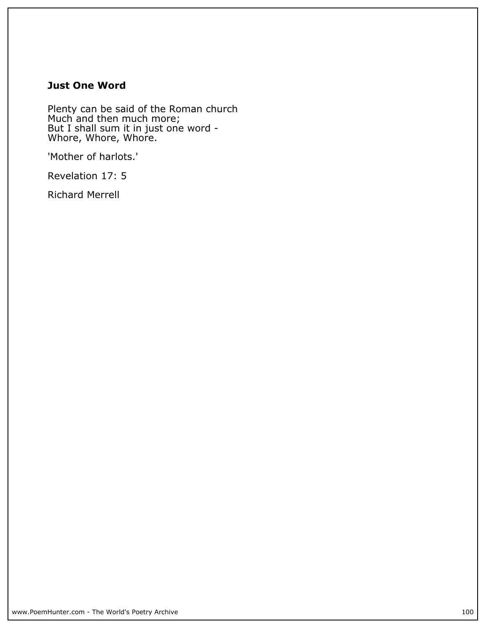# **Just One Word**

**Plenty can be said of the Roman church Much and then much more; But I shall sum it in just one word - Whore, Whore, Whore.**

**'Mother of harlots.'**

**Revelation 17: 5**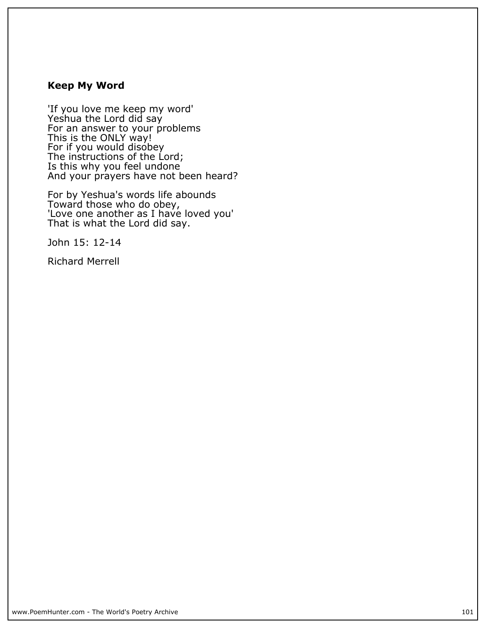# **Keep My Word**

**'If you love me keep my word' Yeshua the Lord did say For an answer to your problems This is the ONLY way! For if you would disobey The instructions of the Lord; Is this why you feel undone And your prayers have not been heard?**

**For by Yeshua's words life abounds Toward those who do obey, 'Love one another as I have loved you' That is what the Lord did say.**

**John 15: 12-14**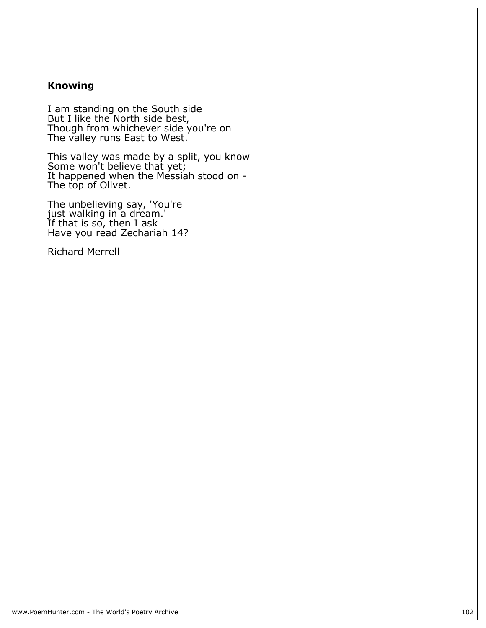# **Knowing**

**I am standing on the South side But I like the North side best, Though from whichever side you're on The valley runs East to West.**

**This valley was made by a split, you know Some won't believe that yet; It happened when the Messiah stood on - The top of Olivet.**

**The unbelieving say, 'You're just walking in a dream.' If that is so, then I ask Have you read Zechariah 14?**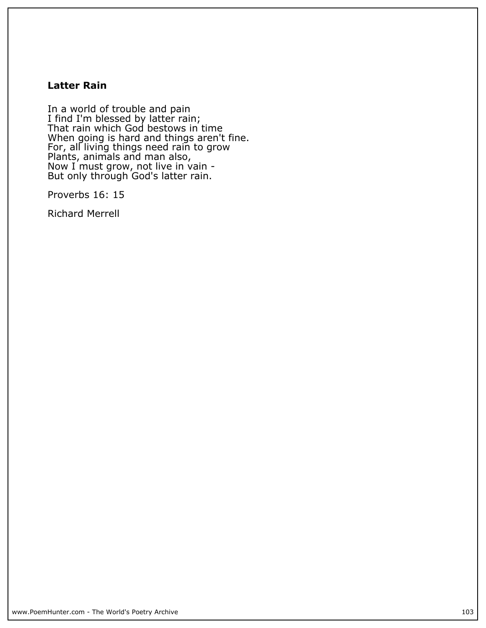## **Latter Rain**

**In a world of trouble and pain I find I'm blessed by latter rain; That rain which God bestows in time When going is hard and things aren't fine. For, all living things need rain to grow Plants, animals and man also, Now I must grow, not live in vain - But only through God's latter rain.**

**Proverbs 16: 15**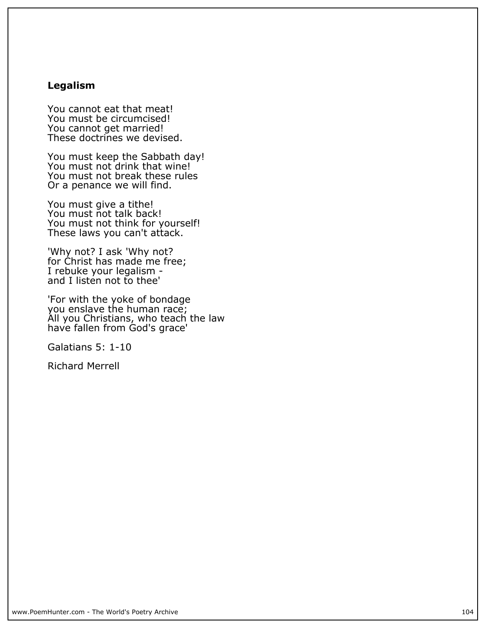# **Legalism**

**You cannot eat that meat! You must be circumcised! You cannot get married! These doctrines we devised.**

**You must keep the Sabbath day!** You must not drink that wine! **You must not break these rules Or a penance we will find.**

**You must give a tithe! You must not talk back! You must not think for yourself! These laws you can't attack.**

**'Why not? I ask 'Why not? for Christ has made me free; I rebuke your legalism and I listen not to thee'**

**'For with the yoke of bondage you enslave the human race; All you Christians, who teach the law have fallen from God's grace'**

**Galatians 5: 1-10**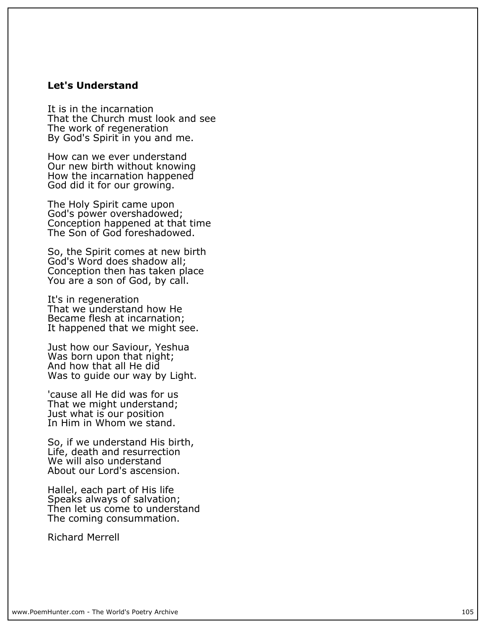#### **Let's Understand**

**It is in the incarnation That the Church must look and see The work of regeneration By God's Spirit in you and me.**

**How can we ever understand Our new birth without knowing How the incarnation happened God did it for our growing.**

**The Holy Spirit came upon God's power overshadowed; Conception happened at that time The Son of God foreshadowed.**

**So, the Spirit comes at new birth God's Word does shadow all; Conception then has taken place You are a son of God, by call.**

**It's in regeneration That we understand how He Became flesh at incarnation; It happened that we might see.**

**Just how our Saviour, Yeshua Was born upon that night; And how that all He did Was to guide our way by Light.**

**'cause all He did was for us That we might understand; Just what is our position In Him in Whom we stand.**

**So, if we understand His birth, Life, death and resurrection We will also understand About our Lord's ascension.**

**Hallel, each part of His life Speaks always of salvation; Then let us come to understand The coming consummation.**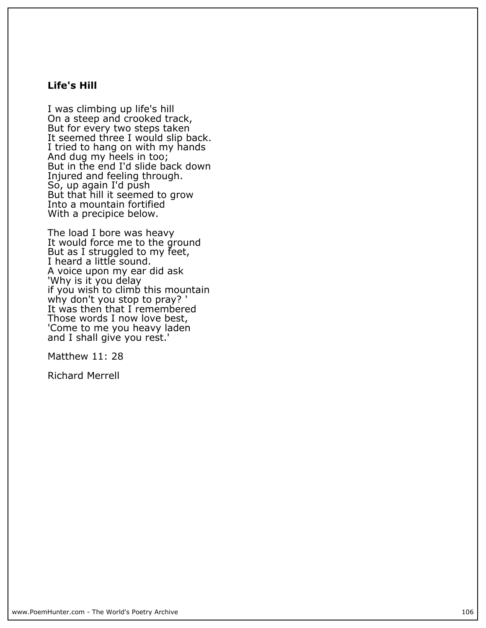## **Life's Hill**

**I was climbing up life's hill On a steep and crooked track, But for every two steps taken** It seemed three I would slip back. **I tried to hang on with my hands And dug my heels in too; But in the end I'd slide back down Injured and feeling through. So, up again I'd push But that hill it seemed to grow Into a mountain fortified With a precipice below.**

**The load I bore was heavy It would force me to the ground But as I struggled to my feet, I heard a little sound. A voice upon my ear did ask 'Why is it you delay if you wish to climb this mountain why don't you stop to pray? ' It was then that I remembered Those words I now love best, 'Come to me you heavy laden and I shall give you rest.'**

**Matthew 11: 28**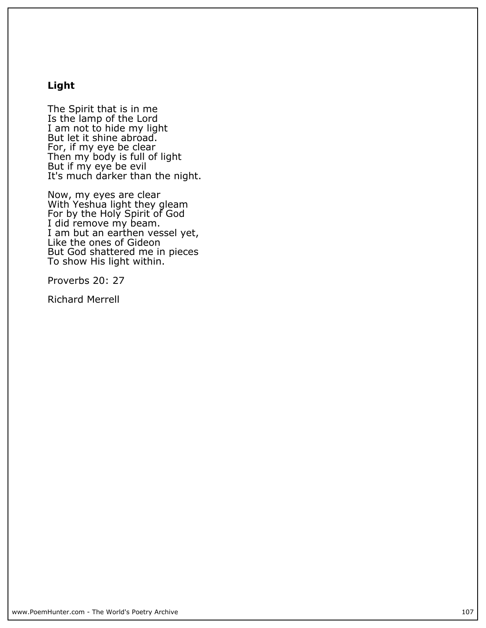# **Light**

**The Spirit that is in me Is the lamp of the Lord I am not to hide my light** But let it shine abroad. **For, if my eye be clear Then my body is full of light But if my eye be evil It's much darker than the night.**

**Now, my eyes are clear With Yeshua light they gleam For by the Holy Spirit of God I did remove my beam. I am but an earthen vessel yet, Like the ones of Gideon But God shattered me in pieces To show His light within.**

**Proverbs 20: 27**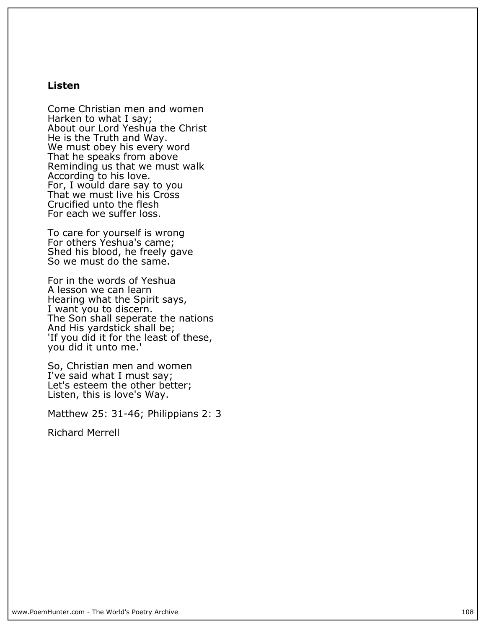#### **Listen**

**Come Christian men and women Harken to what I say; About our Lord Yeshua the Christ He is the Truth and Way. We must obey his every word That he speaks from above Reminding us that we must walk According to his love. For, I would dare say to you** That we must live his Cross **Crucified unto the flesh For each we suffer loss.**

**To care for yourself is wrong For others Yeshua's came; Shed his blood, he freely gave So we must do the same.**

**For in the words of Yeshua A lesson we can learn Hearing what the Spirit says, I want you to discern. The Son shall seperate the nations And His yardstick shall be; 'If you did it for the least of these, you did it unto me.'**

**So, Christian men and women I've said what I must say; Let's esteem the other better; Listen, this is love's Way.**

**Matthew 25: 31-46; Philippians 2: 3**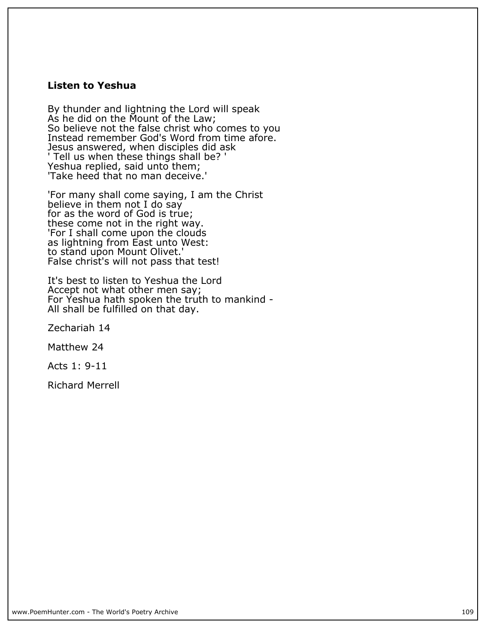#### **Listen to Yeshua**

**By thunder and lightning the Lord will speak As he did on the Mount of the Law; So believe not the false christ who comes to you Instead remember God's Word from time afore. Jesus answered, when disciples did ask ' Tell us when these things shall be? ' Yeshua replied, said unto them; 'Take heed that no man deceive.'**

**'For many shall come saying, I am the Christ** believe in them not I do say **for as the word of God is true; these come not in the right way. 'For I shall come upon the clouds as lightning from East unto West: to stand upon Mount Olivet.' False christ's will not pass that test!**

**It's best to listen to Yeshua the Lord Accept not what other men say; For Yeshua hath spoken the truth to mankind - All shall be fulfilled on that day.**

**Zechariah 14**

**Matthew 24**

**Acts 1: 9-11**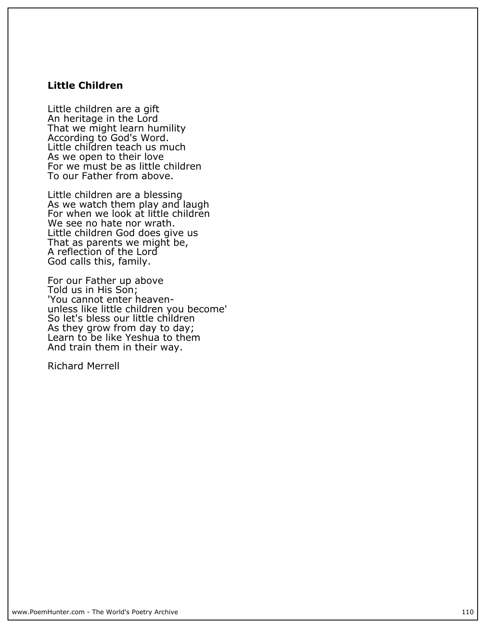## **Little Children**

**Little children are a gift An heritage in the Lord That we might learn humility According to God's Word. Little children teach us much As we open to their love For we must be as little children To our Father from above.**

**Little children are a blessing As we watch them play and laugh For when we look at little children We see no hate nor wrath. Little children God does give us That as parents we might be, A reflection of the Lord God calls this, family.**

**For our Father up above Told us in His Son; 'You cannot enter heavenunless like little children you become' So let's bless our little children As they grow from day to day; Learn to be like Yeshua to them And train them in their way.**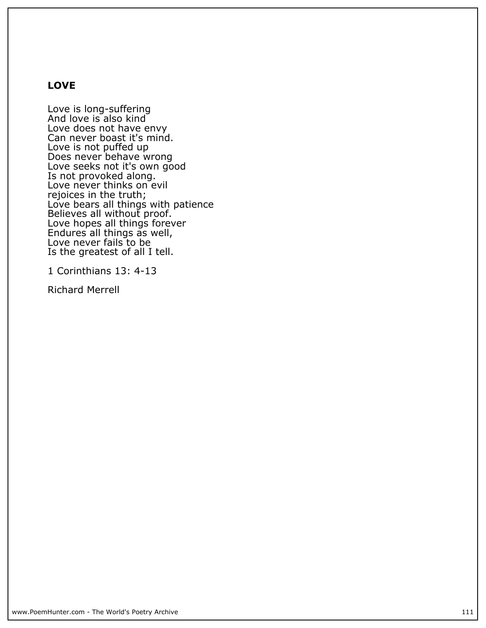## **LOVE**

**Love is long-suffering And love is also kind Love does not have envy Can never boast it's mind. Love is not puffed up Does never behave wrong Love seeks not it's own good Is not provoked along. Love never thinks on evil rejoices in the truth; Love bears all things with patience Believes all without proof. Love hopes all things forever Endures all things as well, Love never fails to be Is the greatest of all I tell.**

**1 Corinthians 13: 4-13**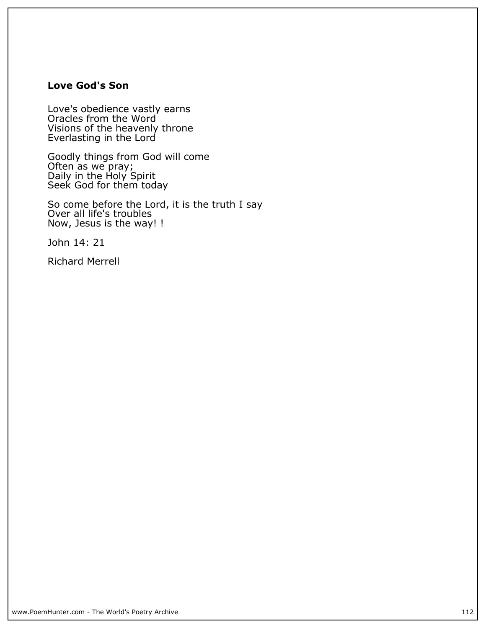## **Love God's Son**

**Love's obedience vastly earns Oracles from the Word Visions of the heavenly throne Everlasting in the Lord**

**Goodly things from God will come Often as we pray; Daily in the Holy Spirit Seek God for them today**

**So come before the Lord, it is the truth I say Over all life's troubles Now, Jesus is the way! !**

**John 14: 21**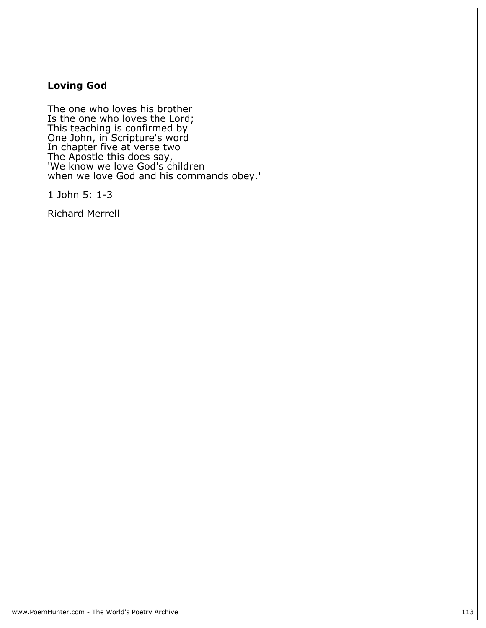## **Loving God**

**The one who loves his brother Is the one who loves the Lord; This teaching is confirmed by One John, in Scripture's word In chapter five at verse two The Apostle this does say, 'We know we love God's children when we love God and his commands obey.'**

**1 John 5: 1-3**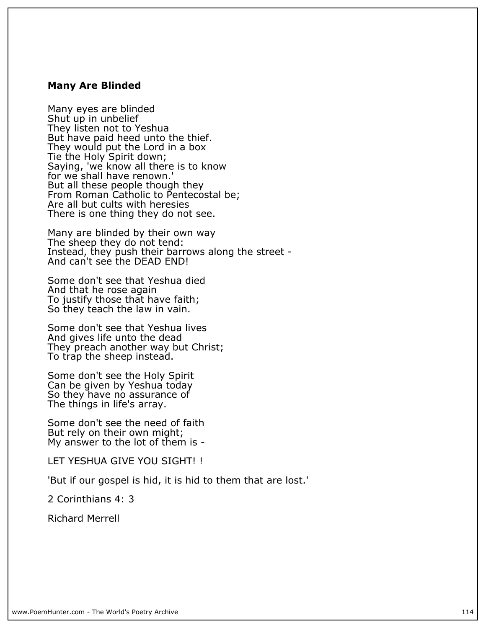#### **Many Are Blinded**

**Many eyes are blinded Shut up in unbelief They listen not to Yeshua But have paid heed unto the thief. They would put the Lord in a box Tie the Holy Spirit down; Saying, 'we know all there is to know for we shall have renown.' But all these people though they From Roman Catholic to Pentecostal be; Are all but cults with heresies There is one thing they do not see.**

**Many are blinded by their own way** The sheep they do not tend: Instead, they push their barrows along the street -**And can't see the DEAD END!**

**Some don't see that Yeshua died And that he rose again To justify those that have faith; So they teach the law in vain.**

**Some don't see that Yeshua lives And gives life unto the dead They preach another way but Christ; To trap the sheep instead.**

**Some don't see the Holy Spirit Can be given by Yeshua today So they have no assurance of The things in life's array.**

**Some don't see the need of faith But rely on their own might; My answer to the lot of them is -**

**LET YESHUA GIVE YOU SIGHT! !**

**'But if our gospel is hid, it is hid to them that are lost.'**

**2 Corinthians 4: 3**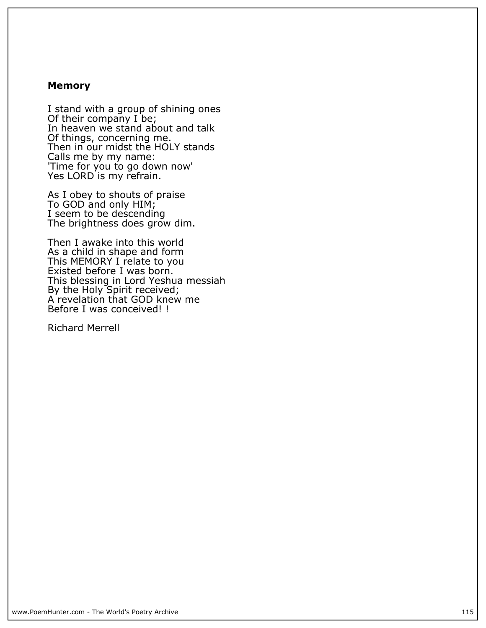#### **Memory**

**I stand with a group of shining ones Of their company I be; In heaven we stand about and talk Of things, concerning me. Then in our midst the HOLY stands Calls me by my name: 'Time for you to go down now' Yes LORD is my refrain.**

**As I obey to shouts of praise To GOD and only HIM; I seem to be descending The brightness does grow dim.**

**Then I awake into this world As a child in shape and form This MEMORY I relate to you Existed before I was born. This blessing in Lord Yeshua messiah By the Holy Spirit received; A revelation that GOD knew me Before I was conceived! !**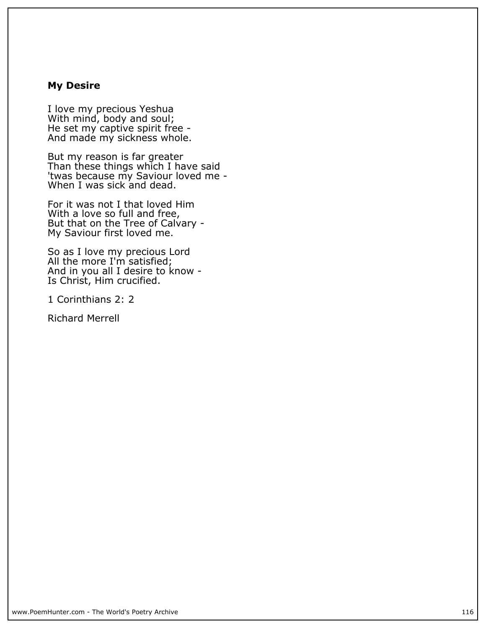#### **My Desire**

**I love my precious Yeshua With mind, body and soul; He set my captive spirit free - And made my sickness whole.**

**But my reason is far greater Than these things which I have said 'twas because my Saviour loved me - When I was sick and dead.**

**For it was not I that loved Him With a love so full and free, But that on the Tree of Calvary - My Saviour first loved me.**

**So as I love my precious Lord All the more I'm satisfied; And in you all I desire to know - Is Christ, Him crucified.**

**1 Corinthians 2: 2**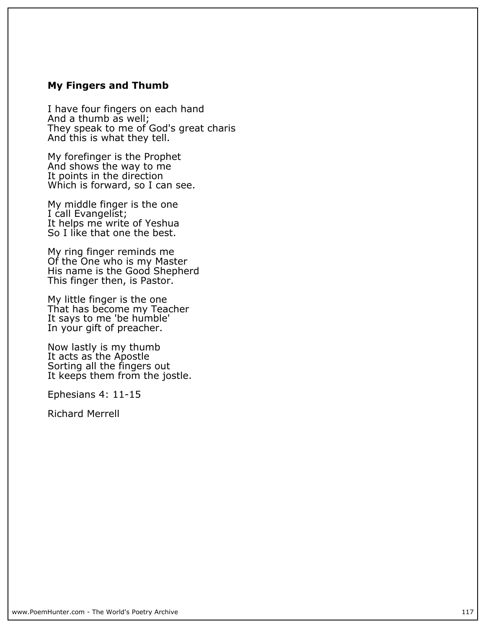#### **My Fingers and Thumb**

**I have four fingers on each hand And a thumb as well; They speak to me of God's great charis And this is what they tell.**

**My forefinger is the Prophet And shows the way to me It points in the direction Which is forward, so I can see.**

**My middle finger is the one I call Evangelist; It helps me write of Yeshua So I like that one the best.**

**My ring finger reminds me Of the One who is my Master His name is the Good Shepherd This finger then, is Pastor.**

**My little finger is the one That has become my Teacher It says to me 'be humble' In your gift of preacher.**

**Now lastly is my thumb It acts as the Apostle Sorting all the fingers out It keeps them from the jostle.**

**Ephesians 4: 11-15**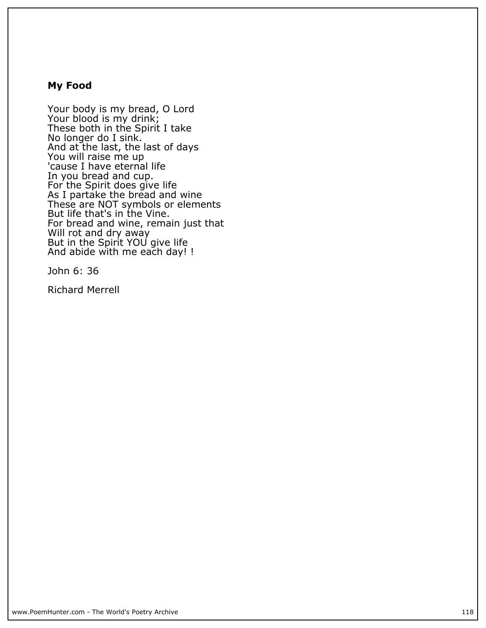#### **My Food**

**Your body is my bread, O Lord Your blood is my drink; These both in the Spirit I take No longer do I sink. And at the last, the last of days You will raise me up** 'cause I have eternal life **In you bread and cup. For the Spirit does give life As I partake the bread and wine These are NOT symbols or elements But life that's in the Vine. For bread and wine, remain just that Will rot and dry away But in the Spirit YOU give life And abide with me each day! !**

**John 6: 36**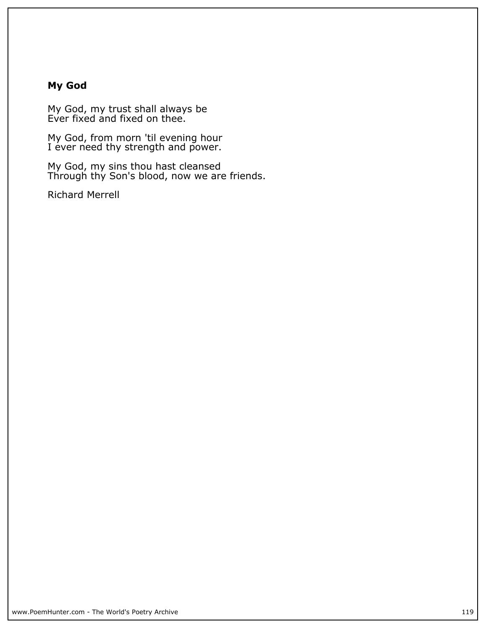## **My God**

**My God, my trust shall always be Ever fixed and fixed on thee.**

**My God, from morn 'til evening hour I ever need thy strength and power.**

**My God, my sins thou hast cleansed Through thy Son's blood, now we are friends.**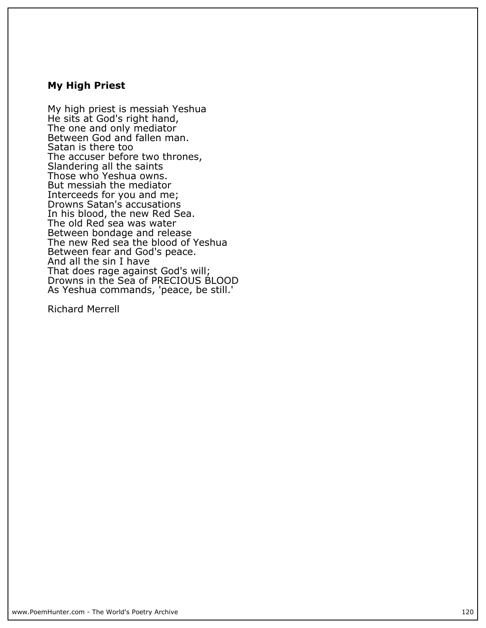#### **My High Priest**

**My high priest is messiah Yeshua He sits at God's right hand, The one and only mediator Between God and fallen man. Satan is there too The accuser before two thrones, Slandering all the saints Those who Yeshua owns. But messiah the mediator Interceeds for you and me; Drowns Satan's accusations In his blood, the new Red Sea. The old Red sea was water Between bondage and release The new Red sea the blood of Yeshua Between fear and God's peace. And all the sin I have That does rage against God's will; Drowns in the Sea of PRECIOUS BLOOD As Yeshua commands, 'peace, be still.'**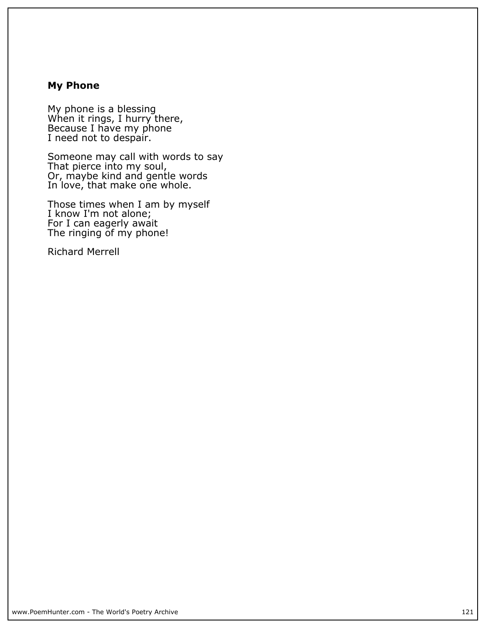## **My Phone**

**My phone is a blessing When it rings, I hurry there, Because I have my phone I need not to despair.**

**Someone may call with words to say That pierce into my soul, Or, maybe kind and gentle words In love, that make one whole.**

**Those times when I am by myself I know I'm not alone; For I can eagerly await The ringing of my phone!**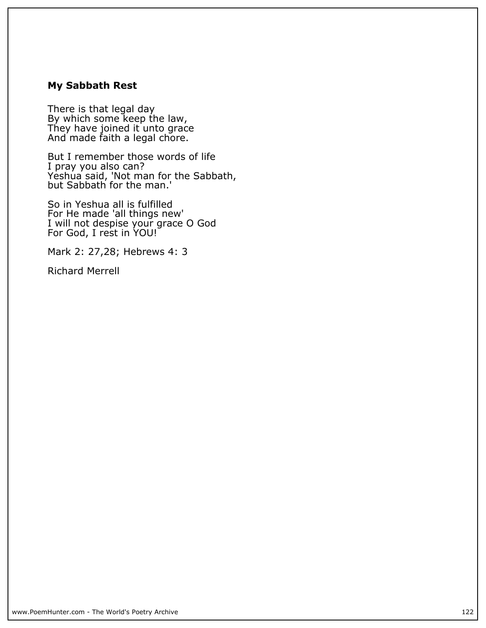## **My Sabbath Rest**

**There is that legal day By which some keep the law, They have joined it unto grace And made faith a legal chore.**

**But I remember those words of life I pray you also can? Yeshua said, 'Not man for the Sabbath, but Sabbath for the man.'**

**So in Yeshua all is fulfilled For He made 'all things new' I will not despise your grace O God For God, I rest in YOU!**

**Mark 2: 27,28; Hebrews 4: 3**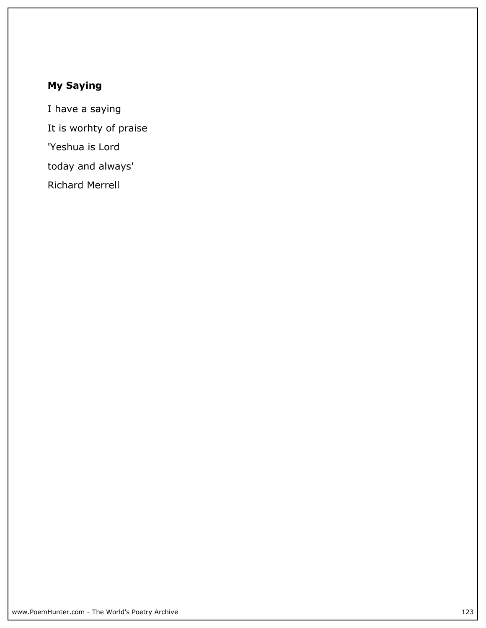# **My Saying**

**I have a saying It is worhty of praise 'Yeshua is Lord today and always' Richard Merrell**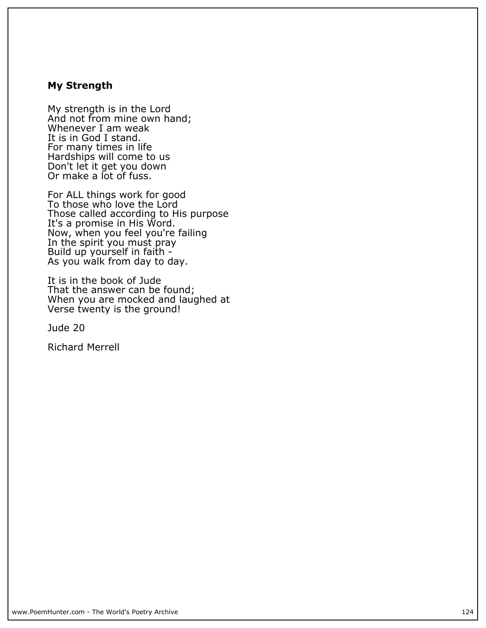#### **My Strength**

**My strength is in the Lord And not from mine own hand; Whenever I am weak It is in God I stand. For many times in life Hardships will come to us Don't let it get you down Or make a lot of fuss.**

**For ALL things work for good To those who love the Lord Those called according to His purpose It's a promise in His Word. Now, when you feel you're failing In the spirit you must pray Build up yourself in faith - As you walk from day to day.**

**It is in the book of Jude That the answer can be found; When you are mocked and laughed at Verse twenty is the ground!**

**Jude 20**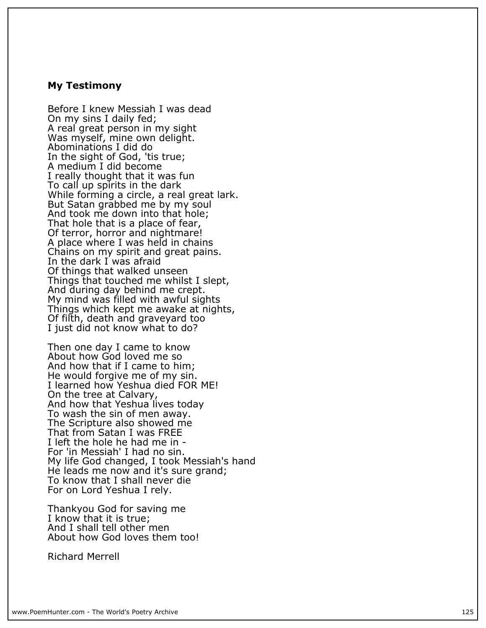#### **My Testimony**

**Before I knew Messiah I was dead On my sins I daily fed; A real great person in my sight Was myself, mine own delight. Abominations I did do In the sight of God, 'tis true; A medium I did become I really thought that it was fun To call up spirits in the dark While forming a circle, a real great lark. But Satan grabbed me by my soul And took me down into that hole; That hole that is a place of fear, Of terror, horror and nightmare! A place where I was held in chains Chains on my spirit and great pains. In the dark I was afraid Of things that walked unseen Things that touched me whilst I slept, And during day behind me crept. My mind was filled with awful sights Things which kept me awake at nights, Of filth, death and graveyard too I just did not know what to do?**

**Then one day I came to know About how God loved me so And how that if I came to him; He would forgive me of my sin. I learned how Yeshua died FOR ME! On the tree at Calvary, And how that Yeshua lives today To wash the sin of men away. The Scripture also showed me That from Satan I was FREE I left the hole he had me in - For 'in Messiah' I had no sin. My life God changed, I took Messiah's hand He leads me now and it's sure grand; To know that I shall never die For on Lord Yeshua I rely.**

**Thankyou God for saving me I know that it is true; And I shall tell other men About how God loves them too!**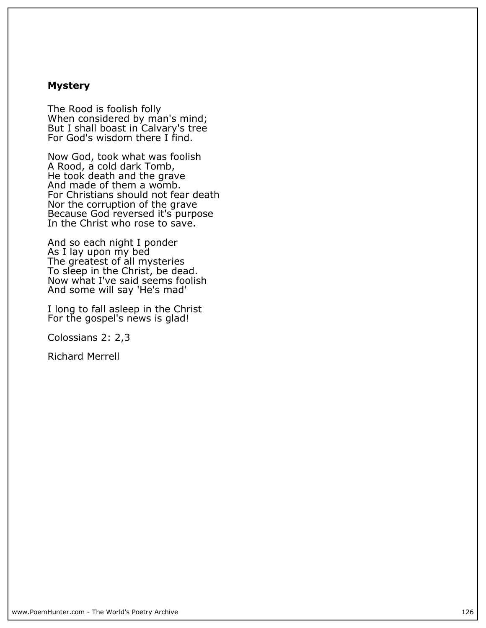#### **Mystery**

**The Rood is foolish folly When considered by man's mind; But I shall boast in Calvary's tree For God's wisdom there I find.**

**Now God, took what was foolish A Rood, a cold dark Tomb, He took death and the grave And made of them a womb. For Christians should not fear death Nor the corruption of the grave Because God reversed it's purpose In the Christ who rose to save.**

**And so each night I ponder As I lay upon my bed The greatest of all mysteries To sleep in the Christ, be dead. Now what I've said seems foolish And some will say 'He's mad'**

**I long to fall asleep in the Christ For the gospel's news is glad!**

**Colossians 2: 2,3**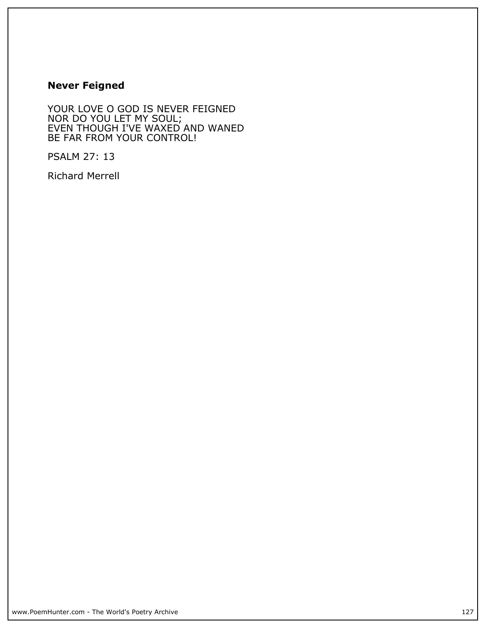## **Never Feigned**

**YOUR LOVE O GOD IS NEVER FEIGNED NOR DO YOU LET MY SOUL; EVEN THOUGH I'VE WAXED AND WANED BE FAR FROM YOUR CONTROL!**

**PSALM 27: 13**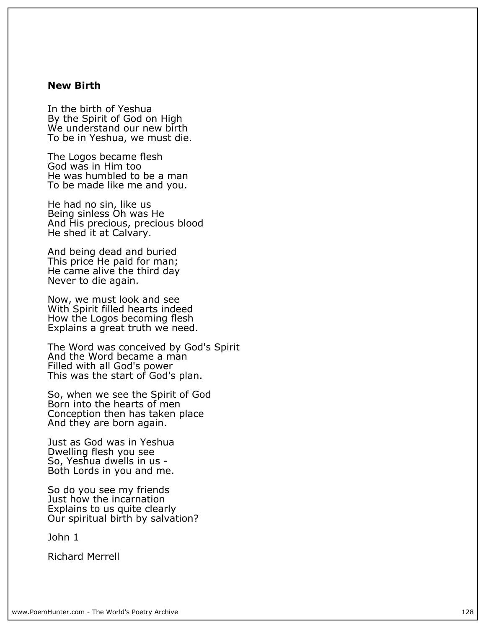#### **New Birth**

**In the birth of Yeshua By the Spirit of God on High We understand our new birth To be in Yeshua, we must die.**

**The Logos became flesh God was in Him too He was humbled to be a man To be made like me and you.**

**He had no sin, like us Being sinless Oh was He And His precious, precious blood He shed it at Calvary.**

**And being dead and buried This price He paid for man; He came alive the third day Never to die again.**

**Now, we must look and see With Spirit filled hearts indeed How the Logos becoming flesh Explains a great truth we need.**

**The Word was conceived by God's Spirit And the Word became a man Filled with all God's power This was the start of God's plan.**

**So, when we see the Spirit of God Born into the hearts of men Conception then has taken place And they are born again.**

**Just as God was in Yeshua Dwelling flesh you see So, Yeshua dwells in us - Both Lords in you and me.**

**So do you see my friends Just how the incarnation Explains to us quite clearly Our spiritual birth by salvation?**

**John 1**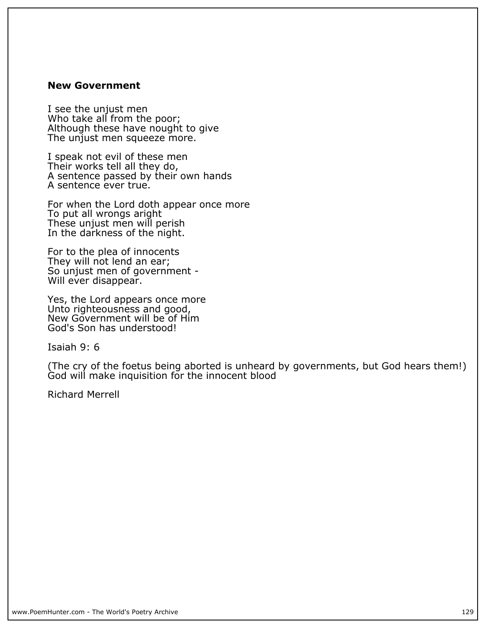#### **New Government**

**I see the unjust men Who take all from the poor; Although these have nought to give The unjust men squeeze more.**

**I speak not evil of these men Their works tell all they do, A sentence passed by their own hands A sentence ever true.**

**For when the Lord doth appear once more To put all wrongs aright These unjust men will perish In the darkness of the night.**

**For to the plea of innocents They will not lend an ear; So unjust men of government - Will ever disappear.**

**Yes, the Lord appears once more Unto righteousness and good, New Government will be of Him God's Son has understood!**

**Isaiah 9: 6**

**(The cry of the foetus being aborted is unheard by governments, but God hears them!) God will make inquisition for the innocent blood**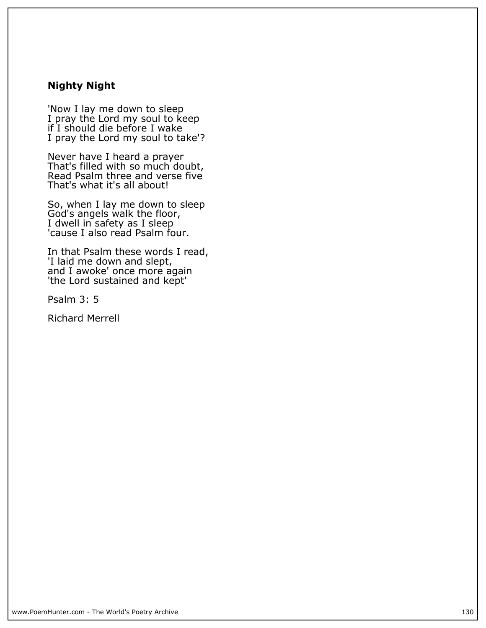## **Nighty Night**

**'Now I lay me down to sleep I pray the Lord my soul to keep if I should die before I wake I pray the Lord my soul to take'?**

**Never have I heard a prayer That's filled with so much doubt, Read Psalm three and verse five That's what it's all about!**

**So, when I lay me down to sleep God's angels walk the floor, I dwell in safety as I sleep 'cause I also read Psalm four.**

**In that Psalm these words I read, 'I laid me down and slept, and I awoke' once more again 'the Lord sustained and kept'**

**Psalm 3: 5**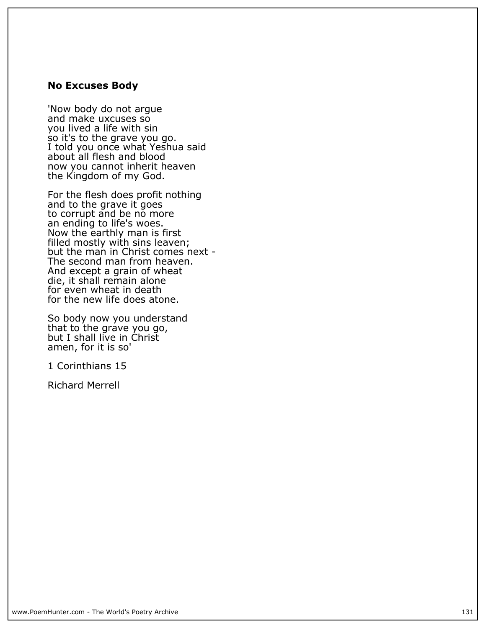#### **No Excuses Body**

**'Now body do not argue and make uxcuses so you lived a life with sin so it's to the grave you go. I told you once what Yeshua said about all flesh and blood now you cannot inherit heaven the Kingdom of my God.**

**For the flesh does profit nothing and to the grave it goes to corrupt and be no more an ending to life's woes. Now the earthly man is first filled mostly with sins leaven; but the man in Christ comes next - The second man from heaven. And except a grain of wheat die, it shall remain alone for even wheat in death for the new life does atone.**

**So body now you understand that to the grave you go, but I shall live in Christ amen, for it is so'**

**1 Corinthians 15**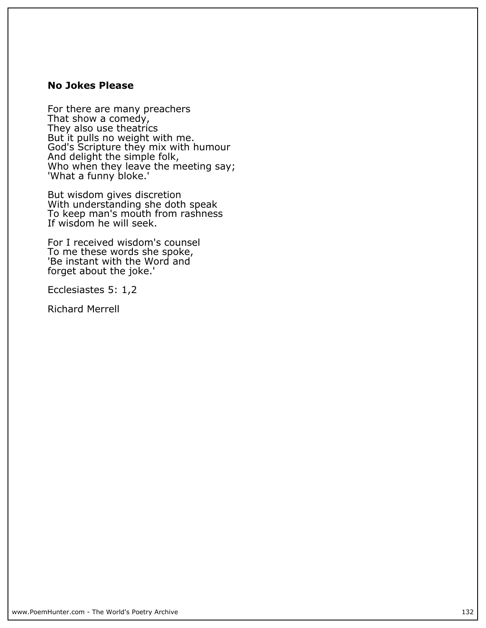## **No Jokes Please**

**For there are many preachers That show a comedy, They also use theatrics But it pulls no weight with me. God's Scripture they mix with humour And delight the simple folk, Who when they leave the meeting say; 'What a funny bloke.'**

**But wisdom gives discretion With understanding she doth speak To keep man's mouth from rashness If wisdom he will seek.**

**For I received wisdom's counsel To me these words she spoke, 'Be instant with the Word and forget about the joke.'**

**Ecclesiastes 5: 1,2**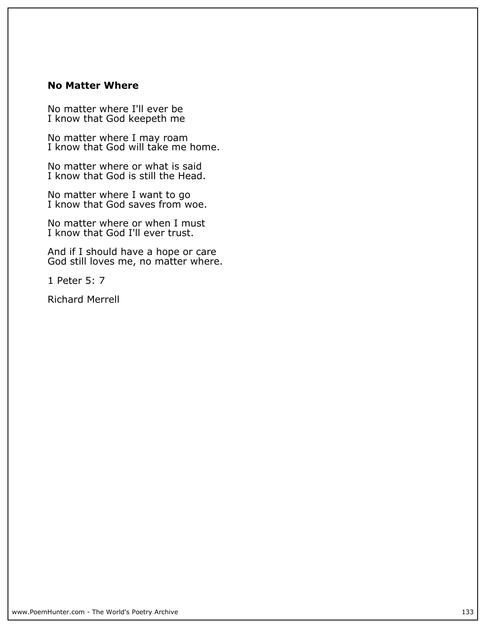#### **No Matter Where**

**No matter where I'll ever be I know that God keepeth me**

**No matter where I may roam I know that God will take me home.**

**No matter where or what is said I know that God is still the Head.**

**No matter where I want to go I know that God saves from woe.**

**No matter where or when I must I know that God I'll ever trust.**

**And if I should have a hope or care God still loves me, no matter where.**

**1 Peter 5: 7**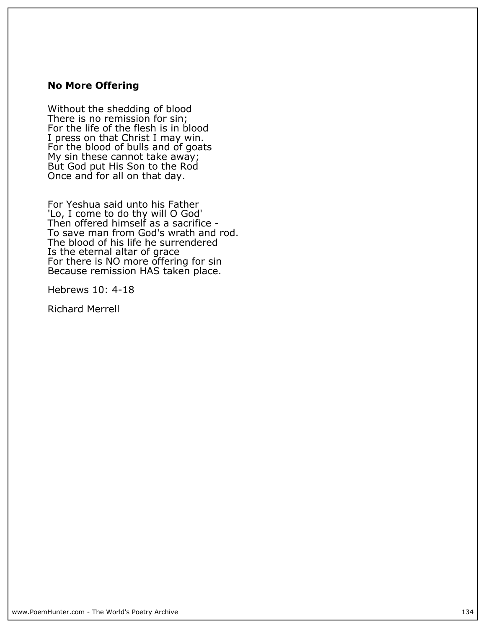#### **No More Offering**

**Without the shedding of blood There is no remission for sin; For the life of the flesh is in blood I press on that Christ I may win. For the blood of bulls and of goats My sin these cannot take away; But God put His Son to the Rod Once and for all on that day.**

**For Yeshua said unto his Father 'Lo, I come to do thy will O God' Then offered himself as a sacrifice - To save man from God's wrath and rod. The blood of his life he surrendered Is the eternal altar of grace For there is NO more offering for sin Because remission HAS taken place.**

**Hebrews 10: 4-18**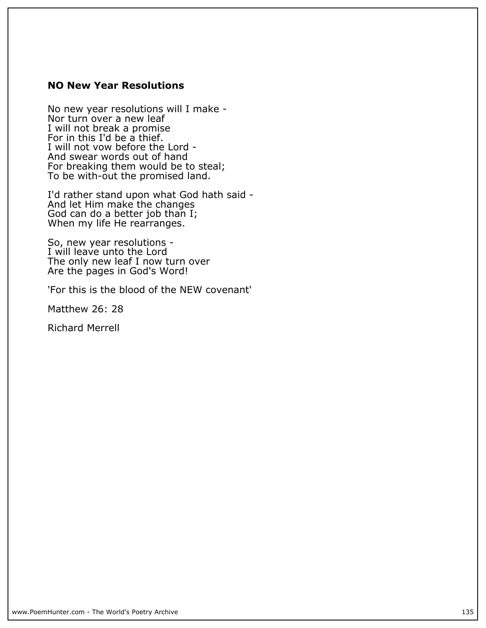## **NO New Year Resolutions**

**No new year resolutions will I make - Nor turn over a new leaf I will not break a promise For in this I'd be a thief. I will not vow before the Lord - And swear words out of hand For breaking them would be to steal; To be with-out the promised land.**

**I'd rather stand upon what God hath said - And let Him make the changes God can do a better job than I; When my life He rearranges.**

**So, new year resolutions - I will leave unto the Lord The only new leaf I now turn over Are the pages in God's Word!**

**'For this is the blood of the NEW covenant'**

**Matthew 26: 28**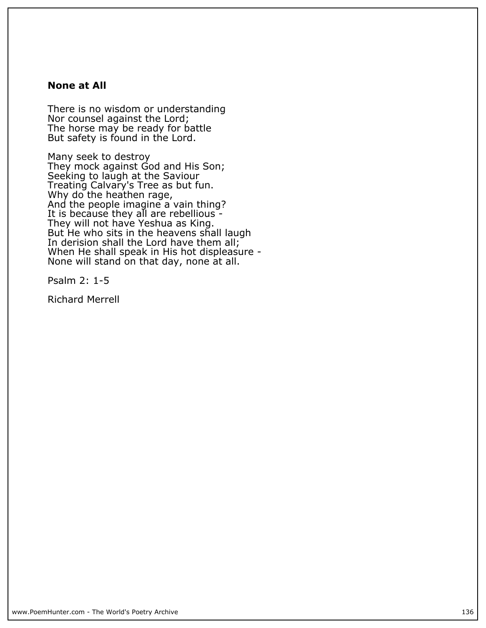#### **None at All**

**There is no wisdom or understanding Nor counsel against the Lord; The horse may be ready for battle But safety is found in the Lord.**

**Many seek to destroy They mock against God and His Son; Seeking to laugh at the Saviour Treating Calvary's Tree as but fun. Why do the heathen rage, And the people imagine a vain thing? It is because they all are rebellious - They will not have Yeshua as King. But He who sits in the heavens shall laugh In derision shall the Lord have them all; When He shall speak in His hot displeasure -** None will stand on that day, none at all.

**Psalm 2: 1-5**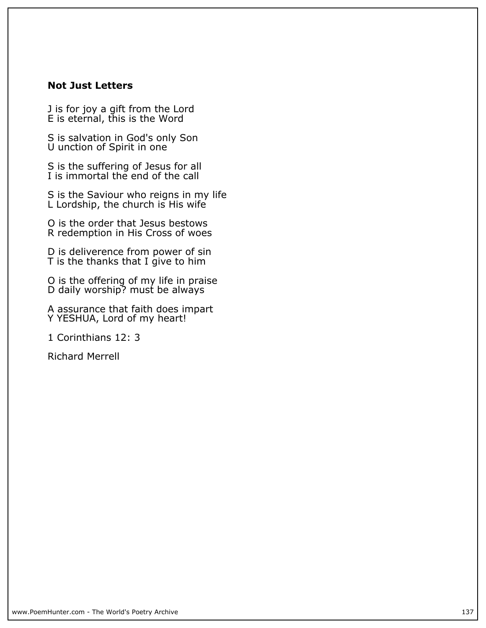## **Not Just Letters**

**J is for joy a gift from the Lord E is eternal, this is the Word**

**S is salvation in God's only Son U unction of Spirit in one**

**S is the suffering of Jesus for all I is immortal the end of the call**

**S is the Saviour who reigns in my life L Lordship, the church is His wife**

**O is the order that Jesus bestows R redemption in His Cross of woes**

**D is deliverence from power of sin T is the thanks that I give to him**

**O is the offering of my life in praise D daily worship? must be always**

**A assurance that faith does impart Y YESHUA, Lord of my heart!**

**1 Corinthians 12: 3**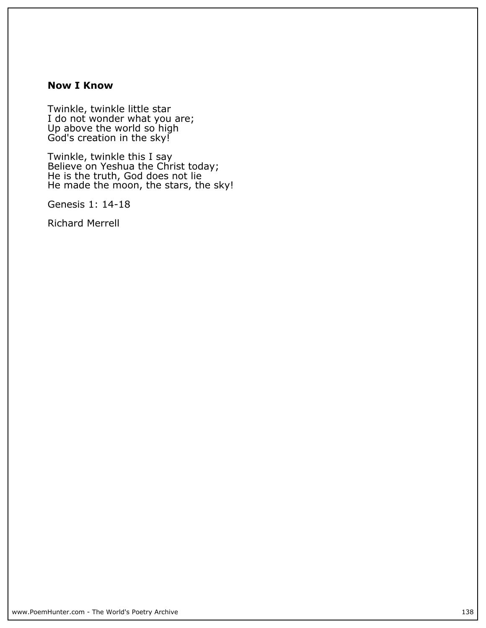#### **Now I Know**

**Twinkle, twinkle little star I do not wonder what you are; Up above the world so high God's creation in the sky!**

**Twinkle, twinkle this I say Believe on Yeshua the Christ today; He is the truth, God does not lie He made the moon, the stars, the sky!**

**Genesis 1: 14-18**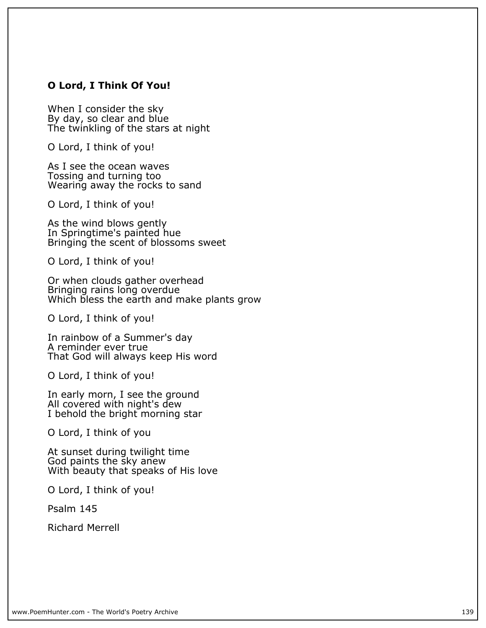## **O Lord, I Think Of You!**

**When I consider the sky** By day, so clear and blue **The twinkling of the stars at night**

**O Lord, I think of you!**

**As I see the ocean waves Tossing and turning too Wearing away the rocks to sand**

**O Lord, I think of you!**

**As the wind blows gently In Springtime's painted hue Bringing the scent of blossoms sweet**

**O Lord, I think of you!**

**Or when clouds gather overhead Bringing rains long overdue Which bless the earth and make plants grow**

**O Lord, I think of you!**

**In rainbow of a Summer's day A reminder ever true That God will always keep His word**

**O Lord, I think of you!**

**In early morn, I see the ground All covered with night's dew I behold the bright morning star**

**O Lord, I think of you**

**At sunset during twilight time God paints the sky anew With beauty that speaks of His love**

**O Lord, I think of you!**

**Psalm 145**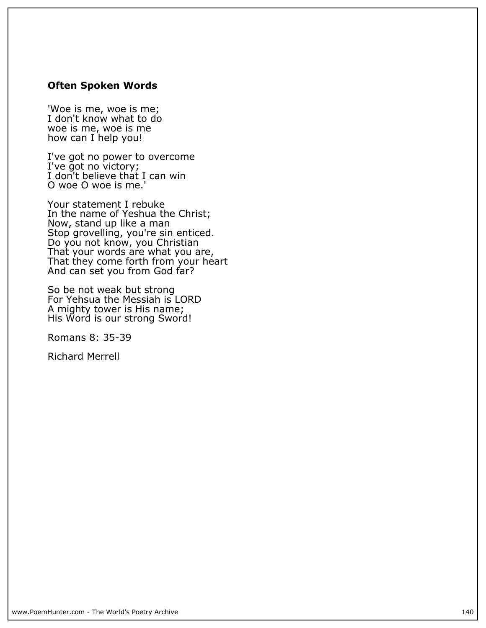#### **Often Spoken Words**

**'Woe is me, woe is me; I don't know what to do woe is me, woe is me how can I help you!**

**I've got no power to overcome I've got no victory; I don't believe that I can win O woe O woe is me.'**

**Your statement I rebuke In the name of Yeshua the Christ; Now, stand up like a man Stop grovelling, you're sin enticed. Do you not know, you Christian That your words are what you are, That they come forth from your heart** And can set you from God far?

**So be not weak but strong For Yehsua the Messiah is LORD A mighty tower is His name; His Word is our strong Sword!**

**Romans 8: 35-39**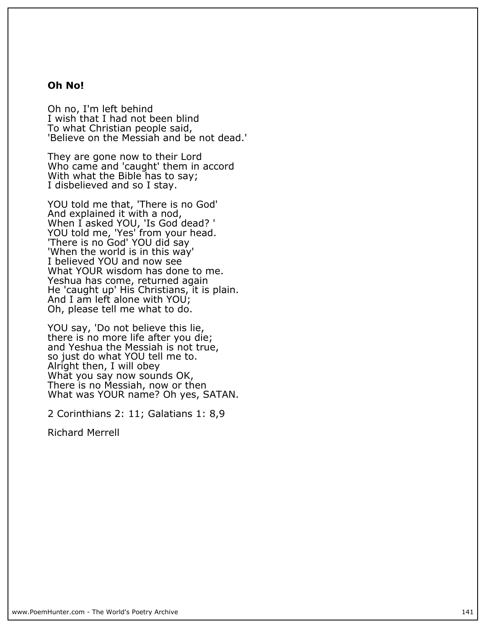#### **Oh No!**

**Oh no, I'm left behind I wish that I had not been blind To what Christian people said, 'Believe on the Messiah and be not dead.'**

**They are gone now to their Lord Who came and 'caught' them in accord With what the Bible has to say; I disbelieved and so I stay.**

**YOU told me that, 'There is no God' And explained it with a nod, When I asked YOU, 'Is God dead? ' YOU told me, 'Yes' from your head. 'There is no God' YOU did say 'When the world is in this way' I believed YOU and now see What YOUR wisdom has done to me. Yeshua has come, returned again He 'caught up' His Christians, it is plain. And I am left alone with YOU; Oh, please tell me what to do.**

**YOU say, 'Do not believe this lie, there is no more life after you die; and Yeshua the Messiah is not true, so just do what YOU tell me to. Alright then, I will obey What you say now sounds OK, There is no Messiah, now or then What was YOUR name? Oh yes, SATAN.**

**2 Corinthians 2: 11; Galatians 1: 8,9**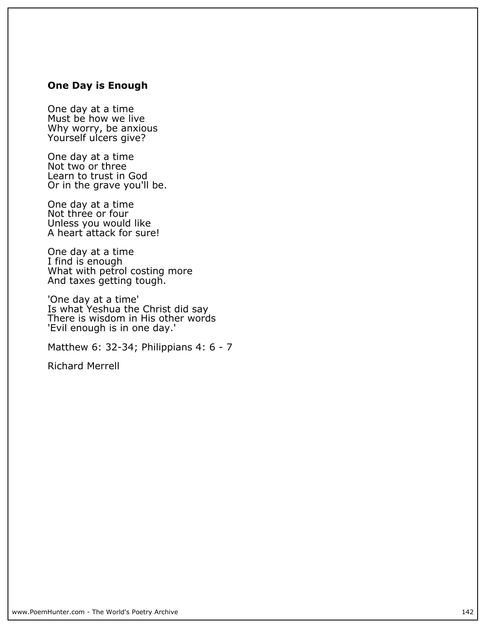## **One Day is Enough**

**One day at a time Must be how we live Why worry, be anxious Yourself ulcers give?**

**One day at a time Not two or three Learn to trust in God Or in the grave you'll be.**

**One day at a time** Not three or four **Unless you would like A heart attack for sure!**

**One day at a time I find is enough What with petrol costing more And taxes getting tough.**

**'One day at a time' Is what Yeshua the Christ did say There is wisdom in His other words 'Evil enough is in one day.'**

**Matthew 6: 32-34; Philippians 4: 6 - 7**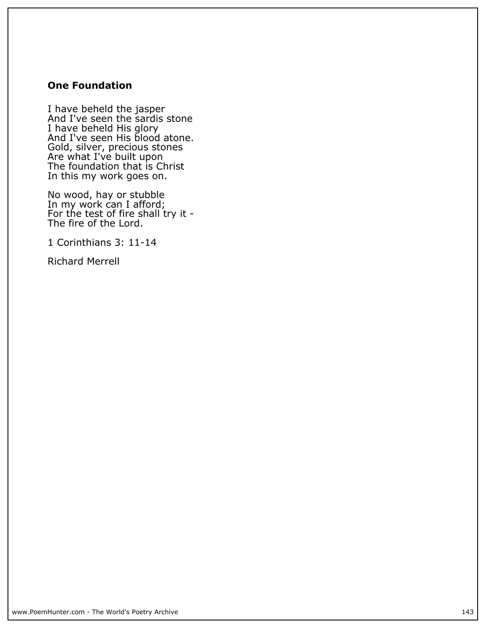## **One Foundation**

**I have beheld the jasper And I've seen the sardis stone I have beheld His glory And I've seen His blood atone. Gold, silver, precious stones Are what I've built upon The foundation that is Christ In this my work goes on.**

**No wood, hay or stubble In my work can I afford; For the test of fire shall try it - The fire of the Lord.**

**1 Corinthians 3: 11-14**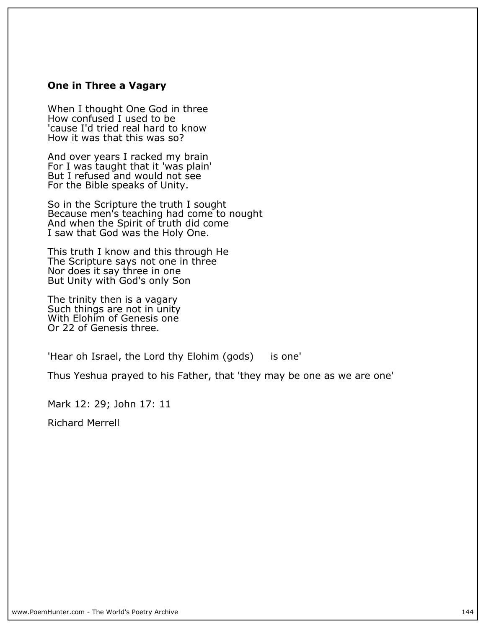#### **One in Three a Vagary**

**When I thought One God in three How confused I used to be 'cause I'd tried real hard to know How it was that this was so?**

**And over years I racked my brain For I was taught that it 'was plain' But I refused and would not see For the Bible speaks of Unity.**

**So in the Scripture the truth I sought Because men's teaching had come to nought And when the Spirit of truth did come I saw that God was the Holy One.**

**This truth I know and this through He The Scripture says not one in three Nor does it say three in one But Unity with God's only Son**

**The trinity then is a vagary Such things are not in unity With Elohim of Genesis one Or 22 of Genesis three.**

**'Hear oh Israel, the Lord thy Elohim (gods) is one'**

**Thus Yeshua prayed to his Father, that 'they may be one as we are one'**

**Mark 12: 29; John 17: 11**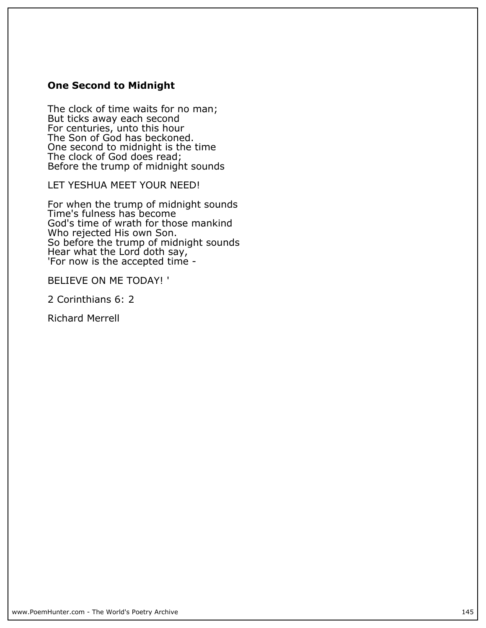# **One Second to Midnight**

**The clock of time waits for no man; But ticks away each second For centuries, unto this hour** The Son of God has beckoned. **One second to midnight is the time The clock of God does read; Before the trump of midnight sounds**

**LET YESHUA MEET YOUR NEED!**

**For when the trump of midnight sounds Time's fulness has become God's time of wrath for those mankind Who rejected His own Son. So before the trump of midnight sounds Hear what the Lord doth say, 'For now is the accepted time -**

**BELIEVE ON ME TODAY! '**

**2 Corinthians 6: 2**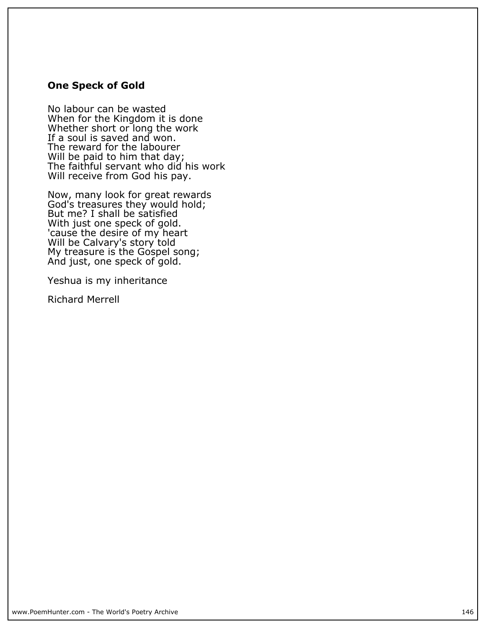### **One Speck of Gold**

**No labour can be wasted When for the Kingdom it is done Whether short or long the work If a soul is saved and won. The reward for the labourer Will be paid to him that day; The faithful servant who did his work Will receive from God his pay.**

**Now, many look for great rewards God's treasures they would hold; But me? I shall be satisfied With just one speck of gold. 'cause the desire of my heart Will be Calvary's story told My treasure is the Gospel song; And just, one speck of gold.**

**Yeshua is my inheritance**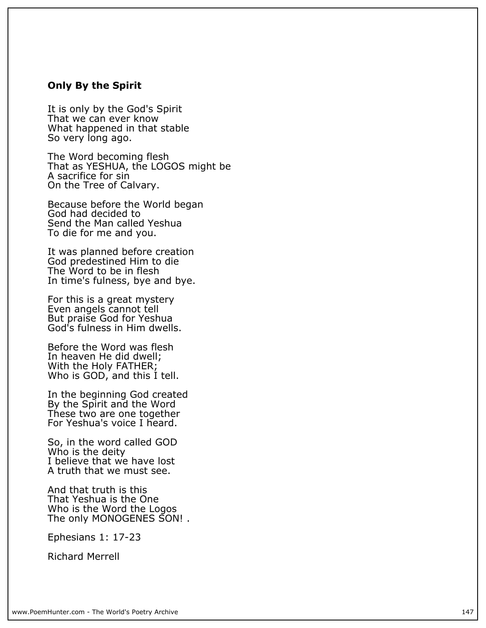### **Only By the Spirit**

**It is only by the God's Spirit That we can ever know What happened in that stable So very long ago.**

**The Word becoming flesh That as YESHUA, the LOGOS might be A sacrifice for sin On the Tree of Calvary.**

**Because before the World began God had decided to Send the Man called Yeshua To die for me and you.**

**It was planned before creation God predestined Him to die The Word to be in flesh In time's fulness, bye and bye.**

**For this is a great mystery Even angels cannot tell But praise God for Yeshua God's fulness in Him dwells.**

**Before the Word was flesh In heaven He did dwell; With the Holy FATHER;** Who is GOD, and this I tell.

**In the beginning God created By the Spirit and the Word These two are one together For Yeshua's voice I heard.**

**So, in the word called GOD Who is the deity I believe that we have lost A truth that we must see.**

**And that truth is this That Yeshua is the One Who is the Word the Logos The only MONOGENES SON! .**

**Ephesians 1: 17-23**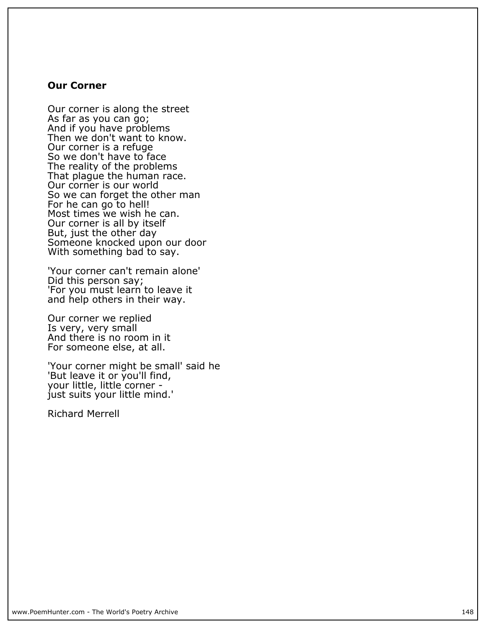### **Our Corner**

**Our corner is along the street As far as you can go; And if you have problems Then we don't want to know. Our corner is a refuge So we don't have to face The reality of the problems That plague the human race. Our corner is our world So we can forget the other man For he can go to hell! Most times we wish he can. Our corner is all by itself But, just the other day Someone knocked upon our door With something bad to say.**

**'Your corner can't remain alone' Did this person say; 'For you must learn to leave it and help others in their way.**

**Our corner we replied Is very, very small And there is no room in it For someone else, at all.**

**'Your corner might be small' said he 'But leave it or you'll find, your little, little corner just suits your little mind.'**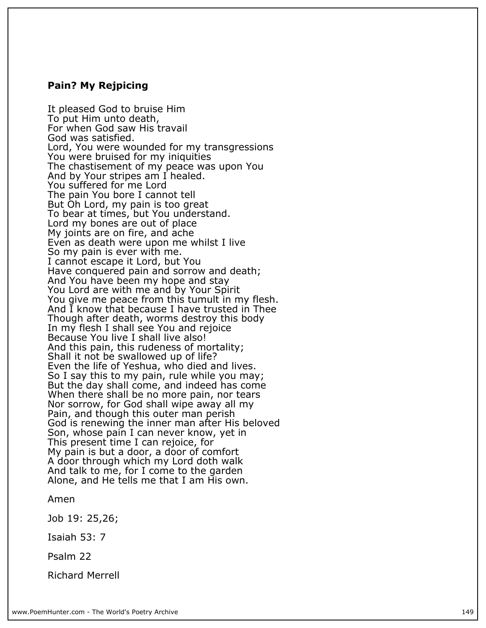### **Pain? My Rejpicing**

**It pleased God to bruise Him To put Him unto death, For when God saw His travail God was satisfied. Lord, You were wounded for my transgressions You were bruised for my iniquities The chastisement of my peace was upon You And by Your stripes am I healed. You suffered for me Lord The pain You bore I cannot tell But Oh Lord, my pain is too great To bear at times, but You understand. Lord my bones are out of place My joints are on fire, and ache Even as death were upon me whilst I live So my pain is ever with me. I cannot escape it Lord, but You Have conquered pain and sorrow and death; And You have been my hope and stay You Lord are with me and by Your Spirit You give me peace from this tumult in my flesh. And I know that because I have trusted in Thee Though after death, worms destroy this body In my flesh I shall see You and rejoice Because You live I shall live also! And this pain, this rudeness of mortality; Shall it not be swallowed up of life? Even the life of Yeshua, who died and lives. So I say this to my pain, rule while you may; But the day shall come, and indeed has come When there shall be no more pain, nor tears Nor sorrow, for God shall wipe away all my Pain, and though this outer man perish God is renewing the inner man after His beloved Son, whose pain I can never know, yet in This present time I can rejoice, for My pain is but a door, a door of comfort A door through which my Lord doth walk And talk to me, for I come to the garden Alone, and He tells me that I am His own.**

**Amen**

**Job 19: 25,26;**

**Isaiah 53: 7**

**Psalm 22**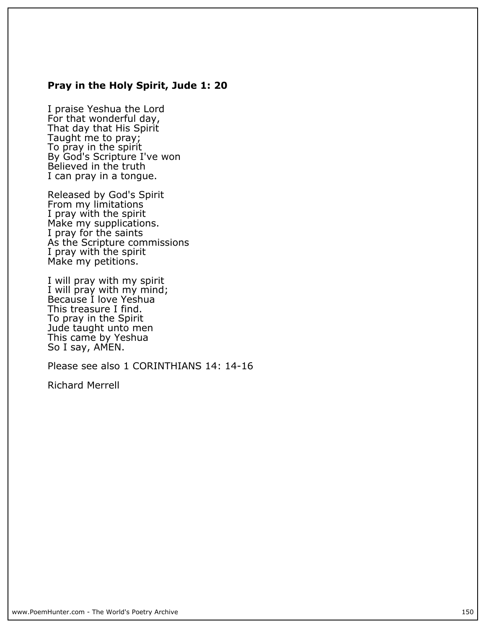### **Pray in the Holy Spirit, Jude 1: 20**

**I praise Yeshua the Lord For that wonderful day, That day that His Spirit Taught me to pray; To pray in the spirit By God's Scripture I've won Believed in the truth I can pray in a tongue.**

**Released by God's Spirit From my limitations I pray with the spirit Make my supplications. I pray for the saints As the Scripture commissions I pray with the spirit Make my petitions.**

**I will pray with my spirit I will pray with my mind; Because I love Yeshua This treasure I find. To pray in the Spirit Jude taught unto men This came by Yeshua So I say, AMEN.**

**Please see also 1 CORINTHIANS 14: 14-16**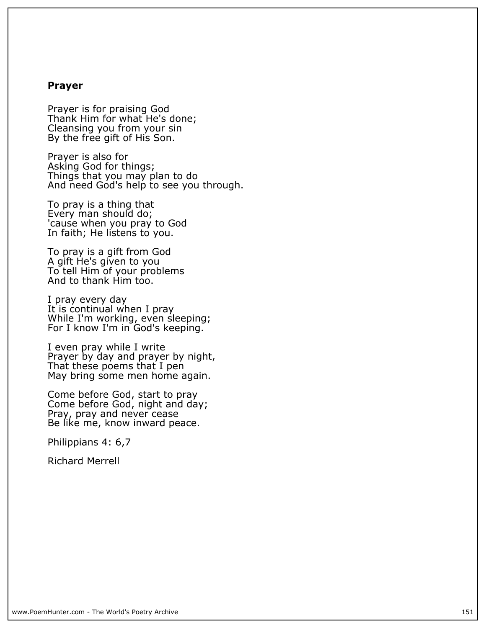### **Prayer**

**Prayer is for praising God Thank Him for what He's done; Cleansing you from your sin By the free gift of His Son.**

**Prayer is also for Asking God for things; Things that you may plan to do** And need God's help to see you through.

**To pray is a thing that Every man should do; 'cause when you pray to God In faith; He listens to you.**

**To pray is a gift from God A gift He's given to you To tell Him of your problems And to thank Him too.**

**I pray every day It is continual when I pray While I'm working, even sleeping; For I know I'm in God's keeping.**

**I even pray while I write Prayer by day and prayer by night, That these poems that I pen May bring some men home again.**

**Come before God, start to pray Come before God, night and day; Pray, pray and never cease Be like me, know inward peace.**

**Philippians 4: 6,7**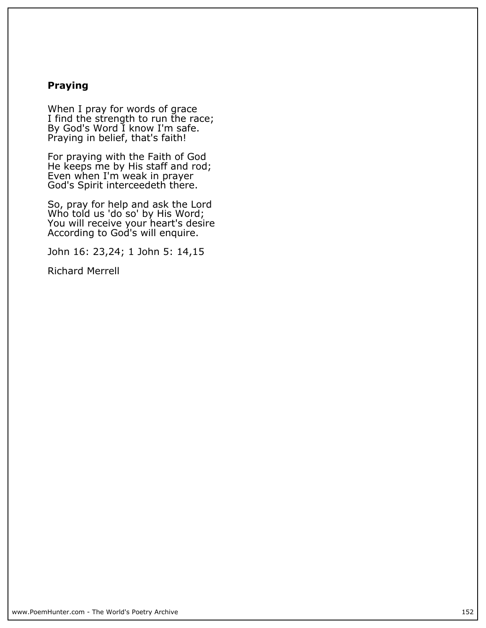# **Praying**

**When I pray for words of grace I find the strength to run the race; By God's Word I know I'm safe. Praying in belief, that's faith!**

**For praying with the Faith of God He keeps me by His staff and rod; Even when I'm weak in prayer God's Spirit interceedeth there.**

**So, pray for help and ask the Lord Who told us 'do so' by His Word; You will receive your heart's desire According to God's will enquire.**

**John 16: 23,24; 1 John 5: 14,15**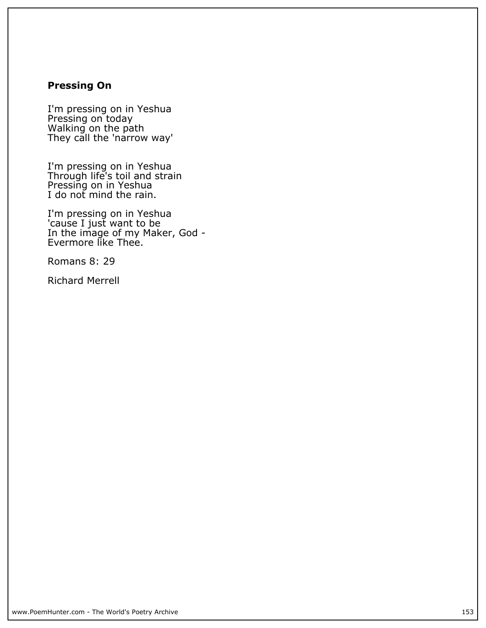# **Pressing On**

**I'm pressing on in Yeshua Pressing on today Walking on the path They call the 'narrow way'**

**I'm pressing on in Yeshua Through life's toil and strain Pressing on in Yeshua I do not mind the rain.**

**I'm pressing on in Yeshua 'cause I just want to be In the image of my Maker, God - Evermore like Thee.**

**Romans 8: 29**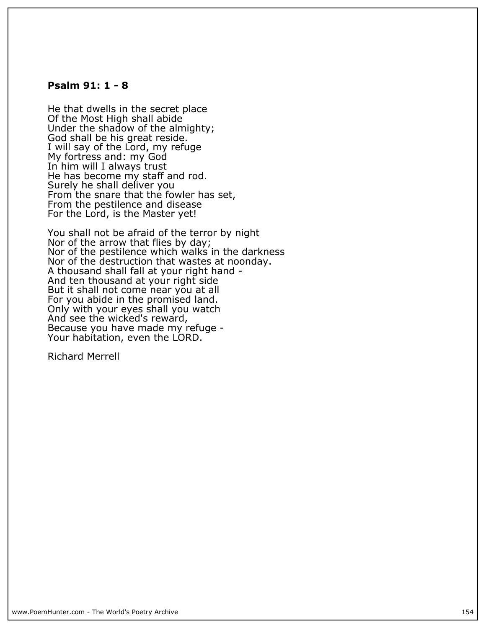### **Psalm 91: 1 - 8**

**He that dwells in the secret place Of the Most High shall abide Under the shadow of the almighty; God shall be his great reside. I will say of the Lord, my refuge My fortress and: my God In him will I always trust He has become my staff and rod. Surely he shall deliver you From the snare that the fowler has set, From the pestilence and disease For the Lord, is the Master yet!**

**You shall not be afraid of the terror by night Nor of the arrow that flies by day; Nor of the pestilence which walks in the darkness Nor of the destruction that wastes at noonday. A thousand shall fall at your right hand - And ten thousand at your right side But it shall not come near you at all For you abide in the promised land. Only with your eyes shall you watch And see the wicked's reward, Because you have made my refuge - Your habitation, even the LORD.**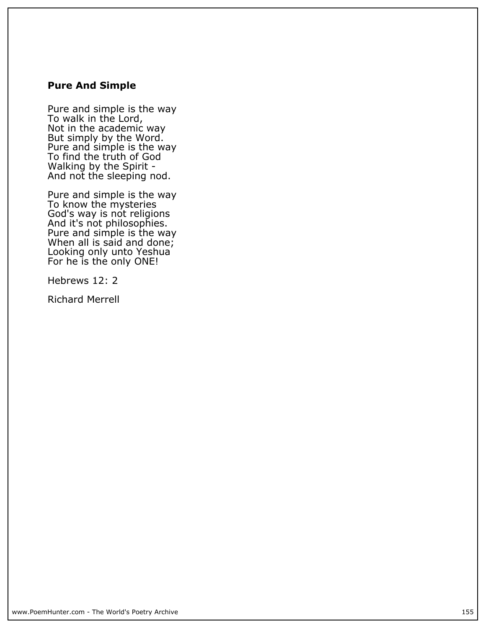## **Pure And Simple**

**Pure and simple is the way To walk in the Lord, Not in the academic way But simply by the Word. Pure and simple is the way To find the truth of God Walking by the Spirit - And not the sleeping nod.**

**Pure and simple is the way To know the mysteries God's way is not religions And it's not philosophies. Pure and simple is the way When all is said and done; Looking only unto Yeshua For he is the only ONE!**

**Hebrews 12: 2**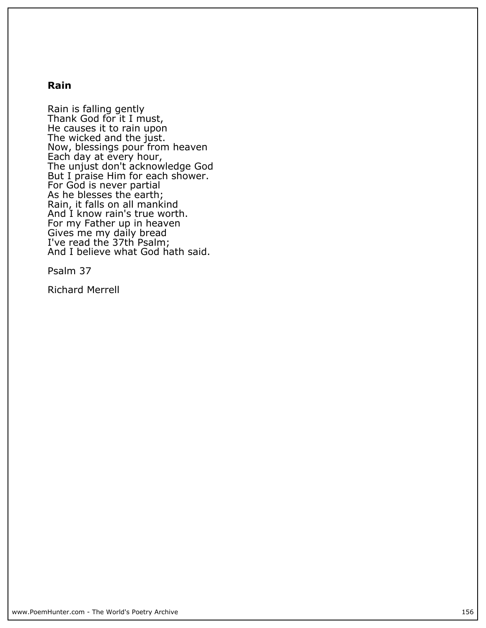### **Rain**

**Rain is falling gently Thank God for it I must, He causes it to rain upon The wicked and the just. Now, blessings pour from heaven Each day at every hour, The unjust don't acknowledge God But I praise Him for each shower. For God is never partial As he blesses the earth; Rain, it falls on all mankind And I know rain's true worth. For my Father up in heaven Gives me my daily bread I've read the 37th Psalm; And I believe what God hath said.**

**Psalm 37**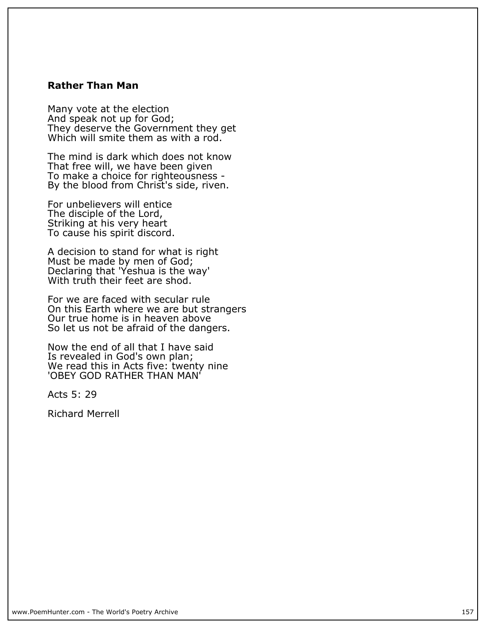### **Rather Than Man**

**Many vote at the election And speak not up for God; They deserve the Government they get Which will smite them as with a rod.**

**The mind is dark which does not know That free will, we have been given To make a choice for righteousness - By the blood from Christ's side, riven.**

**For unbelievers will entice The disciple of the Lord, Striking at his very heart To cause his spirit discord.**

**A decision to stand for what is right Must be made by men of God; Declaring that 'Yeshua is the way' With truth their feet are shod.**

**For we are faced with secular rule On this Earth where we are but strangers Our true home is in heaven above So let us not be afraid of the dangers.**

**Now the end of all that I have said Is revealed in God's own plan; We read this in Acts five: twenty nine 'OBEY GOD RATHER THAN MAN'**

**Acts 5: 29**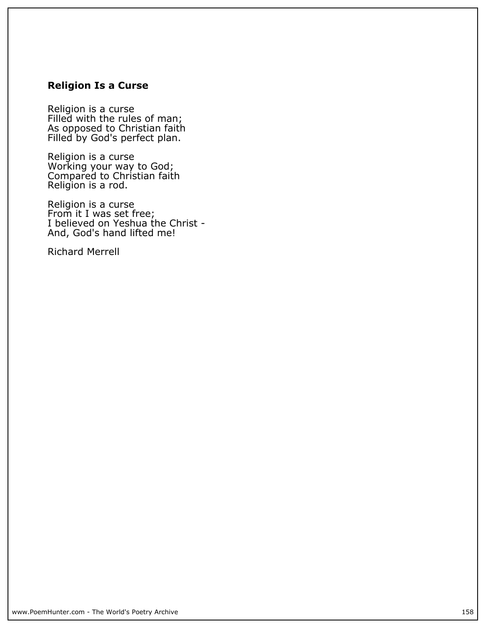# **Religion Is a Curse**

**Religion is a curse Filled with the rules of man; As opposed to Christian faith Filled by God's perfect plan.**

**Religion is a curse Working your way to God; Compared to Christian faith Religion is a rod.**

**Religion is a curse From it I was set free; I believed on Yeshua the Christ - And, God's hand lifted me!**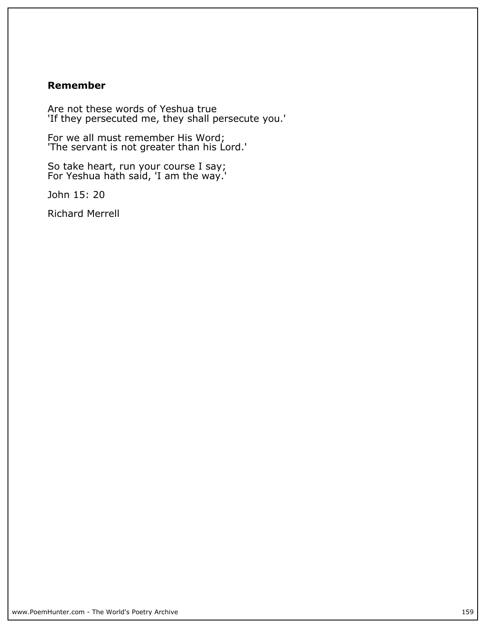# **Remember**

**Are not these words of Yeshua true 'If they persecuted me, they shall persecute you.'**

**For we all must remember His Word; 'The servant is not greater than his Lord.'**

**So take heart, run your course I say; For Yeshua hath said, 'I am the way.'**

**John 15: 20**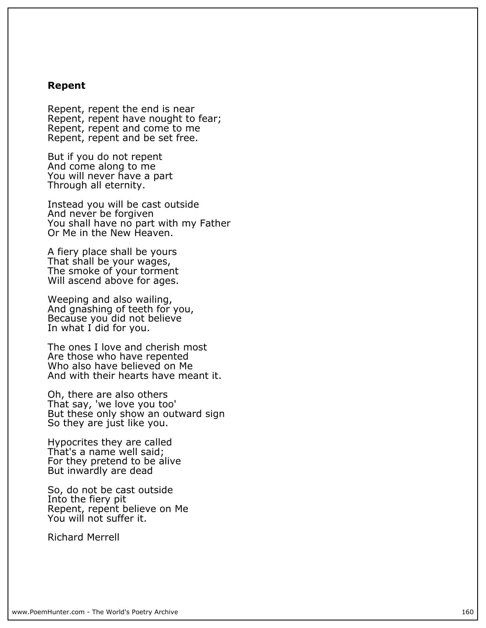### **Repent**

**Repent, repent the end is near Repent, repent have nought to fear; Repent, repent and come to me Repent, repent and be set free.**

**But if you do not repent And come along to me You will never have a part Through all eternity.**

**Instead you will be cast outside And never be forgiven You shall have no part with my Father Or Me in the New Heaven.**

**A fiery place shall be yours That shall be your wages, The smoke of your torment Will ascend above for ages.**

**Weeping and also wailing, And gnashing of teeth for you, Because you did not believe** In what I did for you.

**The ones I love and cherish most Are those who have repented Who also have believed on Me And with their hearts have meant it.**

**Oh, there are also others That say, 'we love you too' But these only show an outward sign So they are just like you.**

**Hypocrites they are called That's a name well said; For they pretend to be alive But inwardly are dead**

**So, do not be cast outside Into the fiery pit Repent, repent believe on Me You will not suffer it.**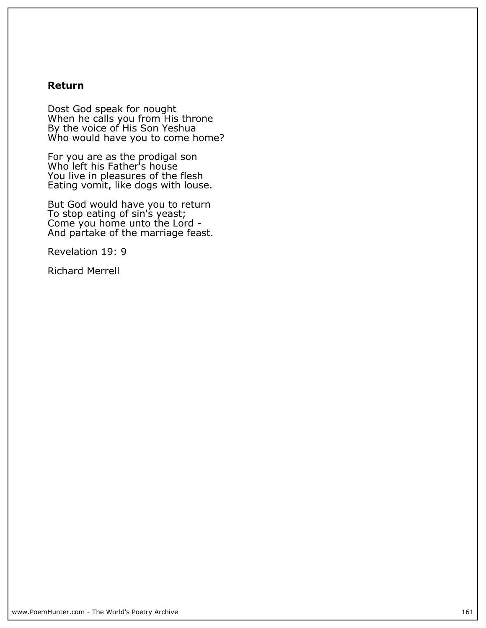### **Return**

**Dost God speak for nought When he calls you from His throne By the voice of His Son Yeshua Who would have you to come home?**

**For you are as the prodigal son Who left his Father's house You live in pleasures of the flesh Eating vomit, like dogs with louse.**

**But God would have you to return To stop eating of sin's yeast; Come you home unto the Lord - And partake of the marriage feast.**

**Revelation 19: 9**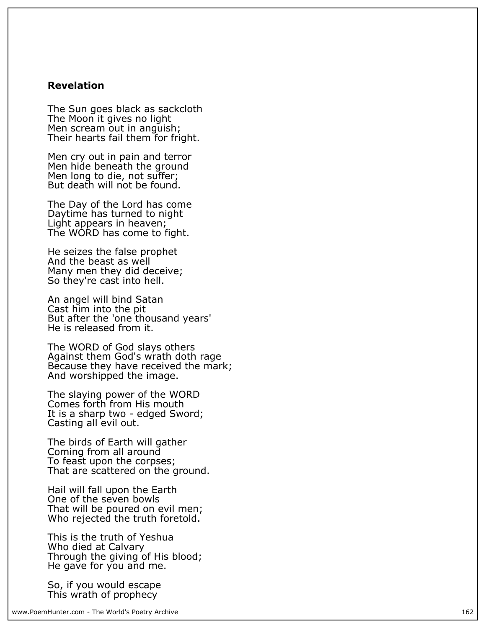### **Revelation**

**The Sun goes black as sackcloth The Moon it gives no light Men scream out in anguish; Their hearts fail them for fright.**

**Men cry out in pain and terror Men hide beneath the ground Men long to die, not suffer; But death will not be found.**

**The Day of the Lord has come Daytime has turned to night Light appears in heaven; The WORD has come to fight.**

**He seizes the false prophet And the beast as well Many men they did deceive; So they're cast into hell.**

**An angel will bind Satan Cast him into the pit But after the 'one thousand years' He is released from it.**

**The WORD of God slays others Against them God's wrath doth rage Because they have received the mark; And worshipped the image.**

**The slaying power of the WORD Comes forth from His mouth It is a sharp two - edged Sword; Casting all evil out.**

**The birds of Earth will gather Coming from all around To feast upon the corpses; That are scattered on the ground.**

**Hail will fall upon the Earth One of the seven bowls That will be poured on evil men; Who rejected the truth foretold.**

**This is the truth of Yeshua Who died at Calvary** Through the giving of His blood; **He gave for you and me.**

**So, if you would escape This wrath of prophecy**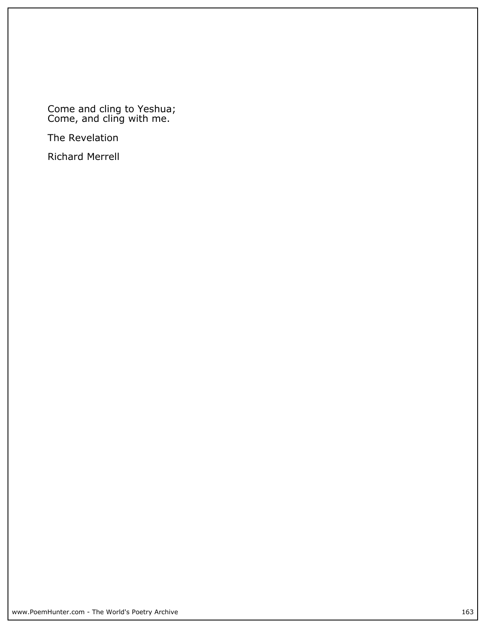**Come and cling to Yeshua; Come, and cling with me.**

**The Revelation**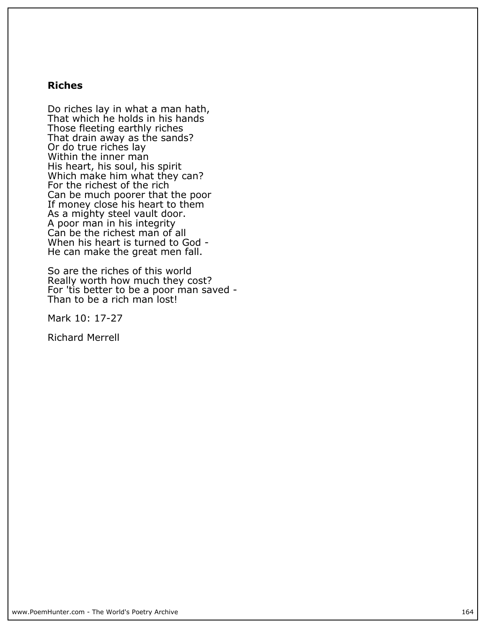# **Riches**

**Do riches lay in what a man hath, That which he holds in his hands Those fleeting earthly riches That drain away as the sands? Or do true riches lay Within the inner man His heart, his soul, his spirit Which make him what they can? For the richest of the rich Can be much poorer that the poor If money close his heart to them As a mighty steel vault door. A poor man in his integrity Can be the richest man of all When his heart is turned to God - He can make the great men fall.**

**So are the riches of this world Really worth how much they cost? For 'tis better to be a poor man saved -** Than to be a rich man lost!

**Mark 10: 17-27**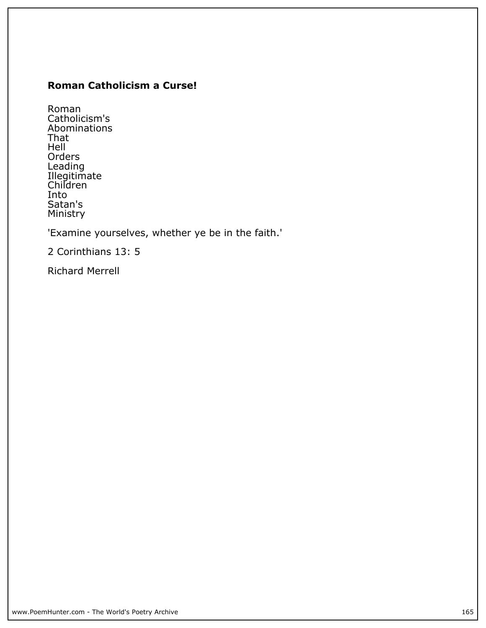# **Roman Catholicism a Curse!**

**Roman Catholicism's Abominations That Hell Orders Leading Illegitimate Children Into Satan's Ministry**

**'Examine yourselves, whether ye be in the faith.'**

**2 Corinthians 13: 5**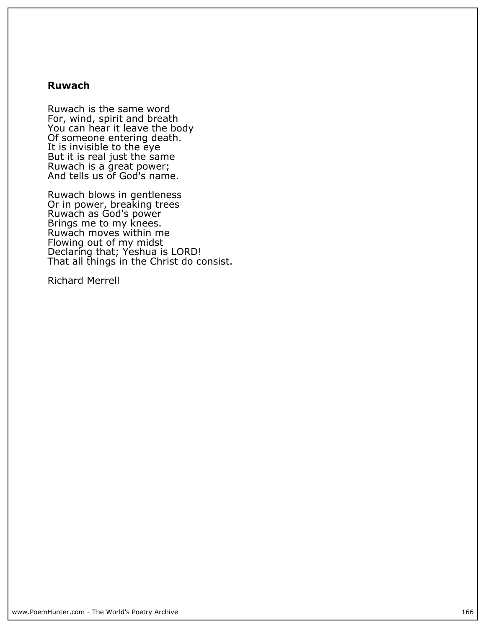### **Ruwach**

**Ruwach is the same word For, wind, spirit and breath You can hear it leave the body Of someone entering death. It is invisible to the eye But it is real just the same Ruwach is a great power; And tells us of God's name.**

**Ruwach blows in gentleness Or in power, breaking trees Ruwach as God's power Brings me to my knees. Ruwach moves within me Flowing out of my midst Declaring that; Yeshua is LORD! That all things in the Christ do consist.**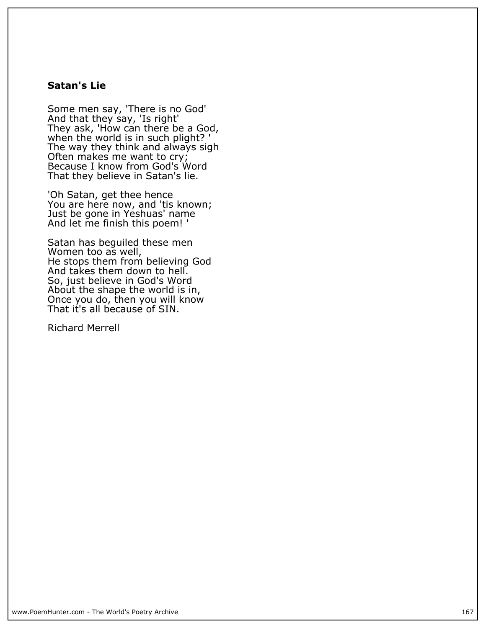# **Satan's Lie**

**Some men say, 'There is no God' And that they say, 'Is right' They ask, 'How can there be a God, when the world is in such plight? ' The way they think and always sigh Often makes me want to cry; Because I know from God's Word That they believe in Satan's lie.**

**'Oh Satan, get thee hence You are here now, and 'tis known; Just be gone in Yeshuas' name And let me finish this poem! '**

**Satan has beguiled these men Women too as well, He stops them from believing God And takes them down to hell. So, just believe in God's Word About the shape the world is in, Once you do, then you will know That it's all because of SIN.**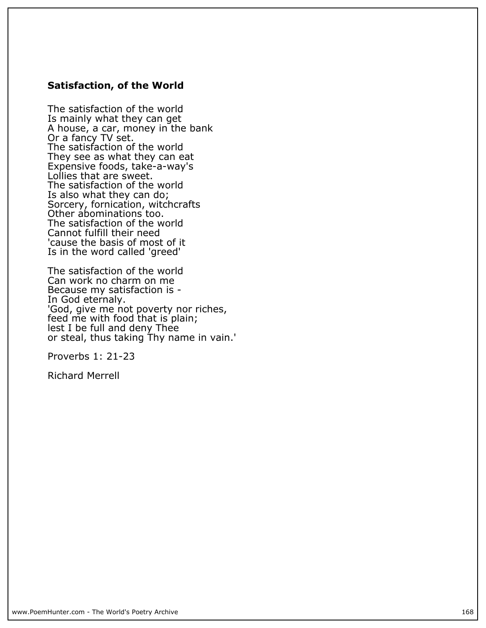## **Satisfaction, of the World**

**The satisfaction of the world Is mainly what they can get A house, a car, money in the bank Or a fancy TV set. The satisfaction of the world They see as what they can eat Expensive foods, take-a-way's Lollies that are sweet. The satisfaction of the world Is also what they can do; Sorcery, fornication, witchcrafts Other abominations too. The satisfaction of the world Cannot fulfill their need 'cause the basis of most of it Is in the word called 'greed'**

**The satisfaction of the world Can work no charm on me Because my satisfaction is - In God eternaly. 'God, give me not poverty nor riches, feed me with food that is plain; lest I be full and deny Thee or steal, thus taking Thy name in vain.'**

**Proverbs 1: 21-23**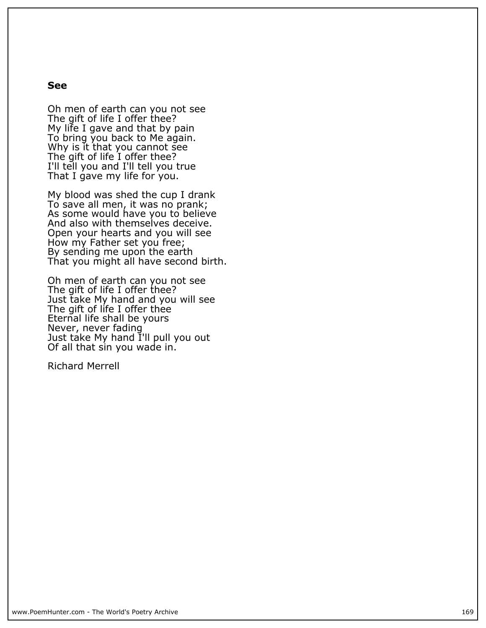#### **See**

**Oh men of earth can you not see The gift of life I offer thee? My life I gave and that by pain To bring you back to Me again. Why is it that you cannot see The gift of life I offer thee? I'll tell you and I'll tell you true That I gave my life for you.**

**My blood was shed the cup I drank To save all men, it was no prank; As some would have you to believe And also with themselves deceive. Open your hearts and you will see How my Father set you free; By sending me upon the earth That you might all have second birth.**

**Oh men of earth can you not see The gift of life I offer thee? Just take My hand and you will see The gift of life I offer thee Eternal life shall be yours Never, never fading Just take My hand I'll pull you out Of all that sin you wade in.**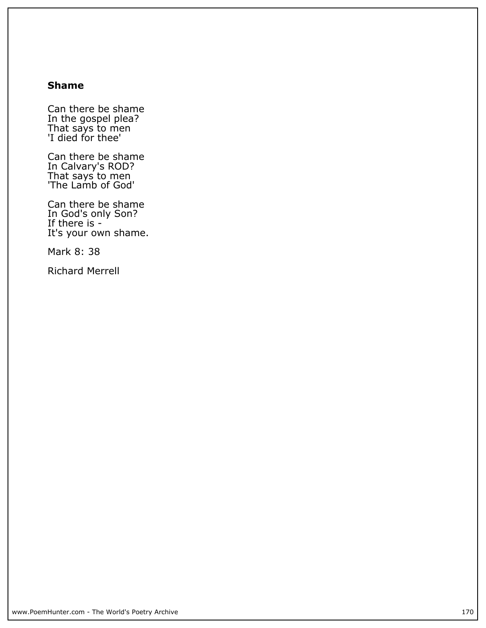## **Shame**

**Can there be shame In the gospel plea? That says to men 'I died for thee'**

**Can there be shame In Calvary's ROD? That says to men 'The Lamb of God'**

**Can there be shame In God's only Son? If there is - It's your own shame.**

**Mark 8: 38**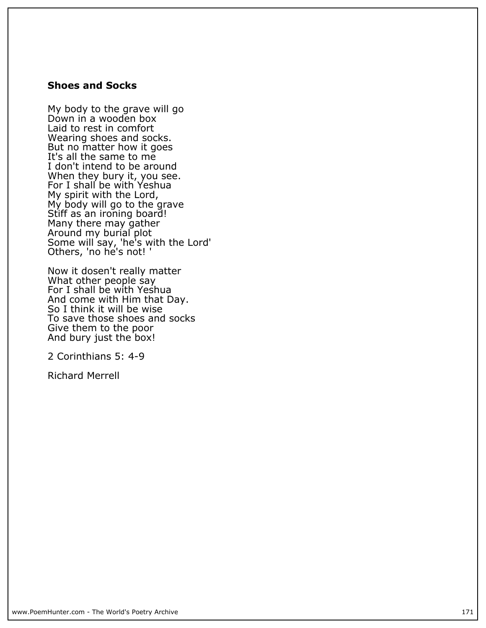### **Shoes and Socks**

**My body to the grave will go Down in a wooden box Laid to rest in comfort Wearing shoes and socks. But no matter how it goes It's all the same to me I don't intend to be around When they bury it, you see. For I shall be with Yeshua My spirit with the Lord, My body will go to the grave Stiff as an ironing board! Many there may gather Around my burial plot Some will say, 'he's with the Lord' Others, 'no he's not! '**

**Now it dosen't really matter What other people say For I shall be with Yeshua And come with Him that Day. So I think it will be wise To save those shoes and socks Give them to the poor And bury just the box!**

**2 Corinthians 5: 4-9**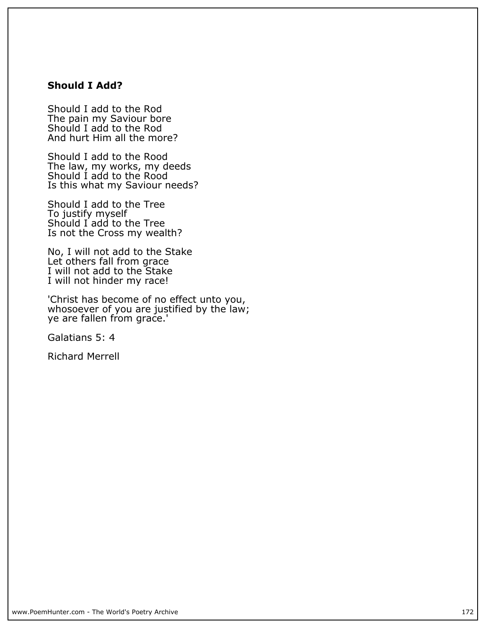# **Should I Add?**

**Should I add to the Rod The pain my Saviour bore Should I add to the Rod And hurt Him all the more?**

**Should I add to the Rood The law, my works, my deeds Should I add to the Rood Is this what my Saviour needs?**

**Should I add to the Tree To justify myself Should I add to the Tree Is not the Cross my wealth?**

**No, I will not add to the Stake Let others fall from grace I will not add to the Stake I will not hinder my race!**

**'Christ has become of no effect unto you, whosoever of you are justified by the law; ye are fallen from grace.'**

**Galatians 5: 4**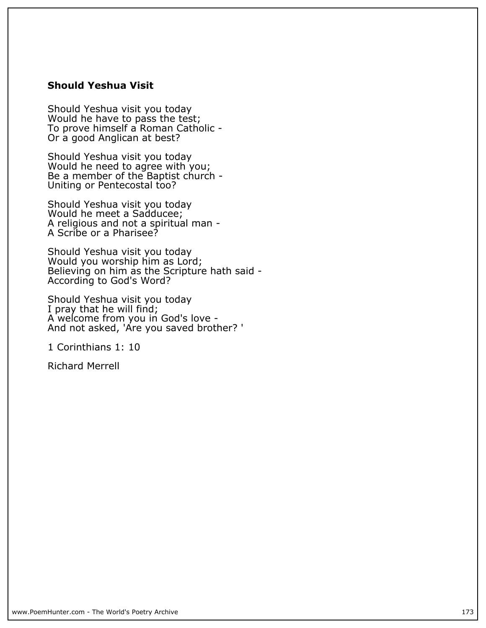## **Should Yeshua Visit**

**Should Yeshua visit you today Would he have to pass the test; To prove himself a Roman Catholic - Or a good Anglican at best?**

**Should Yeshua visit you today Would he need to agree with you; Be a member of the Baptist church - Uniting or Pentecostal too?**

**Should Yeshua visit you today Would he meet a Sadducee; A religious and not a spiritual man - A Scribe or a Pharisee?**

**Should Yeshua visit you today Would you worship him as Lord; Believing on him as the Scripture hath said - According to God's Word?**

**Should Yeshua visit you today I pray that he will find; A welcome from you in God's love - And not asked, 'Are you saved brother? '**

**1 Corinthians 1: 10**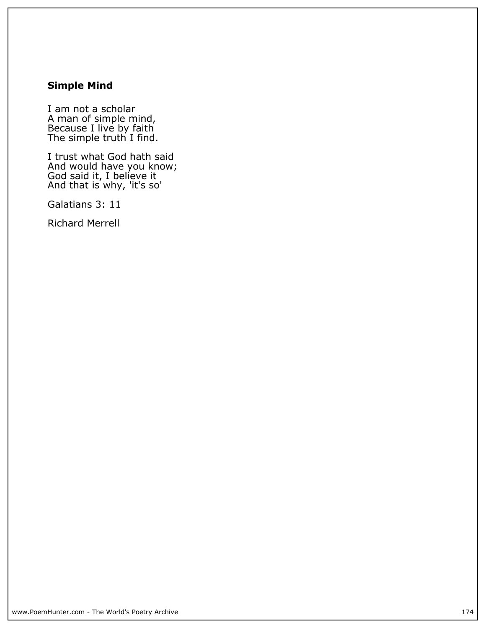# **Simple Mind**

**I am not a scholar A man of simple mind, Because I live by faith The simple truth I find.**

**I trust what God hath said And would have you know; God said it, I believe it And that is why, 'it's so'**

**Galatians 3: 11**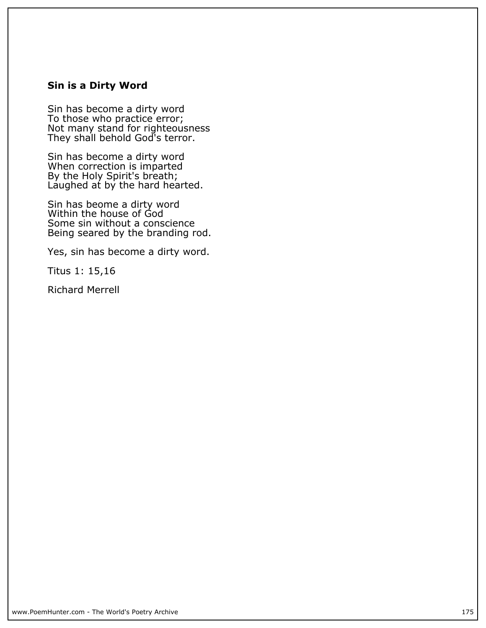## **Sin is a Dirty Word**

**Sin has become a dirty word To those who practice error; Not many stand for righteousness They shall behold God's terror.**

**Sin has become a dirty word When correction is imparted By the Holy Spirit's breath; Laughed at by the hard hearted.**

**Sin has beome a dirty word Within the house of God Some sin without a conscience Being seared by the branding rod.**

**Yes, sin has become a dirty word.**

**Titus 1: 15,16**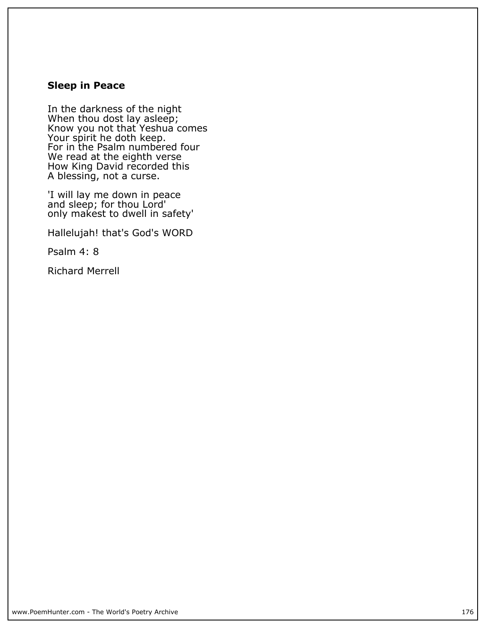# **Sleep in Peace**

**In the darkness of the night When thou dost lay asleep; Know you not that Yeshua comes Your spirit he doth keep. For in the Psalm numbered four We read at the eighth verse How King David recorded this A blessing, not a curse.**

**'I will lay me down in peace and sleep; for thou Lord' only makest to dwell in safety'**

**Hallelujah! that's God's WORD**

**Psalm 4: 8**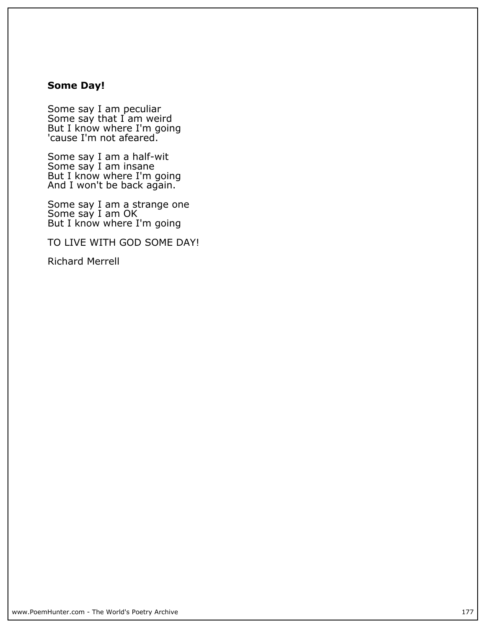## **Some Day!**

**Some say I am peculiar Some say that I am weird But I know where I'm going 'cause I'm not afeared.**

**Some say I am a half-wit Some say I am insane But I know where I'm going And I won't be back again.**

**Some say I am a strange one Some say I am OK But I know where I'm going**

**TO LIVE WITH GOD SOME DAY!**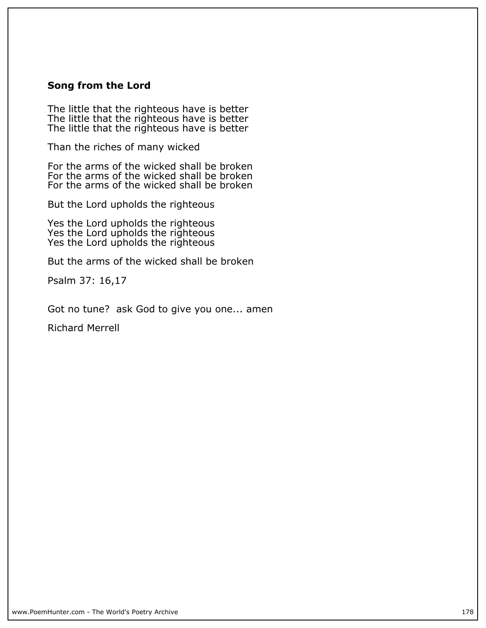### **Song from the Lord**

**The little that the righteous have is better The little that the righteous have is better The little that the righteous have is better**

**Than the riches of many wicked**

**For the arms of the wicked shall be broken For the arms of the wicked shall be broken For the arms of the wicked shall be broken**

**But the Lord upholds the righteous**

**Yes the Lord upholds the righteous Yes the Lord upholds the righteous Yes the Lord upholds the righteous**

**But the arms of the wicked shall be broken**

**Psalm 37: 16,17**

**Got no tune? ask God to give you one... amen**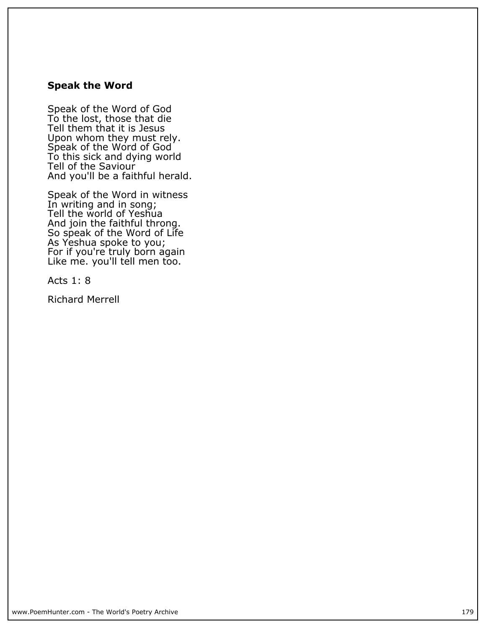### **Speak the Word**

**Speak of the Word of God To the lost, those that die Tell them that it is Jesus Upon whom they must rely. Speak of the Word of God To this sick and dying world Tell of the Saviour And you'll be a faithful herald.**

**Speak of the Word in witness In writing and in song; Tell the world of Yeshua And join the faithful throng. So speak of the Word of Life As Yeshua spoke to you; For if you're truly born again Like me. you'll tell men too.**

**Acts 1: 8**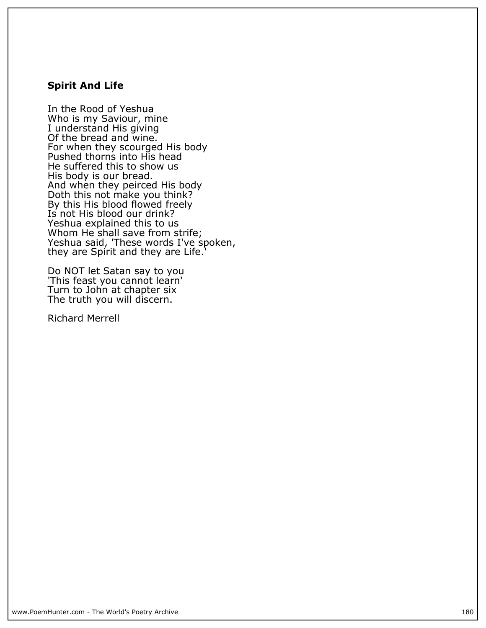### **Spirit And Life**

**In the Rood of Yeshua Who is my Saviour, mine I understand His giving Of the bread and wine. For when they scourged His body Pushed thorns into His head He suffered this to show us His body is our bread. And when they peirced His body Doth this not make you think? By this His blood flowed freely Is not His blood our drink? Yeshua explained this to us Whom He shall save from strife;** Yeshua said, 'These words I've spoken, **they are Spirit and they are Life.'**

**Do NOT let Satan say to you 'This feast you cannot learn' Turn to John at chapter six The truth you will discern.**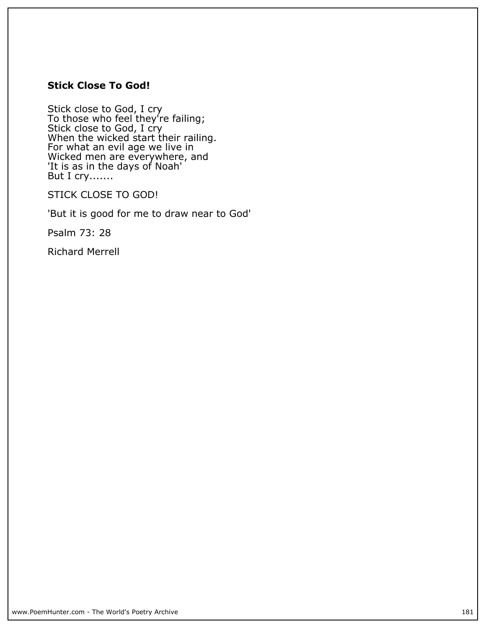# **Stick Close To God!**

**Stick close to God, I cry To those who feel they're failing; Stick close to God, I cry When the wicked start their railing. For what an evil age we live in Wicked men are everywhere, and 'It is as in the days of Noah' But I cry.......**

**STICK CLOSE TO GOD!**

**'But it is good for me to draw near to God'**

**Psalm 73: 28**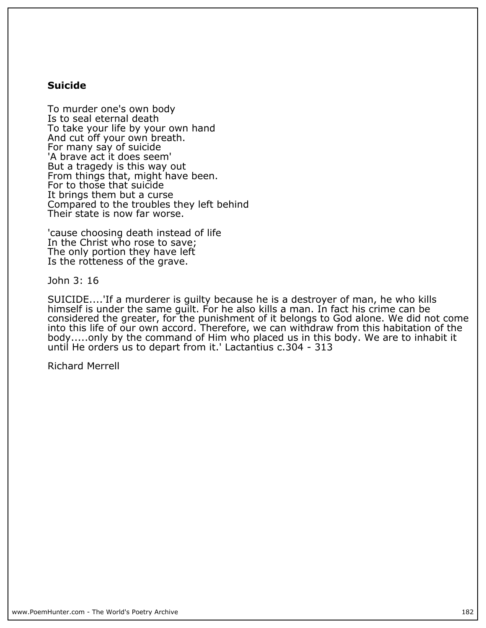#### **Suicide**

**To murder one's own body Is to seal eternal death To take your life by your own hand And cut off your own breath. For many say of suicide 'A brave act it does seem' But a tragedy is this way out From things that, might have been. For to those that suicide It brings them but a curse Compared to the troubles they left behind Their state is now far worse.**

**'cause choosing death instead of life In the Christ who rose to save; The only portion they have left Is the rotteness of the grave.**

**John 3: 16**

**SUICIDE....'If a murderer is guilty because he is a destroyer of man, he who kills himself is under the same guilt. For he also kills a man. In fact his crime can be considered the greater, for the punishment of it belongs to God alone. We did not come into this life of our own accord. Therefore, we can withdraw from this habitation of the body.....only by the command of Him who placed us in this body. We are to inhabit it until He orders us to depart from it.' Lactantius c.304 - 313**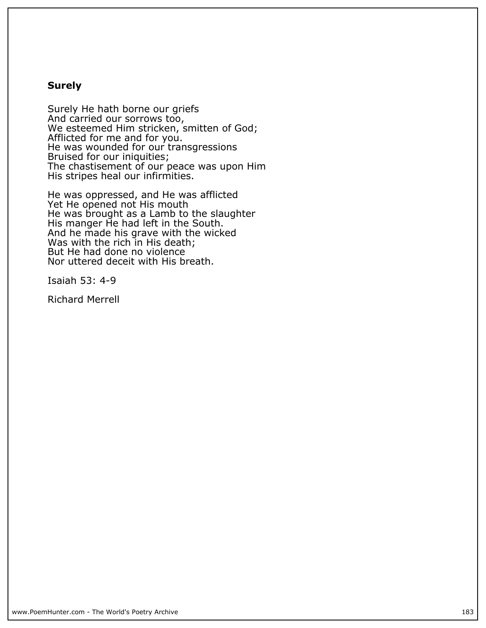#### **Surely**

**Surely He hath borne our griefs And carried our sorrows too, We esteemed Him stricken, smitten of God; Afflicted for me and for you. He was wounded for our transgressions Bruised for our iniquities; The chastisement of our peace was upon Him His stripes heal our infirmities.**

**He was oppressed, and He was afflicted Yet He opened not His mouth He was brought as a Lamb to the slaughter His manger He had left in the South. And he made his grave with the wicked Was with the rich in His death; But He had done no violence Nor uttered deceit with His breath.**

**Isaiah 53: 4-9**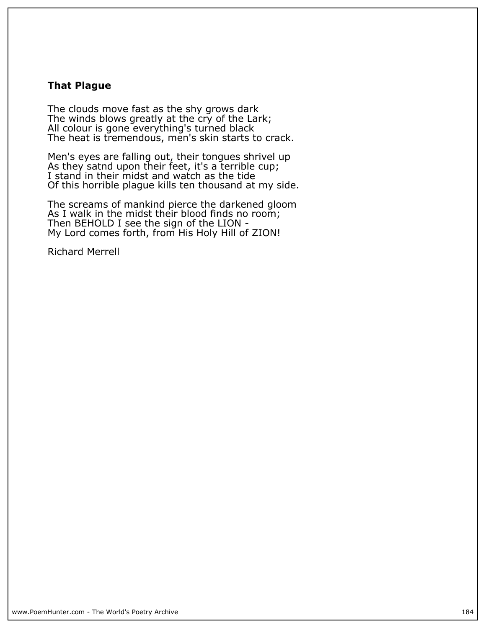## **That Plague**

**The clouds move fast as the shy grows dark The winds blows greatly at the cry of the Lark; All colour is gone everything's turned black The heat is tremendous, men's skin starts to crack.**

**Men's eyes are falling out, their tongues shrivel up As they satnd upon their feet, it's a terrible cup; I stand in their midst and watch as the tide Of this horrible plague kills ten thousand at my side.**

**The screams of mankind pierce the darkened gloom As I walk in the midst their blood finds no room; Then BEHOLD I see the sign of the LION - My Lord comes forth, from His Holy Hill of ZION!**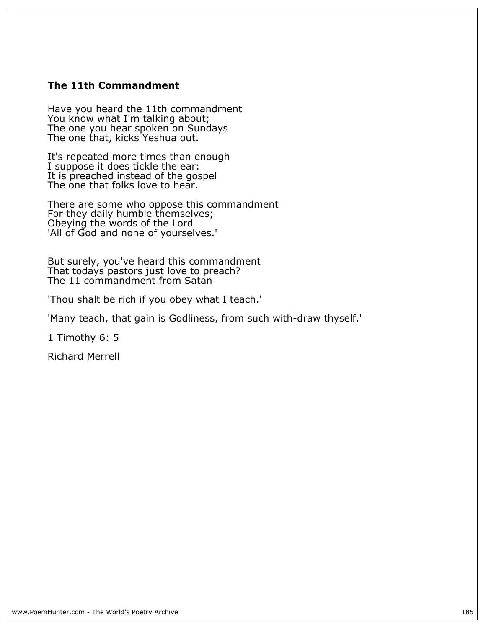# **The 11th Commandment**

**Have you heard the 11th commandment** You know what I'm talking about; **The one you hear spoken on Sundays The one that, kicks Yeshua out.**

**It's repeated more times than enough I suppose it does tickle the ear: It is preached instead of the gospel The one that folks love to hear.**

**There are some who oppose this commandment For they daily humble themselves; Obeying the words of the Lord 'All of God and none of yourselves.'**

**But surely, you've heard this commandment That todays pastors just love to preach? The 11 commandment from Satan**

**'Thou shalt be rich if you obey what I teach.'**

**'Many teach, that gain is Godliness, from such with-draw thyself.'**

**1 Timothy 6: 5**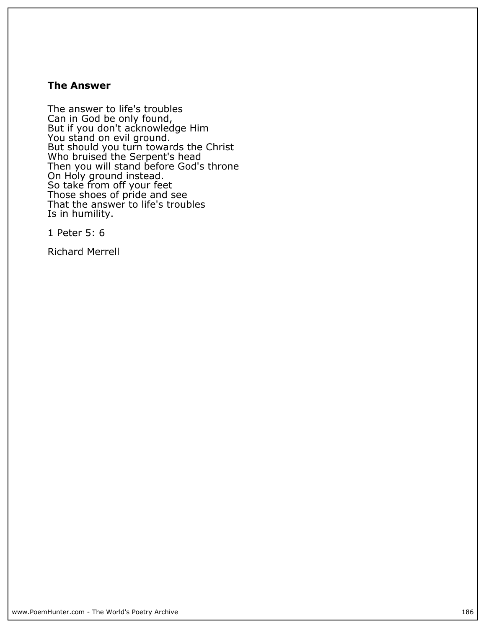#### **The Answer**

**The answer to life's troubles Can in God be only found, But if you don't acknowledge Him You stand on evil ground. But should you turn towards the Christ Who bruised the Serpent's head Then you will stand before God's throne On Holy ground instead. So take from off your feet Those shoes of pride and see That the answer to life's troubles Is in humility.**

**1 Peter 5: 6**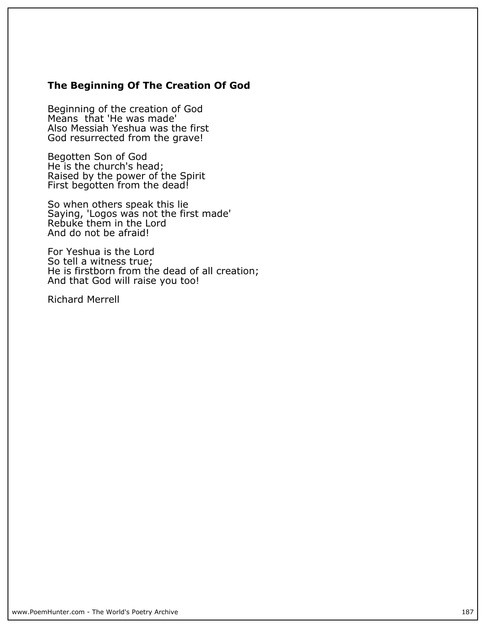# **The Beginning Of The Creation Of God**

**Beginning of the creation of God Means that 'He was made' Also Messiah Yeshua was the first God resurrected from the grave!**

**Begotten Son of God He is the church's head; Raised by the power of the Spirit First begotten from the dead!**

**So when others speak this lie Saying, 'Logos was not the first made' Rebuke them in the Lord And do not be afraid!**

**For Yeshua is the Lord So tell a witness true; He is firstborn from the dead of all creation; And that God will raise you too!**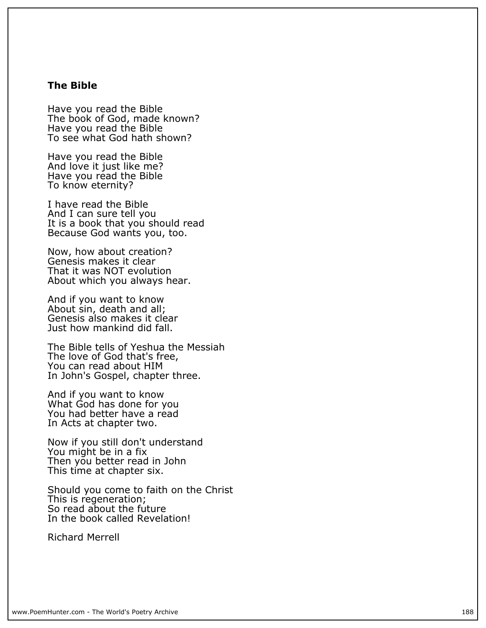#### **The Bible**

**Have you read the Bible** The book of God, made known? **Have you read the Bible To see what God hath shown?**

**Have you read the Bible And love it just like me? Have you read the Bible To know eternity?**

**I have read the Bible And I can sure tell you It is a book that you should read Because God wants you, too.**

**Now, how about creation? Genesis makes it clear That it was NOT evolution About which you always hear.**

**And if you want to know About sin, death and all; Genesis also makes it clear Just how mankind did fall.**

**The Bible tells of Yeshua the Messiah The love of God that's free, You can read about HIM In John's Gospel, chapter three.**

**And if you want to know What God has done for you You had better have a read In Acts at chapter two.**

**Now if you still don't understand You might be in a fix Then you better read in John This time at chapter six.**

**Should you come to faith on the Christ This is regeneration; So read about the future In the book called Revelation!**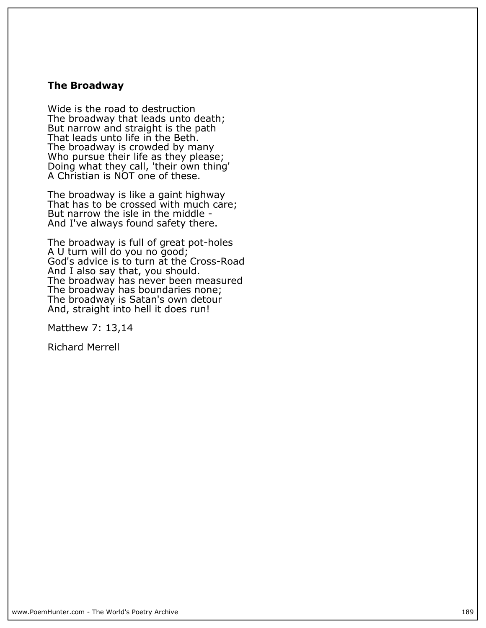#### **The Broadway**

**Wide is the road to destruction The broadway that leads unto death; But narrow and straight is the path That leads unto life in the Beth. The broadway is crowded by many Who pursue their life as they please; Doing what they call, 'their own thing' A Christian is NOT one of these.**

**The broadway is like a gaint highway That has to be crossed with much care; But narrow the isle in the middle - And I've always found safety there.**

**The broadway is full of great pot-holes A U turn will do you no good; God's advice is to turn at the Cross-Road And I also say that, you should. The broadway has never been measured The broadway has boundaries none; The broadway is Satan's own detour And, straight into hell it does run!**

**Matthew 7: 13,14**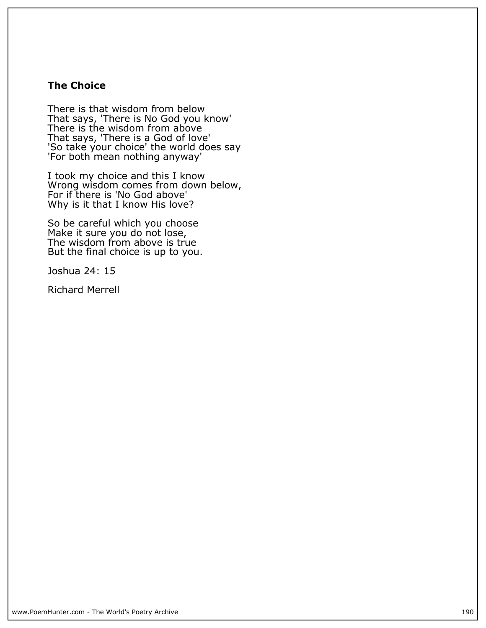# **The Choice**

**There is that wisdom from below That says, 'There is No God you know' There is the wisdom from above That says, 'There is a God of love' 'So take your choice' the world does say 'For both mean nothing anyway'**

**I took my choice and this I know Wrong wisdom comes from down below, For if there is 'No God above' Why is it that I know His love?**

**So be careful which you choose Make it sure you do not lose, The wisdom from above is true But the final choice is up to you.**

**Joshua 24: 15**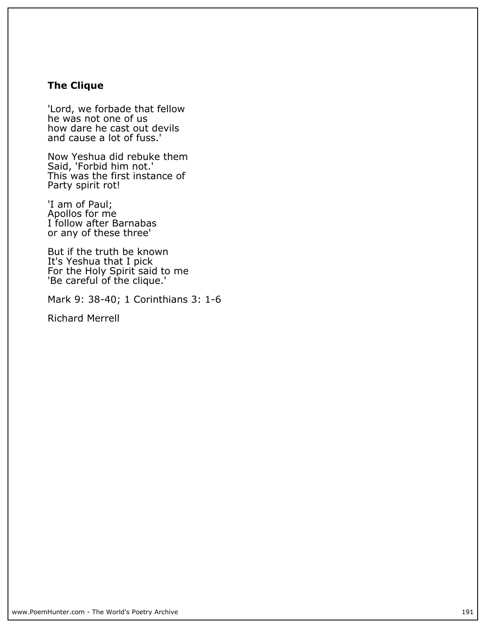# **The Clique**

**'Lord, we forbade that fellow he was not one of us how dare he cast out devils and cause a lot of fuss.'**

**Now Yeshua did rebuke them Said, 'Forbid him not.' This was the first instance of Party spirit rot!**

**'I am of Paul; Apollos for me I follow after Barnabas or any of these three'**

**But if the truth be known It's Yeshua that I pick For the Holy Spirit said to me 'Be careful of the clique.'**

**Mark 9: 38-40; 1 Corinthians 3: 1-6**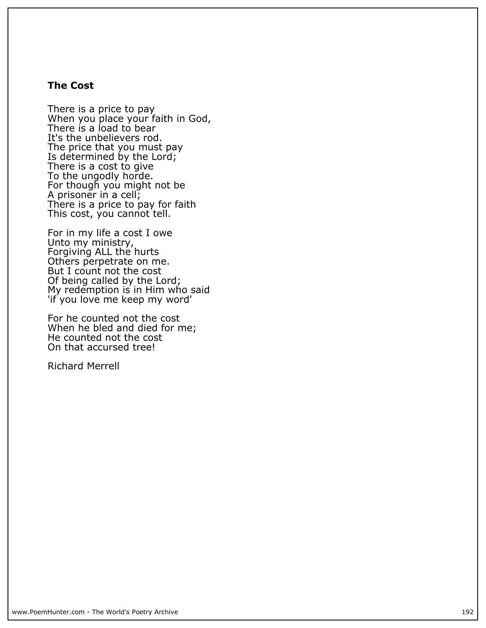#### **The Cost**

**There is a price to pay When you place your faith in God, There is a load to bear It's the unbelievers rod. The price that you must pay Is determined by the Lord; There is a cost to give To the ungodly horde. For though you might not be A prisoner in a cell; There is a price to pay for faith This cost, you cannot tell.**

**For in my life a cost I owe Unto my ministry, Forgiving ALL the hurts Others perpetrate on me. But I count not the cost Of being called by the Lord; My redemption is in Him who said 'if you love me keep my word'**

**For he counted not the cost When he bled and died for me; He counted not the cost On that accursed tree!**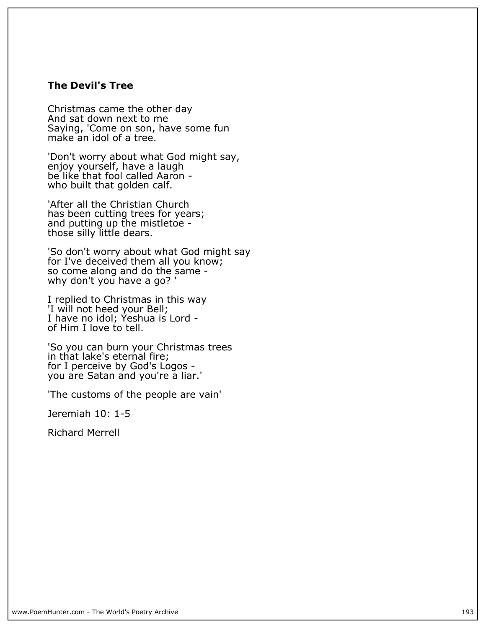#### **The Devil's Tree**

**Christmas came the other day And sat down next to me Saying, 'Come on son, have some fun make an idol of a tree.**

**'Don't worry about what God might say, enjoy yourself, have a laugh be like that fool called Aaron who built that golden calf.**

**'After all the Christian Church has been cutting trees for years; and putting up the mistletoe those silly little dears.**

**'So don't worry about what God might say for I've deceived them all you know; so come along and do the same why don't you have a go? '**

**I replied to Christmas in this way 'I will not heed your Bell; I have no idol; Yeshua is Lord of Him I love to tell.**

**'So you can burn your Christmas trees in that lake's eternal fire; for I perceive by God's Logos you are Satan and you're a liar.'**

**'The customs of the people are vain'**

**Jeremiah 10: 1-5**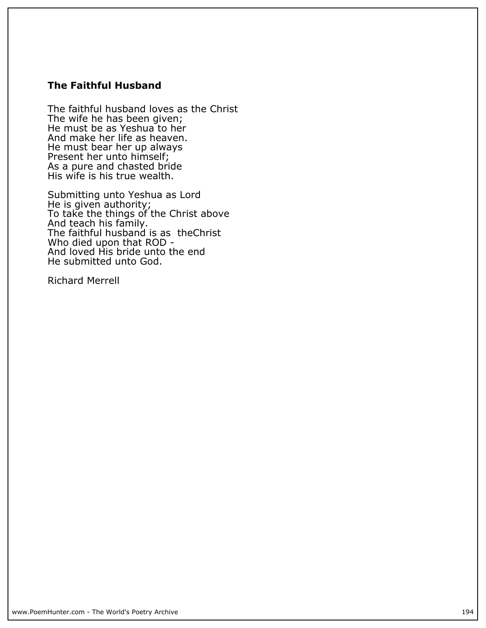# **The Faithful Husband**

**The faithful husband loves as the Christ The wife he has been given; He must be as Yeshua to her And make her life as heaven. He must bear her up always Present her unto himself; As a pure and chasted bride His wife is his true wealth.**

**Submitting unto Yeshua as Lord He is given authority; To take the things of the Christ above And teach his family. The faithful husband is as theChrist Who died upon that ROD - And loved His bride unto the end He submitted unto God.**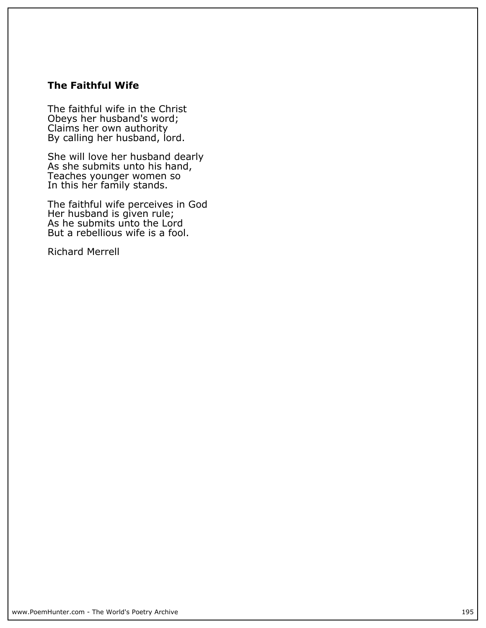# **The Faithful Wife**

**The faithful wife in the Christ Obeys her husband's word; Claims her own authority By calling her husband, lord.**

**She will love her husband dearly As she submits unto his hand, Teaches younger women so In this her family stands.**

**The faithful wife perceives in God Her husband is given rule; As he submits unto the Lord But a rebellious wife is a fool.**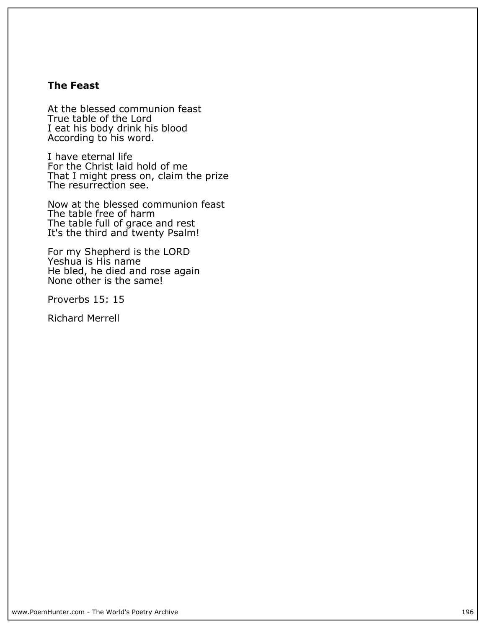# **The Feast**

**At the blessed communion feast True table of the Lord I eat his body drink his blood According to his word.**

**I have eternal life For the Christ laid hold of me That I might press on, claim the prize The resurrection see.**

**Now at the blessed communion feast The table free of harm The table full of grace and rest It's the third and twenty Psalm!**

**For my Shepherd is the LORD Yeshua is His name He bled, he died and rose again None other is the same!**

**Proverbs 15: 15**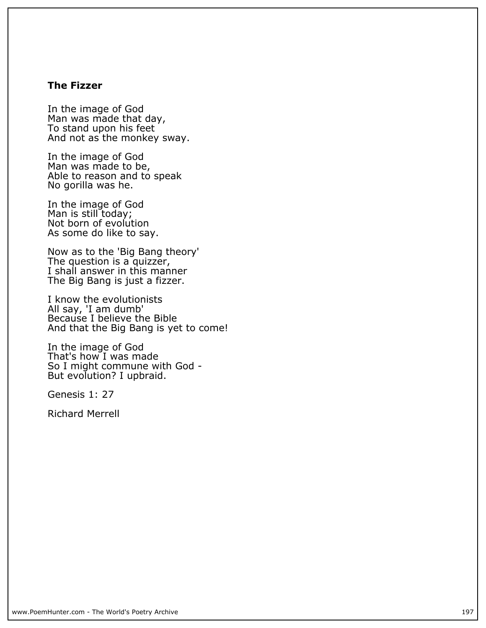## **The Fizzer**

**In the image of God Man was made that day, To stand upon his feet And not as the monkey sway.**

**In the image of God Man was made to be, Able to reason and to speak No gorilla was he.**

**In the image of God Man is still today; Not born of evolution As some do like to say.**

**Now as to the 'Big Bang theory' The question is a quizzer, I shall answer in this manner The Big Bang is just a fizzer.**

**I know the evolutionists All say, 'I am dumb' Because I believe the Bible And that the Big Bang is yet to come!**

**In the image of God That's how I was made So I might commune with God - But evolution? I upbraid.**

**Genesis 1: 27**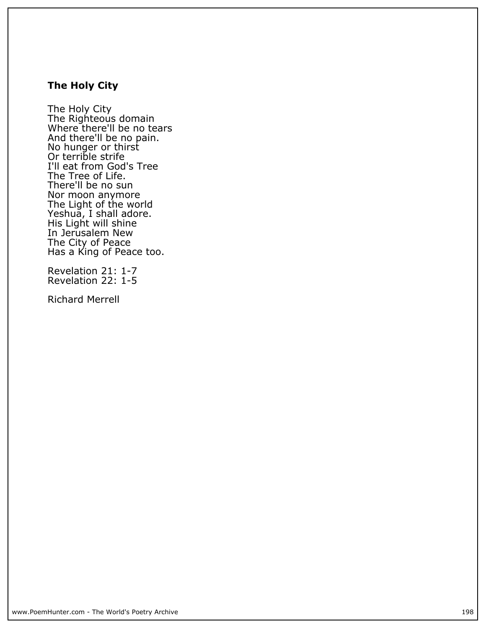# **The Holy City**

**The Holy City The Righteous domain Where there'll be no tears And there'll be no pain. No hunger or thirst Or terrible strife I'll eat from God's Tree The Tree of Life. There'll be no sun Nor moon anymore The Light of the world Yeshua, I shall adore. His Light will shine In Jerusalem New The City of Peace Has a King of Peace too.**

**Revelation 21: 1-7 Revelation 22: 1-5**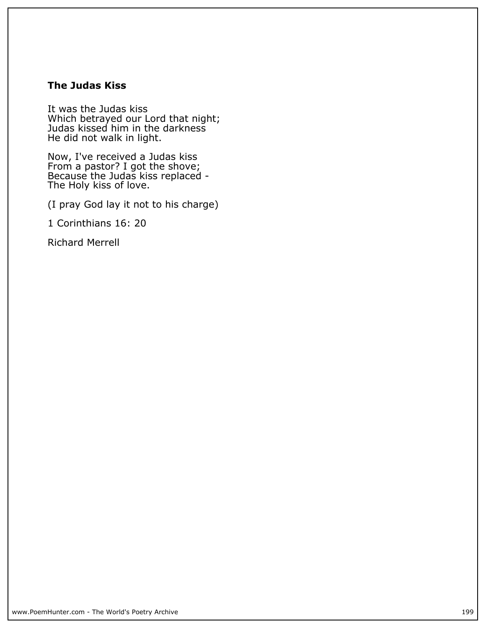# **The Judas Kiss**

**It was the Judas kiss Which betrayed our Lord that night; Judas kissed him in the darkness He did not walk in light.**

**Now, I've received a Judas kiss From a pastor? I got the shove; Because the Judas kiss replaced - The Holy kiss of love.**

**(I pray God lay it not to his charge)**

**1 Corinthians 16: 20**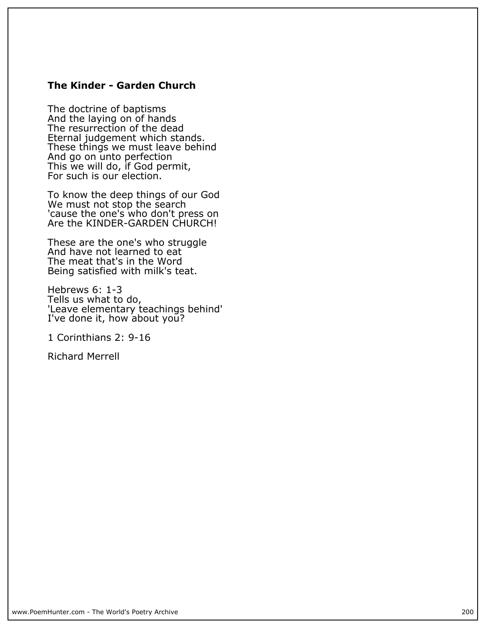### **The Kinder - Garden Church**

**The doctrine of baptisms And the laying on of hands The resurrection of the dead Eternal judgement which stands. These things we must leave behind And go on unto perfection This we will do, if God permit, For such is our election.**

**To know the deep things of our God We must not stop the search 'cause the one's who don't press on Are the KINDER-GARDEN CHURCH!**

**These are the one's who struggle And have not learned to eat The meat that's in the Word Being satisfied with milk's teat.**

**Hebrews 6: 1-3 Tells us what to do, 'Leave elementary teachings behind' I've done it, how about you?**

**1 Corinthians 2: 9-16**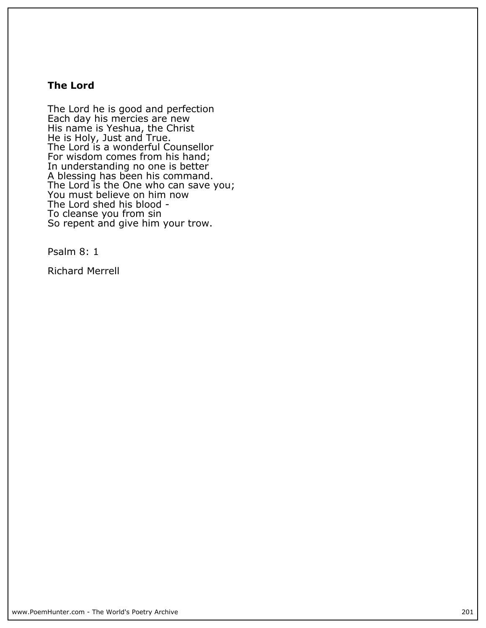# **The Lord**

**The Lord he is good and perfection Each day his mercies are new His name is Yeshua, the Christ He is Holy, Just and True. The Lord is a wonderful Counsellor For wisdom comes from his hand; In understanding no one is better A blessing has been his command. The Lord is the One who can save you; You must believe on him now The Lord shed his blood - To cleanse you from sin So repent and give him your trow.**

**Psalm 8: 1**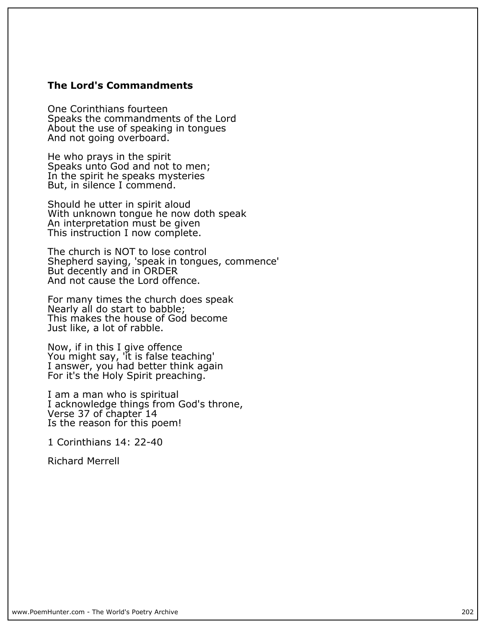#### **The Lord's Commandments**

**One Corinthians fourteen Speaks the commandments of the Lord About the use of speaking in tongues And not going overboard.**

**He who prays in the spirit Speaks unto God and not to men; In the spirit he speaks mysteries But, in silence I commend.**

**Should he utter in spirit aloud With unknown tongue he now doth speak An interpretation must be given This instruction I now complete.**

**The church is NOT to lose control Shepherd saying, 'speak in tongues, commence' But decently and in ORDER And not cause the Lord offence.**

**For many times the church does speak Nearly all do start to babble; This makes the house of God become Just like, a lot of rabble.**

**Now, if in this I give offence You might say, 'it is false teaching' I answer, you had better think again For it's the Holy Spirit preaching.**

**I am a man who is spiritual I acknowledge things from God's throne, Verse 37 of chapter 14 Is the reason for this poem!**

**1 Corinthians 14: 22-40**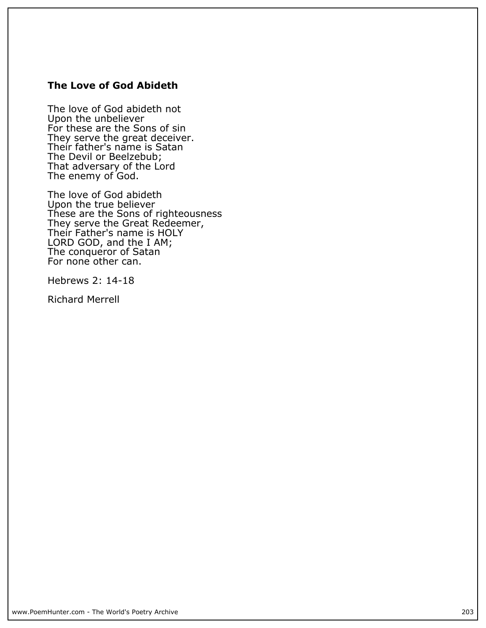# **The Love of God Abideth**

**The love of God abideth not Upon the unbeliever For these are the Sons of sin They serve the great deceiver. Their father's name is Satan The Devil or Beelzebub; That adversary of the Lord The enemy of God.**

**The love of God abideth Upon the true believer These are the Sons of righteousness They serve the Great Redeemer, Their Father's name is HOLY LORD GOD, and the I AM; The conqueror of Satan For none other can.**

**Hebrews 2: 14-18**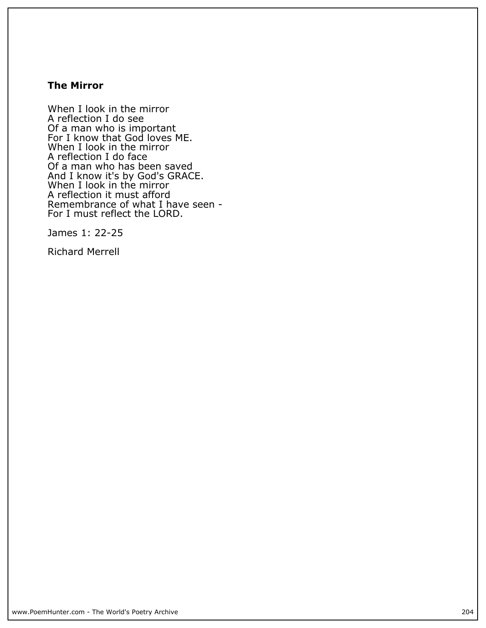### **The Mirror**

**When I look in the mirror A reflection I do see Of a man who is important For I know that God loves ME. When I look in the mirror A reflection I do face Of a man who has been saved And I know it's by God's GRACE. When I look in the mirror A reflection it must afford Remembrance of what I have seen - For I must reflect the LORD.**

**James 1: 22-25**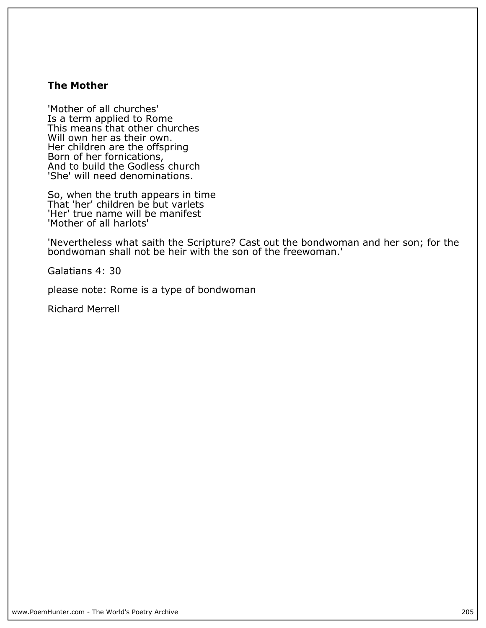## **The Mother**

**'Mother of all churches' Is a term applied to Rome This means that other churches Will own her as their own. Her children are the offspring Born of her fornications, And to build the Godless church 'She' will need denominations.**

**So, when the truth appears in time That 'her' children be but varlets 'Her' true name will be manifest 'Mother of all harlots'**

**'Nevertheless what saith the Scripture? Cast out the bondwoman and her son; for the bondwoman shall not be heir with the son of the freewoman.'**

**Galatians 4: 30**

**please note: Rome is a type of bondwoman**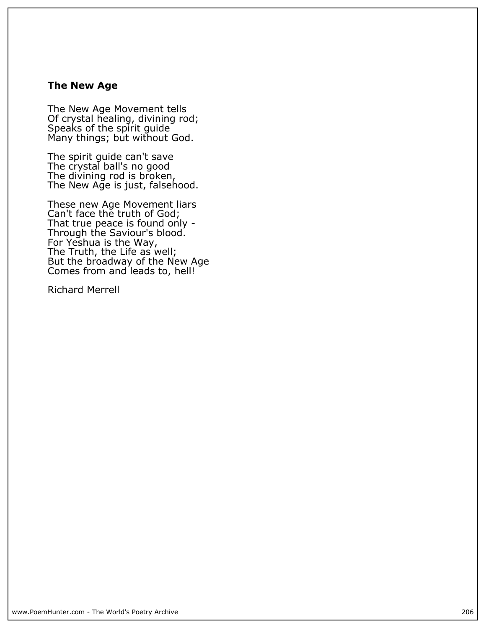# **The New Age**

**The New Age Movement tells Of crystal healing, divining rod; Speaks of the spirit guide Many things; but without God.**

**The spirit guide can't save The crystal ball's no good The divining rod is broken, The New Age is just, falsehood.**

**These new Age Movement liars Can't face the truth of God; That true peace is found only - Through the Saviour's blood. For Yeshua is the Way, The Truth, the Life as well; But the broadway of the New Age Comes from and leads to, hell!**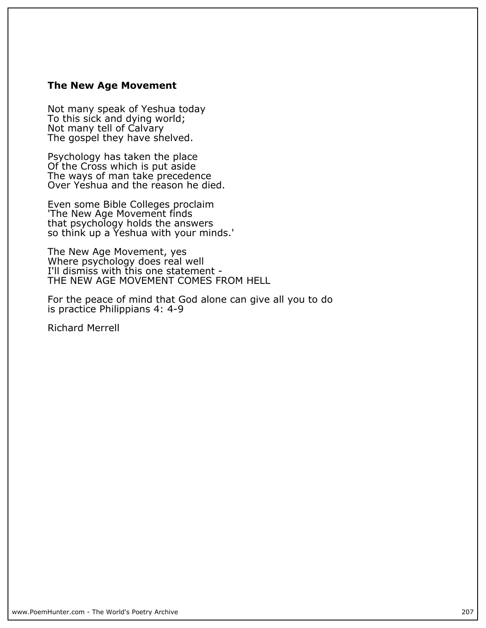#### **The New Age Movement**

**Not many speak of Yeshua today To this sick and dying world; Not many tell of Calvary The gospel they have shelved.**

**Psychology has taken the place Of the Cross which is put aside The ways of man take precedence Over Yeshua and the reason he died.**

**Even some Bible Colleges proclaim 'The New Age Movement finds that psychology holds the answers so think up a Yeshua with your minds.'**

**The New Age Movement, yes Where psychology does real well I'll dismiss with this one statement - THE NEW AGE MOVEMENT COMES FROM HELL**

**For the peace of mind that God alone can give all you to do is practice Philippians 4: 4-9**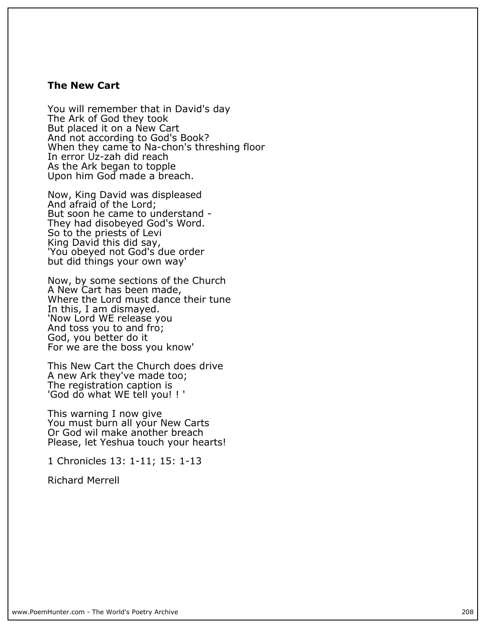#### **The New Cart**

**You will remember that in David's day The Ark of God they took But placed it on a New Cart And not according to God's Book? When they came to Na-chon's threshing floor In error Uz-zah did reach As the Ark began to topple Upon him God made a breach.**

**Now, King David was displeased And afraid of the Lord; But soon he came to understand - They had disobeyed God's Word. So to the priests of Levi King David this did say, 'You obeyed not God's due order but did things your own way'**

**Now, by some sections of the Church A New Cart has been made, Where the Lord must dance their tune In this, I am dismayed. 'Now Lord WE release you And toss you to and fro; God, you better do it For we are the boss you know'**

**This New Cart the Church does drive A new Ark they've made too; The registration caption is 'God do what WE tell you! ! '**

**This warning I now give You must burn all your New Carts Or God wil make another breach Please, let Yeshua touch your hearts!**

**1 Chronicles 13: 1-11; 15: 1-13**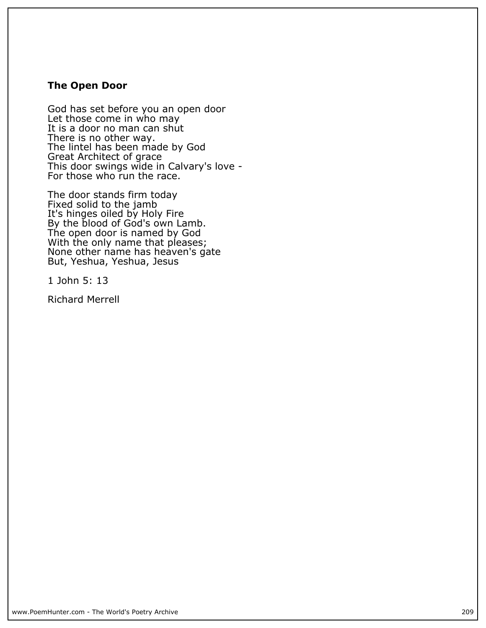#### **The Open Door**

**God has set before you an open door Let those come in who may** It is a door no man can shut **There is no other way. The lintel has been made by God Great Architect of grace This door swings wide in Calvary's love - For those who run the race.**

**The door stands firm today Fixed solid to the jamb It's hinges oiled by Holy Fire By the blood of God's own Lamb. The open door is named by God With the only name that pleases; None other name has heaven's gate But, Yeshua, Yeshua, Jesus**

**1 John 5: 13**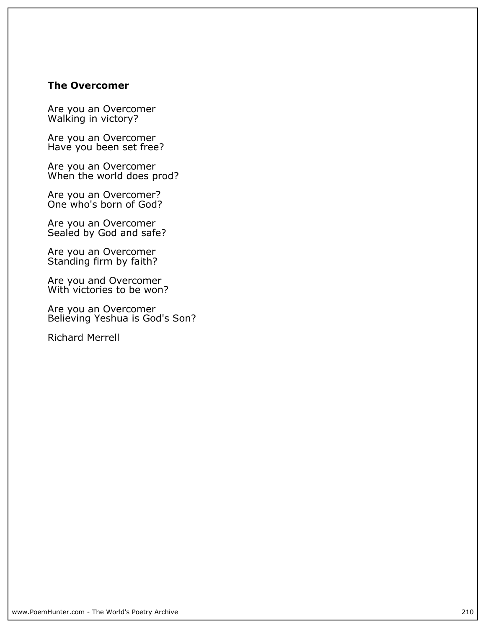#### **The Overcomer**

**Are you an Overcomer Walking in victory?**

**Are you an Overcomer Have you been set free?**

**Are you an Overcomer When the world does prod?**

**Are you an Overcomer? One who's born of God?**

**Are you an Overcomer Sealed by God and safe?**

**Are you an Overcomer Standing firm by faith?**

**Are you and Overcomer With victories to be won?**

**Are you an Overcomer Believing Yeshua is God's Son?**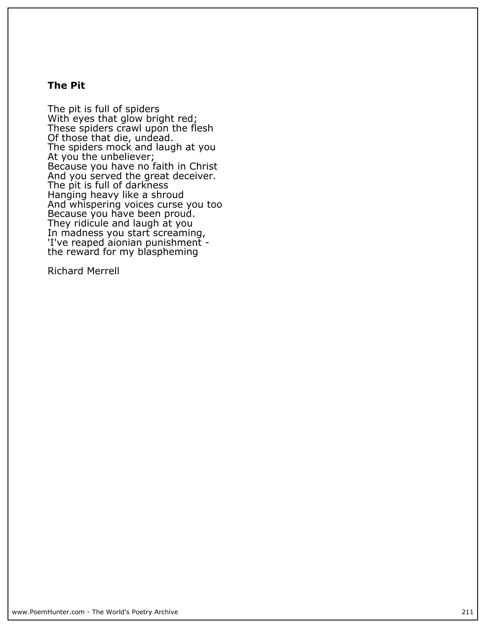## **The Pit**

**The pit is full of spiders With eyes that glow bright red; These spiders crawl upon the flesh Of those that die, undead. The spiders mock and laugh at you At you the unbeliever; Because you have no faith in Christ And you served the great deceiver. The pit is full of darkness Hanging heavy like a shroud And whispering voices curse you too Because you have been proud. They ridicule and laugh at you In madness you start screaming, 'I've reaped aionian punishment the reward for my blaspheming**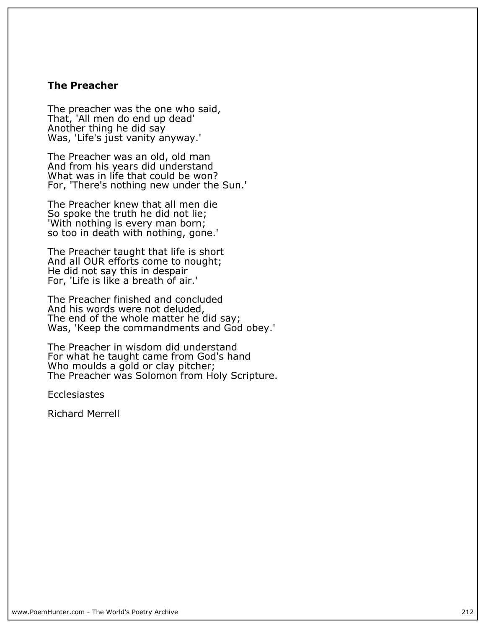#### **The Preacher**

**The preacher was the one who said, That, 'All men do end up dead' Another thing he did say Was, 'Life's just vanity anyway.'**

**The Preacher was an old, old man And from his years did understand What was in life that could be won? For, 'There's nothing new under the Sun.'**

**The Preacher knew that all men die So spoke the truth he did not lie; 'With nothing is every man born; so too in death with nothing, gone.'**

**The Preacher taught that life is short And all OUR efforts come to nought; He did not say this in despair For, 'Life is like a breath of air.'**

**The Preacher finished and concluded And his words were not deluded, The end of the whole matter he did say; Was, 'Keep the commandments and God obey.'**

**The Preacher in wisdom did understand For what he taught came from God's hand Who moulds a gold or clay pitcher; The Preacher was Solomon from Holy Scripture.**

**Ecclesiastes**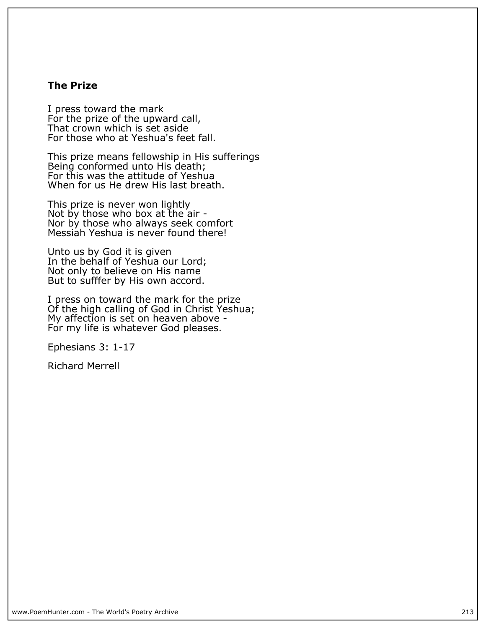# **The Prize**

**I press toward the mark For the prize of the upward call, That crown which is set aside For those who at Yeshua's feet fall.**

**This prize means fellowship in His sufferings Being conformed unto His death; For this was the attitude of Yeshua When for us He drew His last breath.**

**This prize is never won lightly Not by those who box at the air - Nor by those who always seek comfort Messiah Yeshua is never found there!**

**Unto us by God it is given In the behalf of Yeshua our Lord; Not only to believe on His name But to sufffer by His own accord.**

**I press on toward the mark for the prize Of the high calling of God in Christ Yeshua; My affection is set on heaven above - For my life is whatever God pleases.**

**Ephesians 3: 1-17**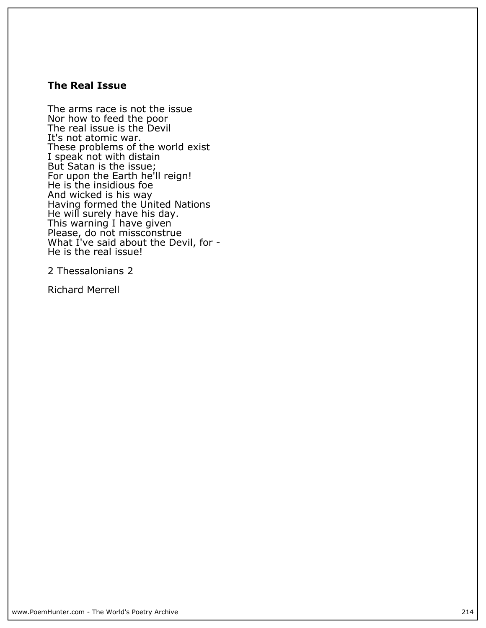#### **The Real Issue**

**The arms race is not the issue Nor how to feed the poor The real issue is the Devil It's not atomic war. These problems of the world exist I speak not with distain But Satan is the issue; For upon the Earth he'll reign! He is the insidious foe And wicked is his way Having formed the United Nations He will surely have his day. This warning I have given Please, do not missconstrue What I've said about the Devil, for - He is the real issue!**

**2 Thessalonians 2**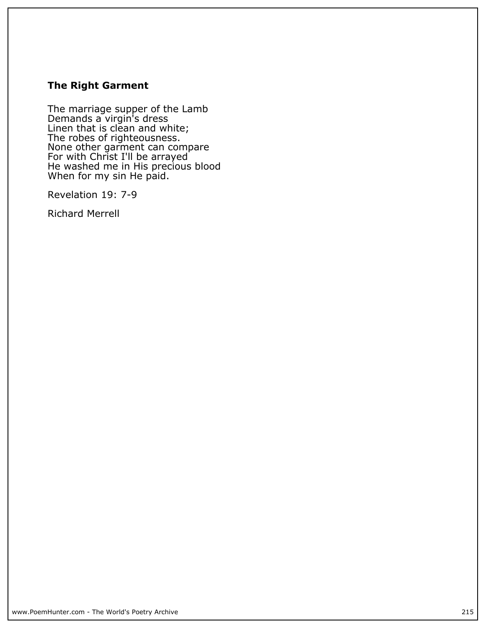# **The Right Garment**

**The marriage supper of the Lamb Demands a virgin's dress Linen that is clean and white; The robes of righteousness. None other garment can compare For with Christ I'll be arrayed He washed me in His precious blood When for my sin He paid.**

**Revelation 19: 7-9**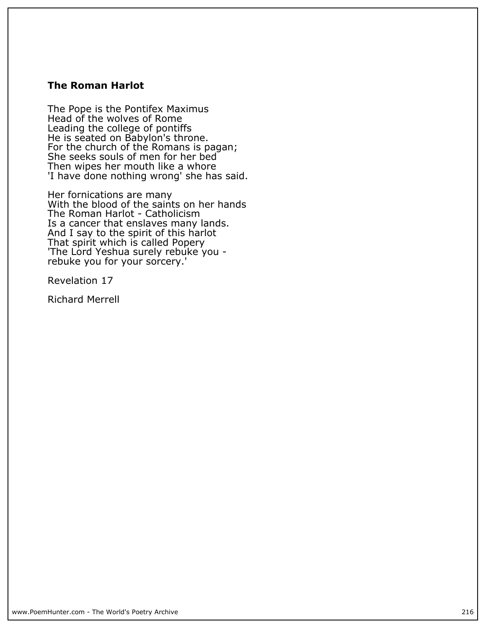#### **The Roman Harlot**

**The Pope is the Pontifex Maximus Head of the wolves of Rome Leading the college of pontiffs He is seated on Babylon's throne. For the church of the Romans is pagan; She seeks souls of men for her bed Then wipes her mouth like a whore 'I have done nothing wrong' she has said.**

**Her fornications are many With the blood of the saints on her hands The Roman Harlot - Catholicism Is a cancer that enslaves many lands. And I say to the spirit of this harlot That spirit which is called Popery 'The Lord Yeshua surely rebuke you rebuke you for your sorcery.'**

**Revelation 17**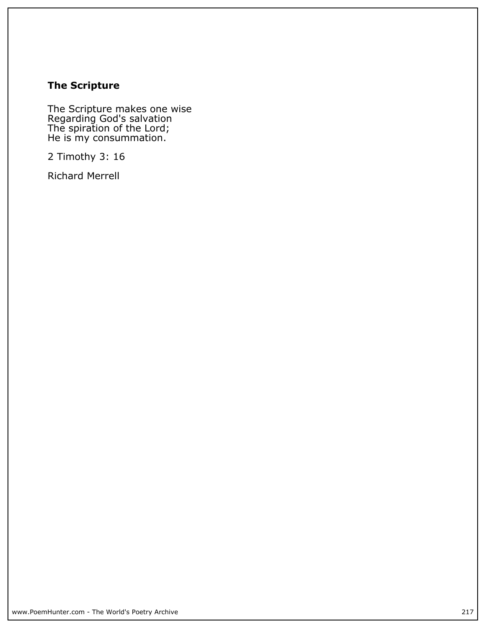# **The Scripture**

**The Scripture makes one wise Regarding God's salvation The spiration of the Lord; He is my consummation.**

**2 Timothy 3: 16**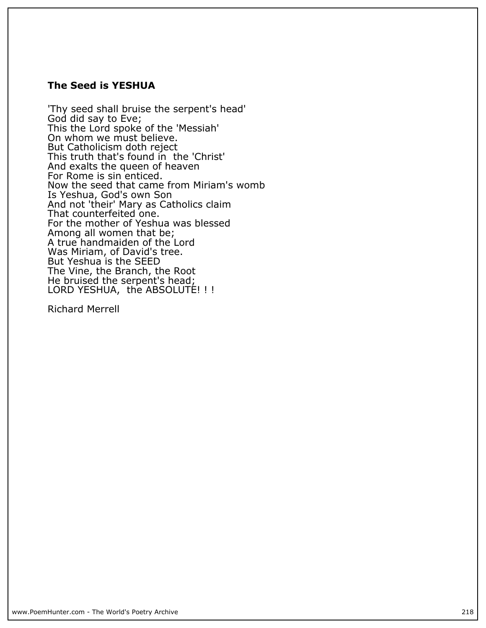### **The Seed is YESHUA**

**'Thy seed shall bruise the serpent's head' God did say to Eve; This the Lord spoke of the 'Messiah' On whom we must believe. But Catholicism doth reject This truth that's found in the 'Christ' And exalts the queen of heaven For Rome is sin enticed. Now the seed that came from Miriam's womb Is Yeshua, God's own Son And not 'their' Mary as Catholics claim That counterfeited one. For the mother of Yeshua was blessed Among all women that be; A true handmaiden of the Lord Was Miriam, of David's tree. But Yeshua is the SEED The Vine, the Branch, the Root He bruised the serpent's head; LORD YESHUA, the ABSOLUTE! ! !**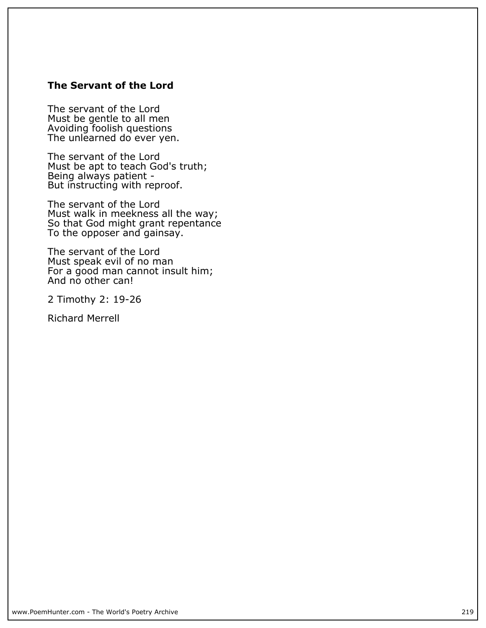## **The Servant of the Lord**

**The servant of the Lord Must be gentle to all men Avoiding foolish questions The unlearned do ever yen.**

**The servant of the Lord Must be apt to teach God's truth; Being always patient - But instructing with reproof.**

**The servant of the Lord Must walk in meekness all the way; So that God might grant repentance To the opposer and gainsay.**

**The servant of the Lord Must speak evil of no man For a good man cannot insult him; And no other can!**

**2 Timothy 2: 19-26**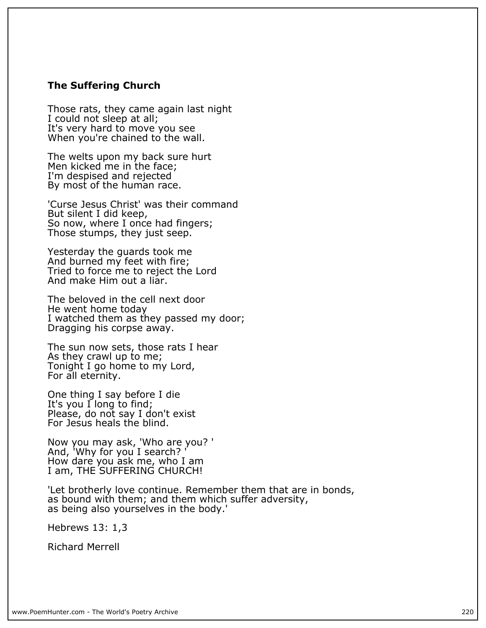#### **The Suffering Church**

**Those rats, they came again last night I could not sleep at all; It's very hard to move you see When you're chained to the wall.**

**The welts upon my back sure hurt Men kicked me in the face; I'm despised and rejected By most of the human race.**

**'Curse Jesus Christ' was their command But silent I did keep,** So now, where I once had fingers; **Those stumps, they just seep.**

**Yesterday the guards took me And burned my feet with fire; Tried to force me to reject the Lord And make Him out a liar.**

**The beloved in the cell next door He went home today I watched them as they passed my door; Dragging his corpse away.**

**The sun now sets, those rats I hear As they crawl up to me; Tonight I go home to my Lord, For all eternity.**

**One thing I say before I die It's you I long to find; Please, do not say I don't exist For Jesus heals the blind.**

**Now you may ask, 'Who are you? '** And, 'Why for you<sup>'</sup> I search? **How dare you ask me, who I am I am, THE SUFFERING CHURCH!**

**'Let brotherly love continue. Remember them that are in bonds, as bound with them; and them which suffer adversity, as being also yourselves in the body.'**

**Hebrews 13: 1,3**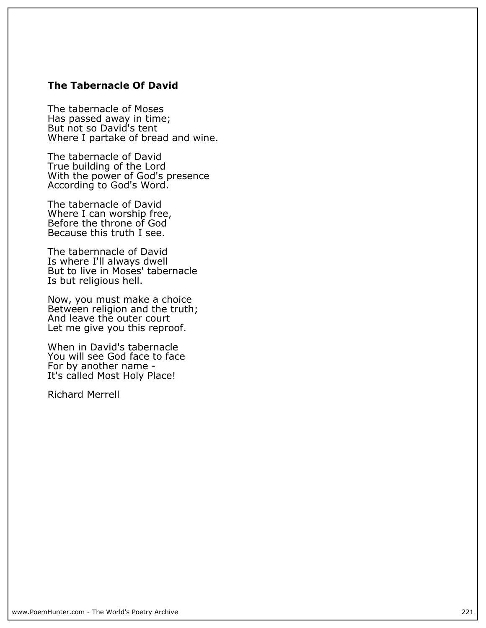## **The Tabernacle Of David**

**The tabernacle of Moses Has passed away in time; But not so David's tent Where I partake of bread and wine.**

**The tabernacle of David True building of the Lord With the power of God's presence According to God's Word.**

**The tabernacle of David Where I can worship free, Before the throne of God Because this truth I see.**

**The tabernnacle of David Is where I'll always dwell But to live in Moses' tabernacle Is but religious hell.**

**Now, you must make a choice Between religion and the truth; And leave the outer court Let me give you this reproof.**

**When in David's tabernacle You will see God face to face For by another name - It's called Most Holy Place!**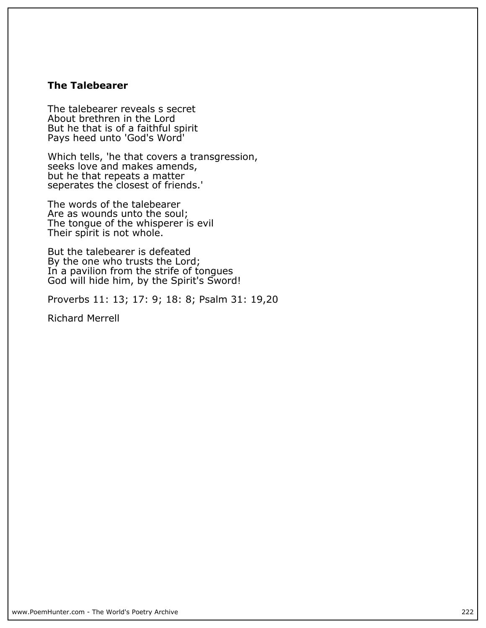### **The Talebearer**

**The talebearer reveals s secret About brethren in the Lord But he that is of a faithful spirit Pays heed unto 'God's Word'**

**Which tells, 'he that covers a transgression, seeks love and makes amends, but he that repeats a matter** seperates the closest of friends.'

**The words of the talebearer Are as wounds unto the soul; The tongue of the whisperer is evil Their spirit is not whole.**

**But the talebearer is defeated By the one who trusts the Lord; In a pavilion from the strife of tongues God will hide him, by the Spirit's Sword!**

**Proverbs 11: 13; 17: 9; 18: 8; Psalm 31: 19,20**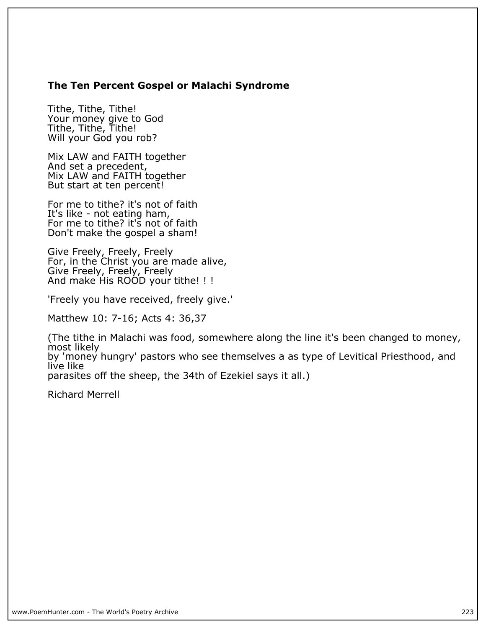## **The Ten Percent Gospel or Malachi Syndrome**

**Tithe, Tithe, Tithe! Your money give to God Tithe, Tithe, Tithe! Will your God you rob?**

**Mix LAW and FAITH together And set a precedent, Mix LAW and FAITH together But start at ten percent!**

**For me to tithe? it's not of faith It's like - not eating ham, For me to tithe? it's not of faith Don't make the gospel a sham!**

**Give Freely, Freely, Freely For, in the Christ you are made alive, Give Freely, Freely, Freely And make His ROOD your tithe! ! !**

**'Freely you have received, freely give.'**

**Matthew 10: 7-16; Acts 4: 36,37**

**(The tithe in Malachi was food, somewhere along the line it's been changed to money, most likely by 'money hungry' pastors who see themselves a as type of Levitical Priesthood, and live like parasites off the sheep, the 34th of Ezekiel says it all.)**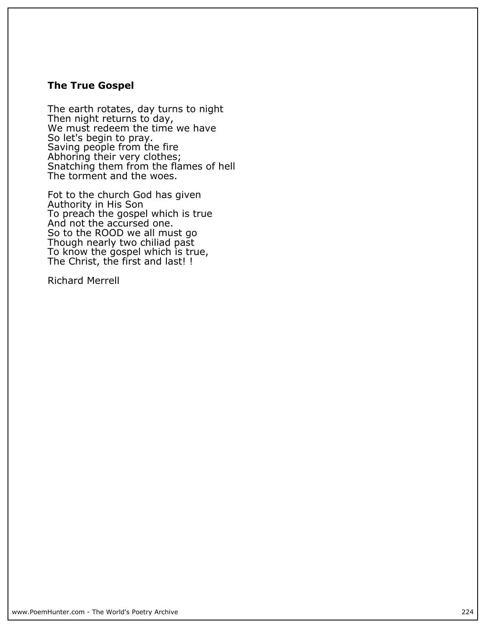#### **The True Gospel**

**The earth rotates, day turns to night Then night returns to day, We must redeem the time we have So let's begin to pray. Saving people from the fire Abhoring their very clothes; Snatching them from the flames of hell The torment and the woes.**

**Fot to the church God has given Authority in His Son To preach the gospel which is true And not the accursed one. So to the ROOD we all must go Though nearly two chiliad past To know the gospel which is true, The Christ, the first and last! !**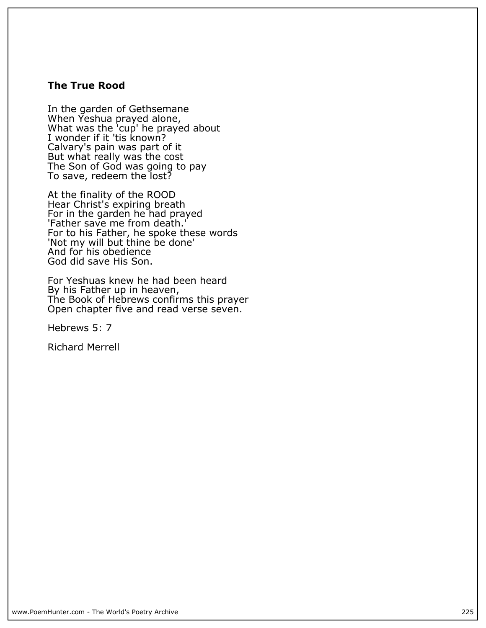#### **The True Rood**

**In the garden of Gethsemane When Yeshua prayed alone, What was the 'cup' he prayed about I wonder if it 'tis known? Calvary's pain was part of it But what really was the cost The Son of God was going to pay To save, redeem the lost?**

**At the finality of the ROOD Hear Christ's expiring breath For in the garden he had prayed 'Father save me from death.' For to his Father, he spoke these words 'Not my will but thine be done' And for his obedience God did save His Son.**

**For Yeshuas knew he had been heard By his Father up in heaven, The Book of Hebrews confirms this prayer Open chapter five and read verse seven.**

**Hebrews 5: 7**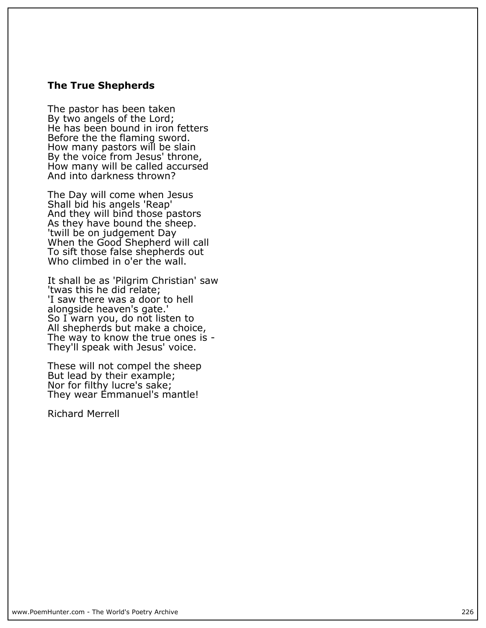#### **The True Shepherds**

**The pastor has been taken By two angels of the Lord; He has been bound in iron fetters Before the the flaming sword. How many pastors will be slain By the voice from Jesus' throne, How many will be called accursed And into darkness thrown?**

**The Day will come when Jesus Shall bid his angels 'Reap' And they will bind those pastors As they have bound the sheep. 'twill be on judgement Day When the Good Shepherd will call To sift those false shepherds out Who climbed in o'er the wall.**

**It shall be as 'Pilgrim Christian' saw 'twas this he did relate; 'I saw there was a door to hell alongside heaven's gate.' So I warn you, do not listen to All shepherds but make a choice, The way to know the true ones is - They'll speak with Jesus' voice.**

**These will not compel the sheep But lead by their example; Nor for filthy lucre's sake; They wear Emmanuel's mantle!**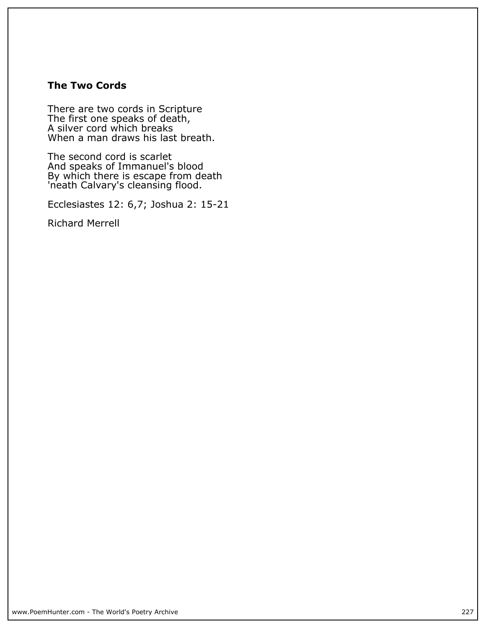### **The Two Cords**

**There are two cords in Scripture The first one speaks of death, A silver cord which breaks When a man draws his last breath.**

**The second cord is scarlet And speaks of Immanuel's blood By which there is escape from death 'neath Calvary's cleansing flood.**

**Ecclesiastes 12: 6,7; Joshua 2: 15-21**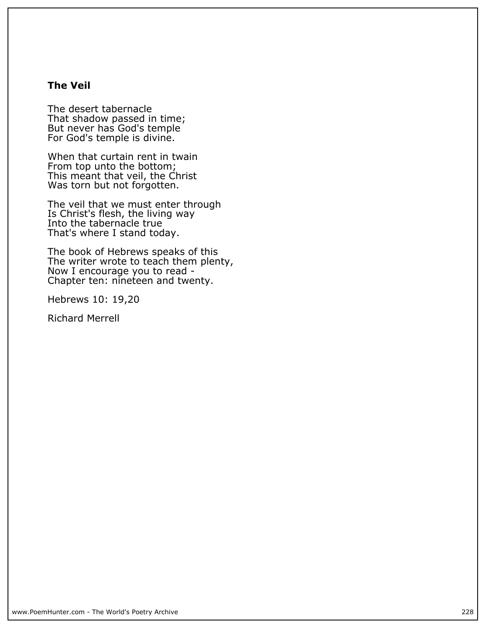### **The Veil**

**The desert tabernacle That shadow passed in time; But never has God's temple For God's temple is divine.**

**When that curtain rent in twain From top unto the bottom; This meant that veil, the Christ Was torn but not forgotten.**

**The veil that we must enter through Is Christ's flesh, the living way Into the tabernacle true That's where I stand today.**

**The book of Hebrews speaks of this The writer wrote to teach them plenty, Now I encourage you to read - Chapter ten: nineteen and twenty.**

**Hebrews 10: 19,20**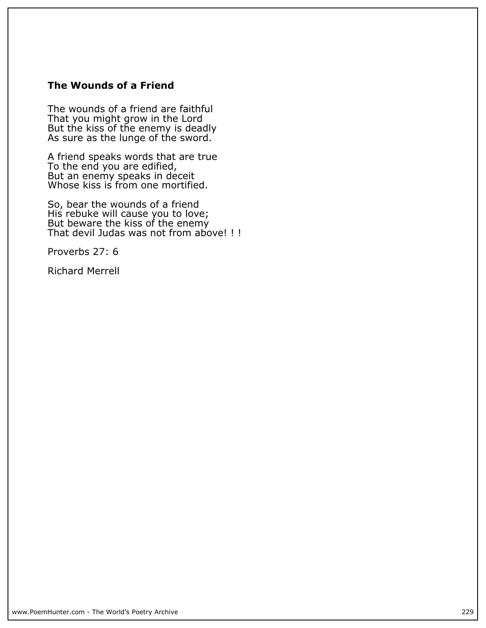## **The Wounds of a Friend**

**The wounds of a friend are faithful That you might grow in the Lord But the kiss of the enemy is deadly As sure as the lunge of the sword.**

**A friend speaks words that are true To the end you are edified, But an enemy speaks in deceit Whose kiss is from one mortified.**

**So, bear the wounds of a friend His rebuke will cause you to love; But beware the kiss of the enemy That devil Judas was not from above! ! !**

**Proverbs 27: 6**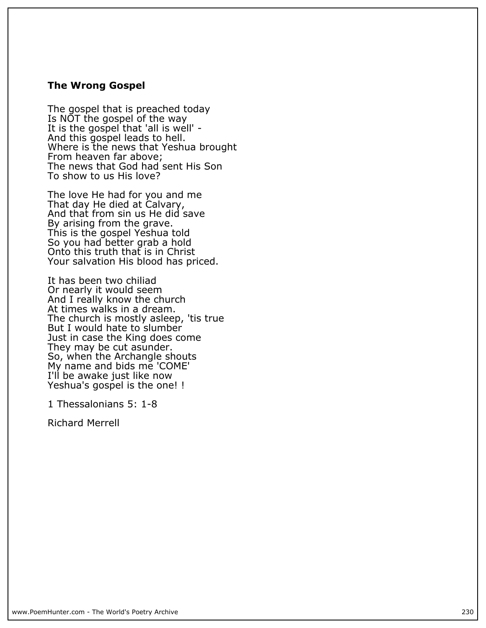#### **The Wrong Gospel**

**The gospel that is preached today Is NOT the gospel of the way It is the gospel that 'all is well' - And this gospel leads to hell. Where is the news that Yeshua brought From heaven far above; The news that God had sent His Son To show to us His love?**

**The love He had for you and me That day He died at Calvary, And that from sin us He did save By arising from the grave. This is the gospel Yeshua told So you had better grab a hold Onto this truth that is in Christ Your salvation His blood has priced.**

**It has been two chiliad Or nearly it would seem And I really know the church At times walks in a dream. The church is mostly asleep, 'tis true** But I would hate to slumber **Just in case the King does come They may be cut asunder. So, when the Archangle shouts My name and bids me 'COME' I'll be awake just like now Yeshua's gospel is the one! !**

**1 Thessalonians 5: 1-8**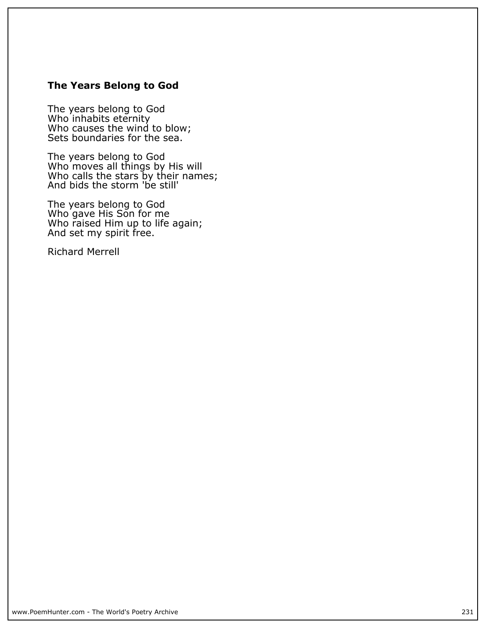## **The Years Belong to God**

**The years belong to God Who inhabits eternity Who causes the wind to blow; Sets boundaries for the sea.**

**The years belong to God Who moves all things by His will Who calls the stars by their names; And bids the storm 'be still'**

**The years belong to God Who gave His Son for me Who raised Him up to life again; And set my spirit free.**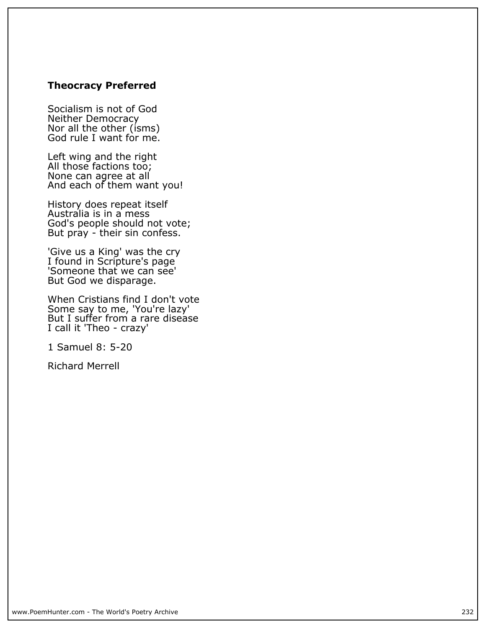## **Theocracy Preferred**

**Socialism is not of God Neither Democracy Nor all the other (isms) God rule I want for me.**

**Left wing and the right All those factions too; None can agree at all And each of them want you!**

**History does repeat itself Australia is in a mess God's people should not vote; But pray - their sin confess.**

**'Give us a King' was the cry I found in Scripture's page 'Someone that we can see' But God we disparage.**

**When Cristians find I don't vote Some say to me, 'You're lazy' But I suffer from a rare disease I call it 'Theo - crazy'**

**1 Samuel 8: 5-20**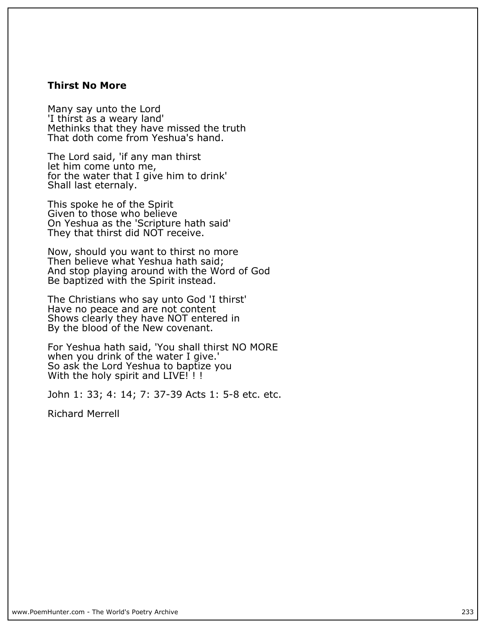#### **Thirst No More**

**Many say unto the Lord 'I thirst as a weary land' Methinks that they have missed the truth That doth come from Yeshua's hand.**

**The Lord said, 'if any man thirst let him come unto me, for the water that I give him to drink' Shall last eternaly.**

**This spoke he of the Spirit Given to those who believe On Yeshua as the 'Scripture hath said' They that thirst did NOT receive.**

**Now, should you want to thirst no more Then believe what Yeshua hath said; And stop playing around with the Word of God Be baptized with the Spirit instead.**

**The Christians who say unto God 'I thirst' Have no peace and are not content Shows clearly they have NOT entered in By the blood of the New covenant.**

**For Yeshua hath said, 'You shall thirst NO MORE when you drink of the water I give.' So ask the Lord Yeshua to baptize you With the holy spirit and LIVE! ! !**

**John 1: 33; 4: 14; 7: 37-39 Acts 1: 5-8 etc. etc.**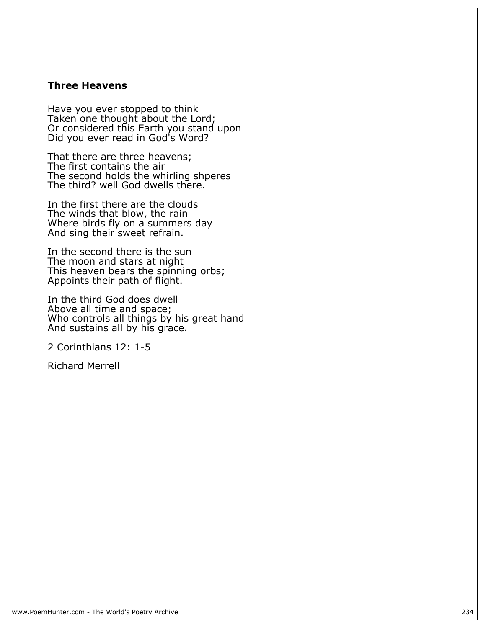#### **Three Heavens**

**Have you ever stopped to think** Taken one thought about the Lord; **Or considered this Earth you stand upon Did you ever read in God's Word?**

**That there are three heavens; The first contains the air The second holds the whirling shperes The third? well God dwells there.**

**In the first there are the clouds The winds that blow, the rain Where birds fly on a summers day And sing their sweet refrain.**

**In the second there is the sun The moon and stars at night This heaven bears the spinning orbs; Appoints their path of flight.**

**In the third God does dwell Above all time and space; Who controls all things by his great hand And sustains all by his grace.**

**2 Corinthians 12: 1-5**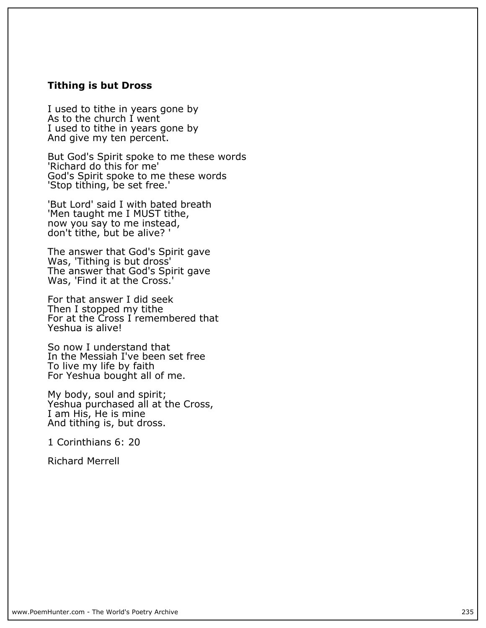#### **Tithing is but Dross**

**I used to tithe in years gone by As to the church I went I used to tithe in years gone by And give my ten percent.**

**But God's Spirit spoke to me these words 'Richard do this for me' God's Spirit spoke to me these words 'Stop tithing, be set free.'**

**'But Lord' said I with bated breath 'Men taught me I MUST tithe, now you say to me instead, don't tithe, but be alive? '**

**The answer that God's Spirit gave Was, 'Tithing is but dross' The answer that God's Spirit gave Was, 'Find it at the Cross.'**

**For that answer I did seek Then I stopped my tithe For at the Cross I remembered that Yeshua is alive!**

**So now I understand that In the Messiah I've been set free To live my life by faith For Yeshua bought all of me.**

**My body, soul and spirit; Yeshua purchased all at the Cross, I am His, He is mine And tithing is, but dross.**

**1 Corinthians 6: 20**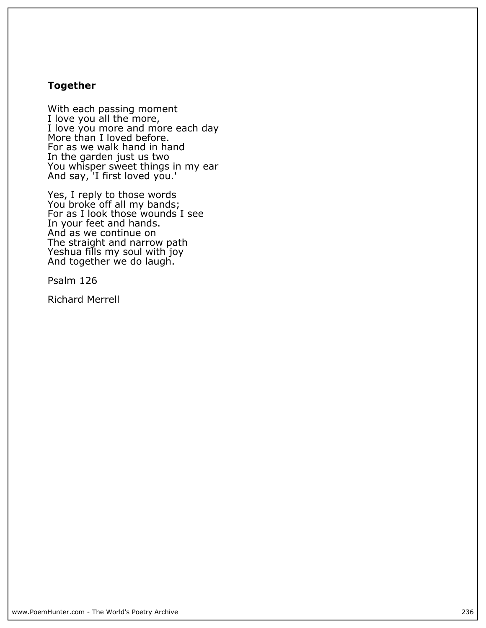#### **Together**

**With each passing moment I love you all the more, I love you more and more each day More than I loved before. For as we walk hand in hand In the garden just us two You whisper sweet things in my ear And say, 'I first loved you.'**

**Yes, I reply to those words You broke off all my bands; For as I look those wounds I see In your feet and hands. And as we continue on The straight and narrow path Yeshua fills my soul with joy And together we do laugh.**

**Psalm 126**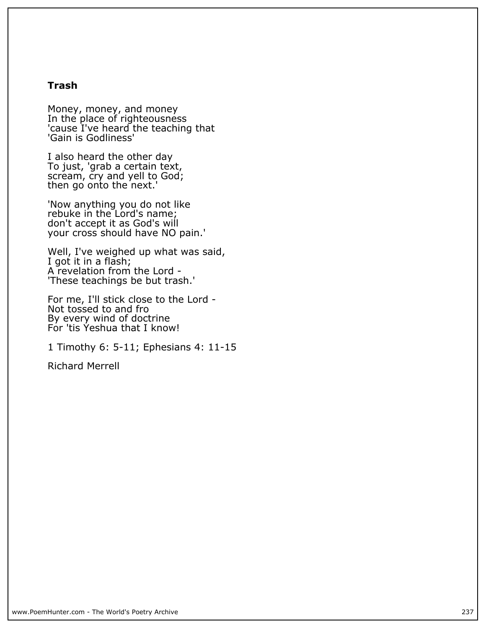#### **Trash**

**Money, money, and money In the place of righteousness 'cause I've heard the teaching that 'Gain is Godliness'**

**I also heard the other day To just, 'grab a certain text, scream, cry and yell to God; then go onto the next.'**

**'Now anything you do not like rebuke in the Lord's name; don't accept it as God's will your cross should have NO pain.'**

**Well, I've weighed up what was said, I got it in a flash; A revelation from the Lord - 'These teachings be but trash.'**

**For me, I'll stick close to the Lord - Not tossed to and fro By every wind of doctrine For 'tis Yeshua that I know!**

**1 Timothy 6: 5-11; Ephesians 4: 11-15**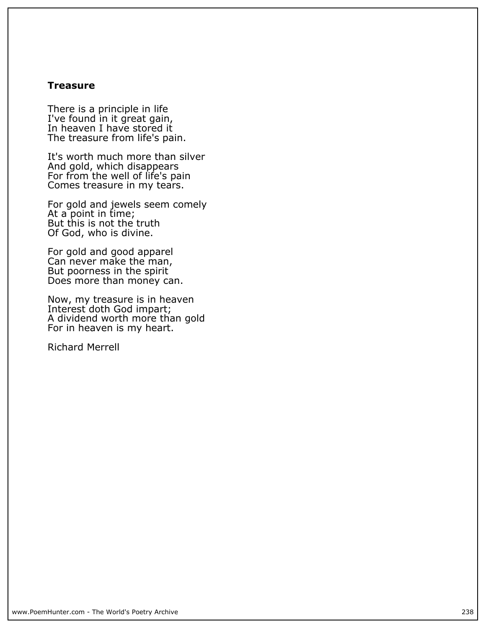#### **Treasure**

**There is a principle in life I've found in it great gain, In heaven I have stored it The treasure from life's pain.**

**It's worth much more than silver And gold, which disappears For from the well of life's pain Comes treasure in my tears.**

**For gold and jewels seem comely At a point in time; But this is not the truth Of God, who is divine.**

**For gold and good apparel Can never make the man, But poorness in the spirit Does more than money can.**

**Now, my treasure is in heaven Interest doth God impart; A dividend worth more than gold For in heaven is my heart.**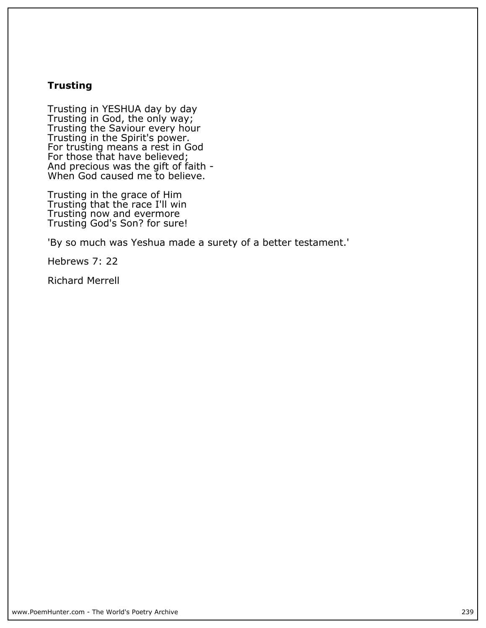## **Trusting**

**Trusting in YESHUA day by day Trusting in God, the only way; Trusting the Saviour every hour Trusting in the Spirit's power. For trusting means a rest in God For those that have believed; And precious was the gift of faith - When God caused me to believe.**

**Trusting in the grace of Him Trusting that the race I'll win Trusting now and evermore Trusting God's Son? for sure!**

**'By so much was Yeshua made a surety of a better testament.'**

**Hebrews 7: 22**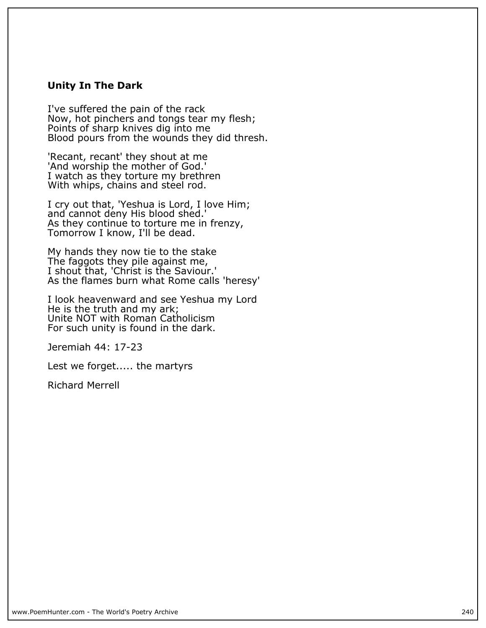#### **Unity In The Dark**

**I've suffered the pain of the rack Now, hot pinchers and tongs tear my flesh; Points of sharp knives dig into me Blood pours from the wounds they did thresh.**

**'Recant, recant' they shout at me 'And worship the mother of God.' I watch as they torture my brethren With whips, chains and steel rod.**

**I cry out that, 'Yeshua is Lord, I love Him; and cannot deny His blood shed.'** As they continue to torture me in frenzy, **Tomorrow I know, I'll be dead.**

**My hands they now tie to the stake The faggots they pile against me, I shout that, 'Christ is the Saviour.' As the flames burn what Rome calls 'heresy'**

**I look heavenward and see Yeshua my Lord He is the truth and my ark;** Unite NOT with Roman Catholicism **For such unity is found in the dark.**

**Jeremiah 44: 17-23**

**Lest we forget..... the martyrs**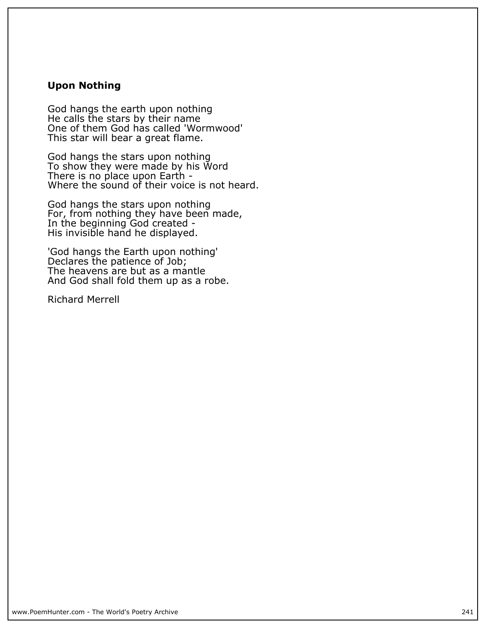#### **Upon Nothing**

**God hangs the earth upon nothing He calls the stars by their name One of them God has called 'Wormwood' This star will bear a great flame.**

**God hangs the stars upon nothing To show they were made by his Word There is no place upon Earth - Where the sound of their voice is not heard.**

**God hangs the stars upon nothing For, from nothing they have been made, In the beginning God created - His invisible hand he displayed.**

**'God hangs the Earth upon nothing' Declares the patience of Job; The heavens are but as a mantle And God shall fold them up as a robe.**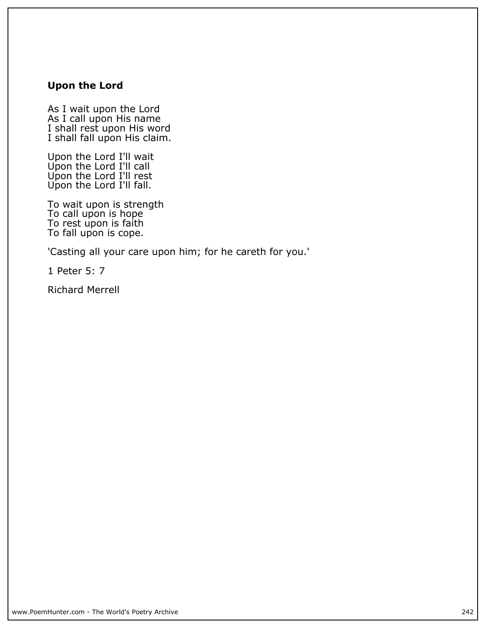## **Upon the Lord**

**As I wait upon the Lord As I call upon His name I shall rest upon His word I shall fall upon His claim.**

**Upon the Lord I'll wait Upon the Lord I'll call Upon the Lord I'll rest Upon the Lord I'll fall.**

**To wait upon is strength To call upon is hope To rest upon is faith To fall upon is cope.**

**'Casting all your care upon him; for he careth for you.'**

**1 Peter 5: 7**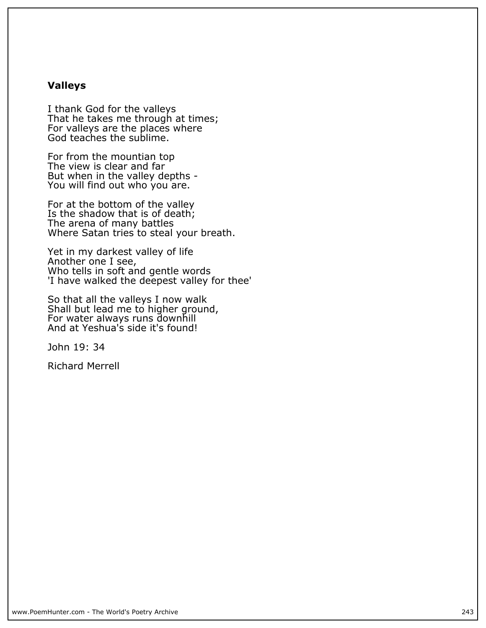#### **Valleys**

**I thank God for the valleys That he takes me through at times; For valleys are the places where God teaches the sublime.**

**For from the mountian top The view is clear and far But when in the valley depths - You will find out who you are.**

**For at the bottom of the valley Is the shadow that is of death; The arena of many battles Where Satan tries to steal your breath.**

**Yet in my darkest valley of life Another one I see, Who tells in soft and gentle words 'I have walked the deepest valley for thee'**

**So that all the valleys I now walk Shall but lead me to higher ground, For water always runs downhill And at Yeshua's side it's found!**

**John 19: 34**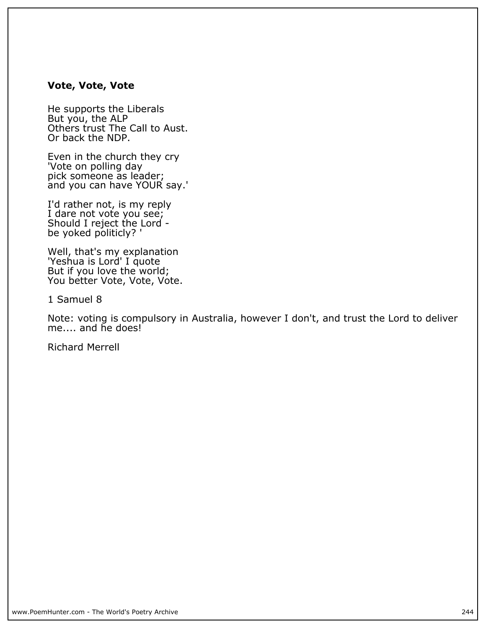#### **Vote, Vote, Vote**

**He supports the Liberals But you, the ALP Others trust The Call to Aust. Or back the NDP.**

**Even in the church they cry 'Vote on polling day pick someone as leader; and you can have YOUR say.'**

**I'd rather not, is my reply I dare not vote you see; Should I reject the Lord be yoked politicly? '**

**Well, that's my explanation 'Yeshua is Lord' I quote But if you love the world; You better Vote, Vote, Vote.**

**1 Samuel 8**

**Note: voting is compulsory in Australia, however I don't, and trust the Lord to deliver me.... and he does!**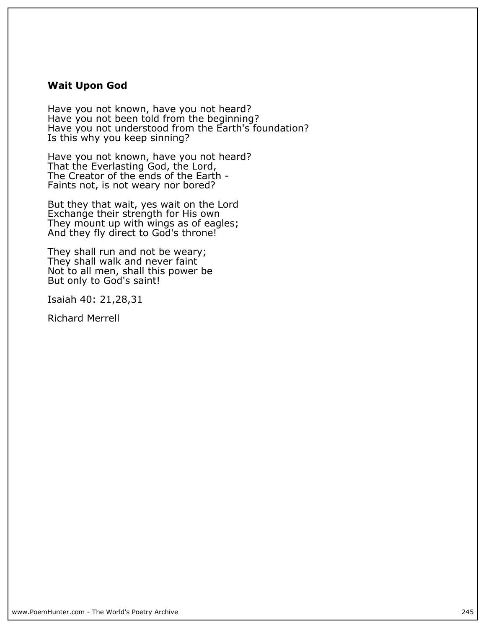#### **Wait Upon God**

**Have you not known, have you not heard? Have you not been told from the beginning? Have you not understood from the Earth's foundation? Is this why you keep sinning?**

**Have you not known, have you not heard? That the Everlasting God, the Lord, The Creator of the ends of the Earth - Faints not, is not weary nor bored?**

**But they that wait, yes wait on the Lord Exchange their strength for His own They mount up with wings as of eagles; And they fly direct to God's throne!**

**They shall run and not be weary; They shall walk and never faint Not to all men, shall this power be But only to God's saint!**

**Isaiah 40: 21,28,31**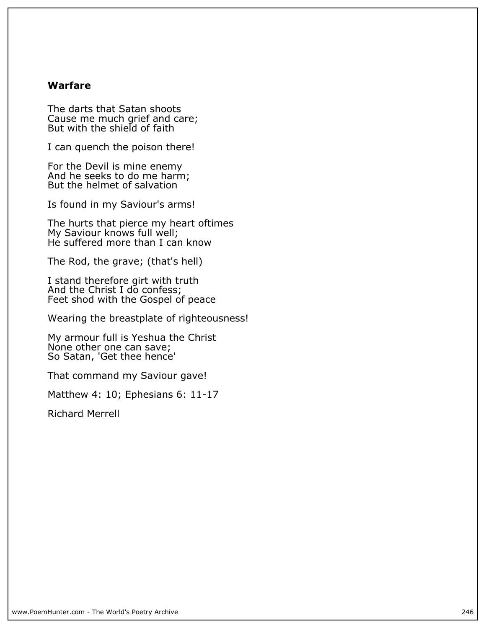#### **Warfare**

**The darts that Satan shoots Cause me much grief and care; But with the shield of faith**

**I can quench the poison there!**

**For the Devil is mine enemy And he seeks to do me harm; But the helmet of salvation**

**Is found in my Saviour's arms!**

**The hurts that pierce my heart oftimes My Saviour knows full well; He suffered more than I can know**

**The Rod, the grave; (that's hell)**

**I stand therefore girt with truth And the Christ I do confess; Feet shod with the Gospel of peace**

**Wearing the breastplate of righteousness!**

**My armour full is Yeshua the Christ None other one can save; So Satan, 'Get thee hence'**

**That command my Saviour gave!**

**Matthew 4: 10; Ephesians 6: 11-17**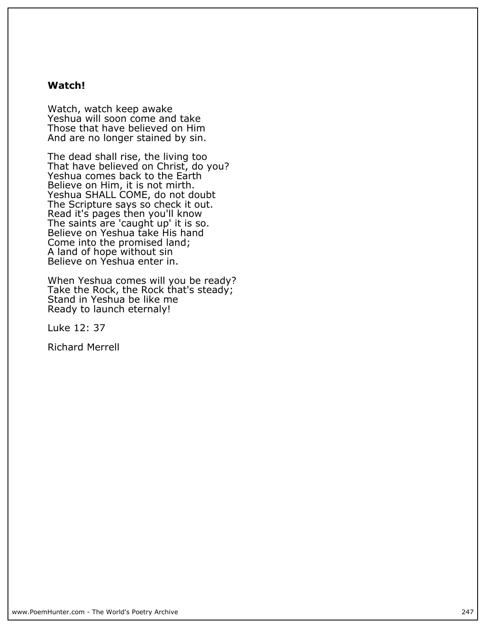#### **Watch!**

**Watch, watch keep awake Yeshua will soon come and take Those that have believed on Him And are no longer stained by sin.**

**The dead shall rise, the living too That have believed on Christ, do you? Yeshua comes back to the Earth Believe on Him, it is not mirth. Yeshua SHALL COME, do not doubt The Scripture says so check it out. Read it's pages then you'll know The saints are 'caught up' it is so. Believe on Yeshua take His hand Come into the promised land; A land of hope without sin Believe on Yeshua enter in.**

**When Yeshua comes will you be ready? Take the Rock, the Rock that's steady; Stand in Yeshua be like me Ready to launch eternaly!**

**Luke 12: 37**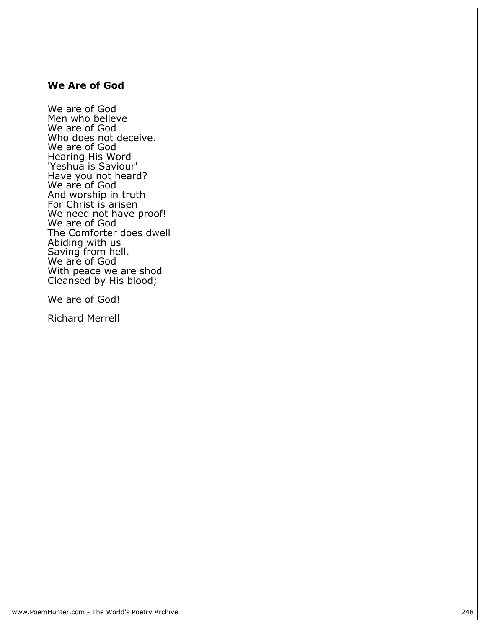#### **We Are of God**

**We are of God Men who believe We are of God Who does not deceive. We are of God Hearing His Word 'Yeshua is Saviour' Have you not heard?** We are of God **And worship in truth For Christ is arisen We need not have proof! We are of God The Comforter does dwell Abiding with us Saving from hell. We are of God With peace we are shod Cleansed by His blood;**

**We are of God!**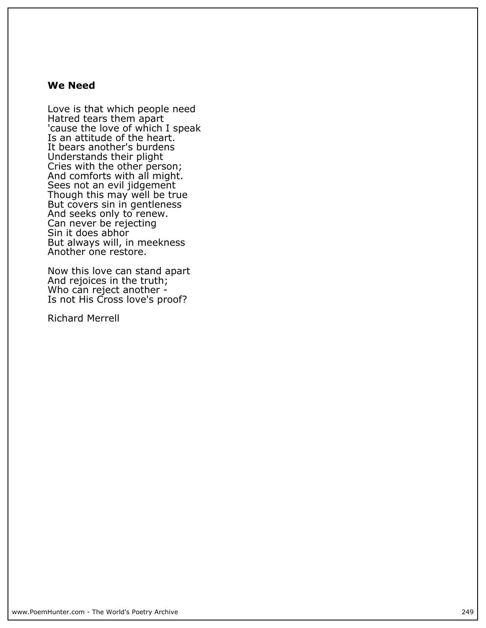#### **We Need**

**Love is that which people need Hatred tears them apart 'cause the love of which I speak Is an attitude of the heart. It bears another's burdens Understands their plight Cries with the other person; And comforts with all might. Sees not an evil jidgement Though this may well be true But covers sin in gentleness And seeks only to renew. Can never be rejecting Sin it does abhor But always will, in meekness Another one restore.**

**Now this love can stand apart And rejoices in the truth; Who can reject another - Is not His Cross love's proof?**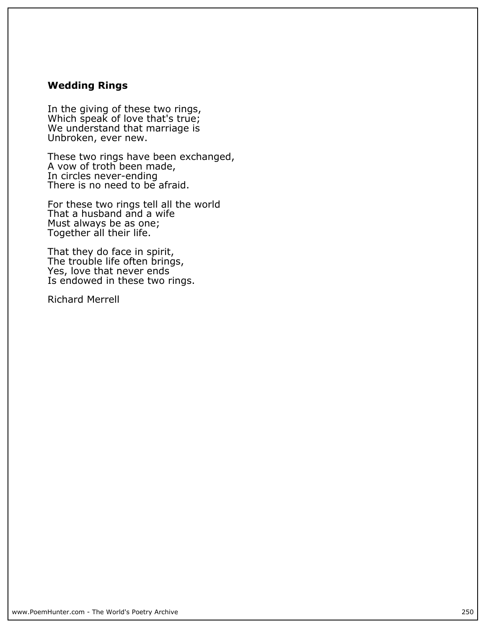### **Wedding Rings**

**In the giving of these two rings, Which speak of love that's true; We understand that marriage is Unbroken, ever new.**

**These two rings have been exchanged, A vow of troth been made, In circles never-ending There is no need to be afraid.**

**For these two rings tell all the world That a husband and a wife Must always be as one; Together all their life.**

**That they do face in spirit, The trouble life often brings, Yes, love that never ends Is endowed in these two rings.**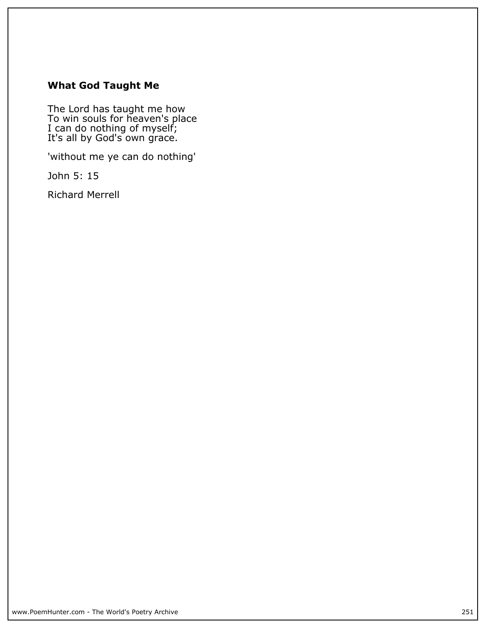## **What God Taught Me**

**The Lord has taught me how To win souls for heaven's place I can do nothing of myself; It's all by God's own grace.**

**'without me ye can do nothing'**

**John 5: 15**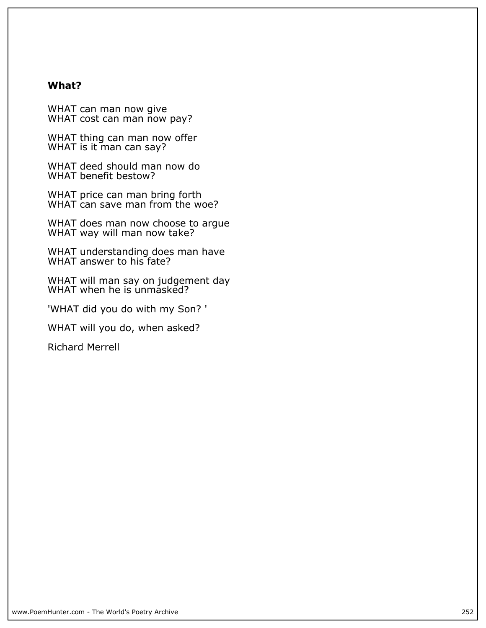#### **What?**

**WHAT can man now give WHAT cost can man now pay?**

**WHAT thing can man now offer WHAT is it man can say?**

**WHAT deed should man now do WHAT benefit bestow?**

**WHAT price can man bring forth WHAT can save man from the woe?**

**WHAT does man now choose to argue WHAT way will man now take?**

**WHAT understanding does man have WHAT answer to his fate?**

**WHAT will man say on judgement day WHAT when he is unmasked?**

**'WHAT did you do with my Son? '**

**WHAT will you do, when asked?**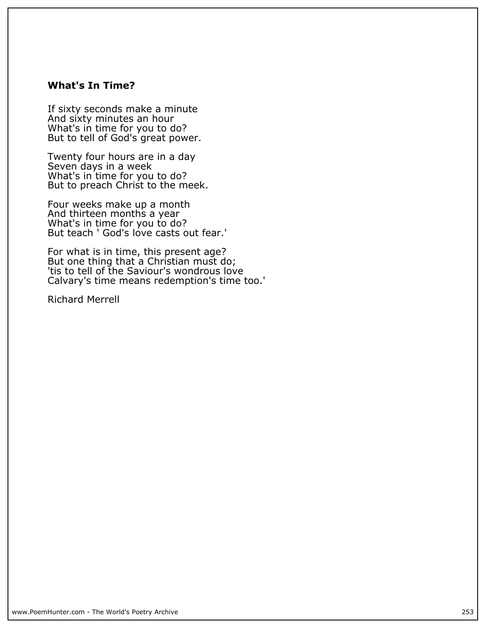### **What's In Time?**

**If sixty seconds make a minute And sixty minutes an hour What's in time for you to do? But to tell of God's great power.**

**Twenty four hours are in a day Seven days in a week What's in time for you to do? But to preach Christ to the meek.**

**Four weeks make up a month And thirteen months a year What's in time for you to do? But teach ' God's love casts out fear.'**

**For what is in time, this present age? But one thing that a Christian must do; 'tis to tell of the Saviour's wondrous love Calvary's time means redemption's time too.'**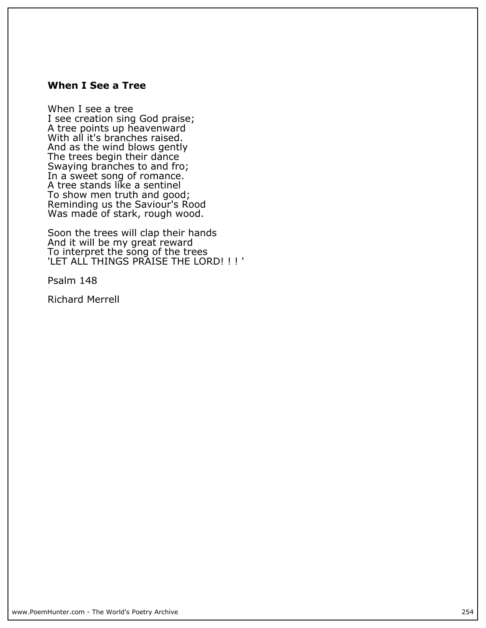### **When I See a Tree**

**When I see a tree I see creation sing God praise; A tree points up heavenward** With all it's branches raised. **And as the wind blows gently The trees begin their dance Swaying branches to and fro; In a sweet song of romance. A tree stands like a sentinel To show men truth and good; Reminding us the Saviour's Rood Was made of stark, rough wood.**

**Soon the trees will clap their hands And it will be my great reward** To interpret the song of the trees **'LET ALL THINGS PRAISE THE LORD! ! ! '**

**Psalm 148**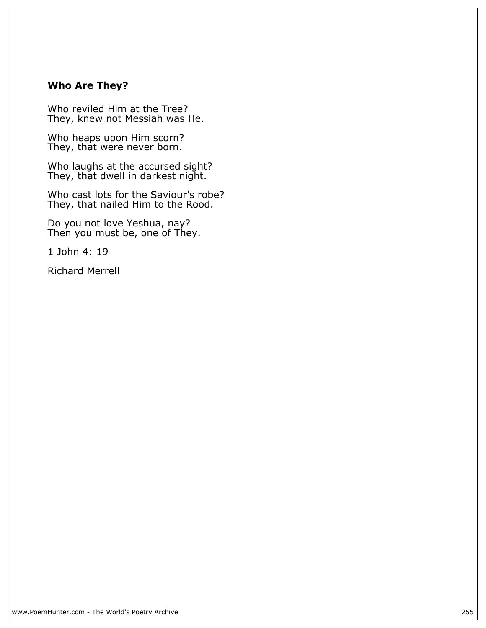## **Who Are They?**

**Who reviled Him at the Tree? They, knew not Messiah was He.**

**Who heaps upon Him scorn?** They, that were never born.

**Who laughs at the accursed sight? They, that dwell in darkest night.**

**Who cast lots for the Saviour's robe? They, that nailed Him to the Rood.**

**Do you not love Yeshua, nay? Then you must be, one of They.**

**1 John 4: 19**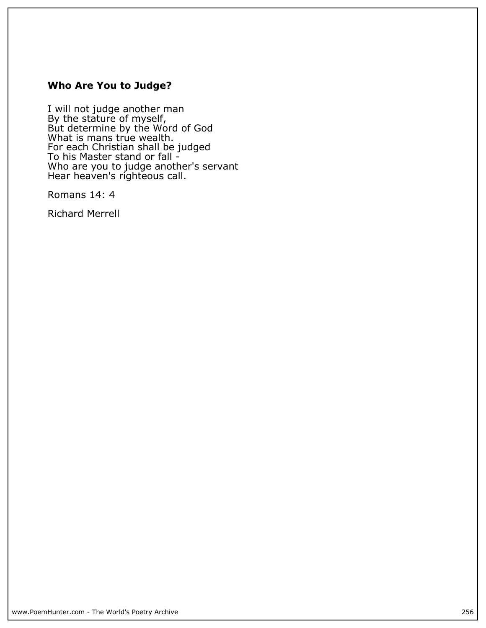# **Who Are You to Judge?**

**I will not judge another man By the stature of myself, But determine by the Word of God What is mans true wealth. For each Christian shall be judged To his Master stand or fall - Who are you to judge another's servant Hear heaven's righteous call.**

**Romans 14: 4**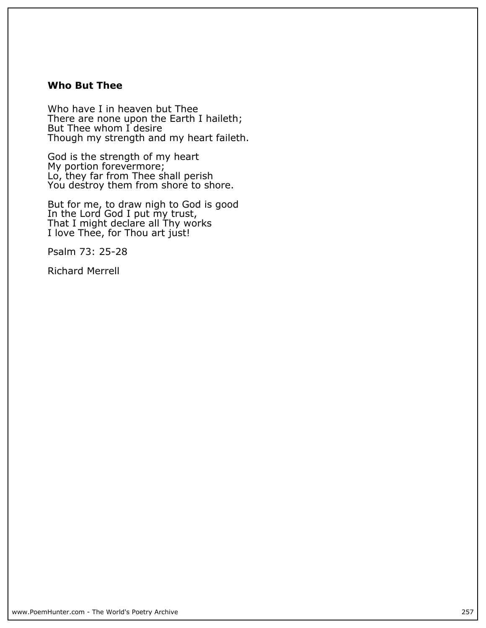### **Who But Thee**

**Who have I in heaven but Thee There are none upon the Earth I haileth; But Thee whom I desire Though my strength and my heart faileth.**

**God is the strength of my heart My portion forevermore; Lo, they far from Thee shall perish You destroy them from shore to shore.**

**But for me, to draw nigh to God is good In the Lord God I put my trust, That I might declare all Thy works I love Thee, for Thou art just!**

**Psalm 73: 25-28**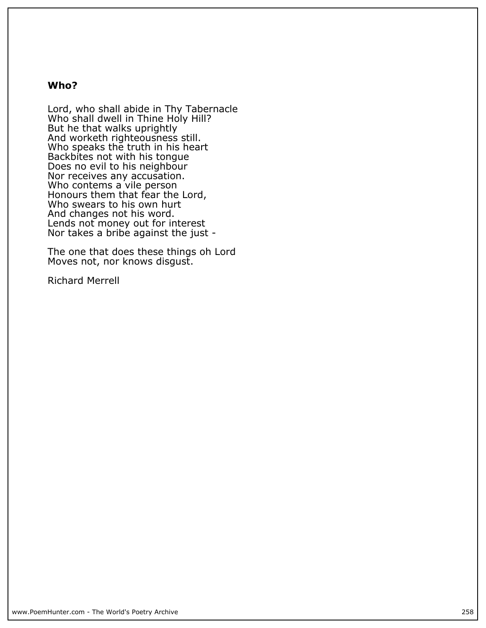#### **Who?**

**Lord, who shall abide in Thy Tabernacle Who shall dwell in Thine Holy Hill? But he that walks uprightly And worketh righteousness still. Who speaks the truth in his heart Backbites not with his tongue Does no evil to his neighbour Nor receives any accusation. Who contems a vile person Honours them that fear the Lord, Who swears to his own hurt And changes not his word. Lends not money out for interest Nor takes a bribe against the just -**

**The one that does these things oh Lord Moves not, nor knows disgust.**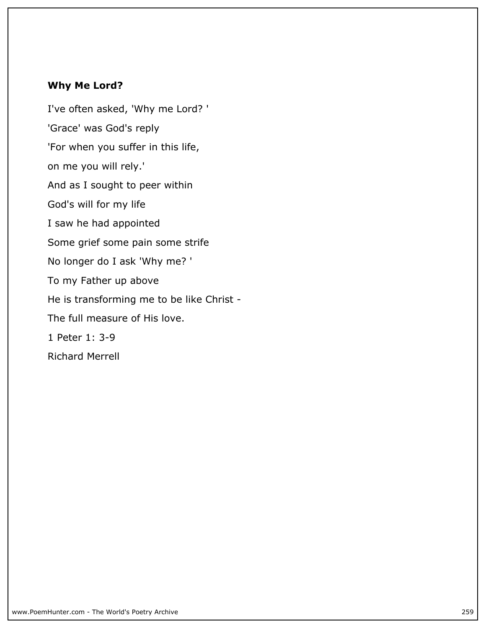# **Why Me Lord?**

**I've often asked, 'Why me Lord? ' 'Grace' was God's reply 'For when you suffer in this life, on me you will rely.' And as I sought to peer within God's will for my life I saw he had appointed Some grief some pain some strife No longer do I ask 'Why me? ' To my Father up above He is transforming me to be like Christ - The full measure of His love. 1 Peter 1: 3-9 Richard Merrell**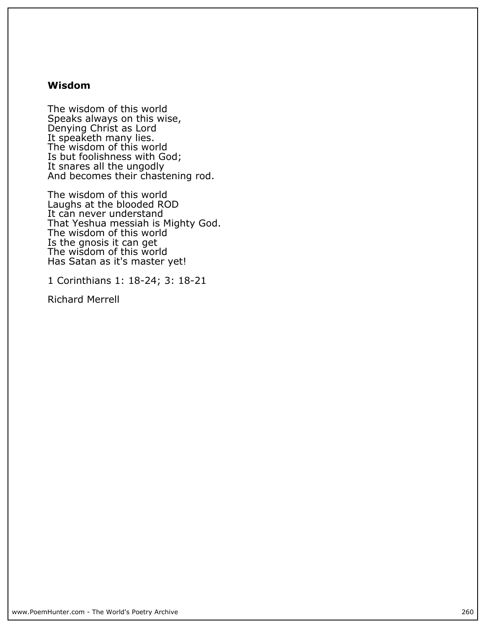### **Wisdom**

**The wisdom of this world Speaks always on this wise, Denying Christ as Lord It speaketh many lies. The wisdom of this world Is but foolishness with God; It snares all the ungodly And becomes their chastening rod.**

**The wisdom of this world Laughs at the blooded ROD It can never understand That Yeshua messiah is Mighty God. The wisdom of this world Is the gnosis it can get The wisdom of this world Has Satan as it's master yet!**

**1 Corinthians 1: 18-24; 3: 18-21**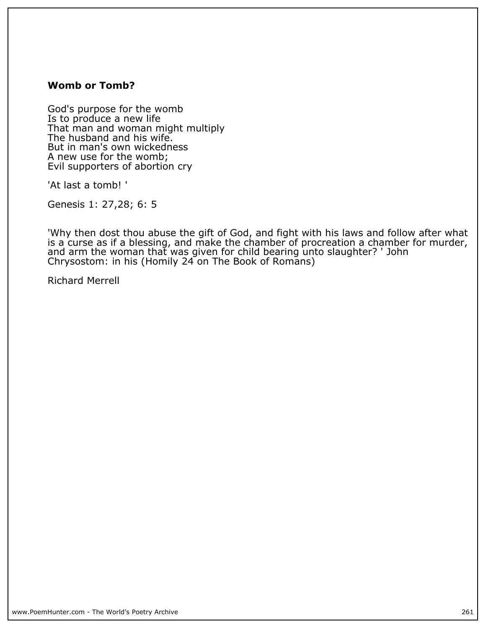## **Womb or Tomb?**

**God's purpose for the womb Is to produce a new life That man and woman might multiply The husband and his wife. But in man's own wickedness A new use for the womb; Evil supporters of abortion cry**

**'At last a tomb! '**

**Genesis 1: 27,28; 6: 5**

**'Why then dost thou abuse the gift of God, and fight with his laws and follow after what is a curse as if a blessing, and make the chamber of procreation a chamber for murder, and arm the woman that was given for child bearing unto slaughter? ' John Chrysostom: in his (Homily 24 on The Book of Romans)**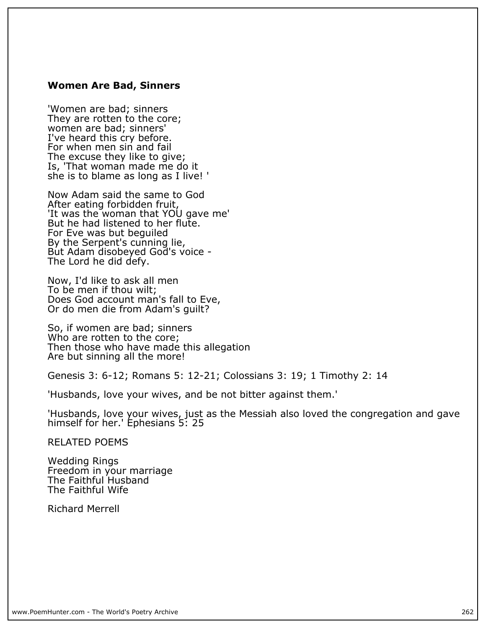#### **Women Are Bad, Sinners**

**'Women are bad; sinners** They are rotten to the core; **women are bad; sinners' I've heard this cry before. For when men sin and fail The excuse they like to give; Is, 'That woman made me do it she is to blame as long as I live! '**

**Now Adam said the same to God After eating forbidden fruit, 'It was the woman that YOU gave me' But he had listened to her flute. For Eve was but beguiled By the Serpent's cunning lie, But Adam disobeyed God's voice - The Lord he did defy.**

**Now, I'd like to ask all men To be men if thou wilt; Does God account man's fall to Eve, Or do men die from Adam's guilt?**

**So, if women are bad; sinners Who are rotten to the core; Then those who have made this allegation Are but sinning all the more!**

**Genesis 3: 6-12; Romans 5: 12-21; Colossians 3: 19; 1 Timothy 2: 14**

**'Husbands, love your wives, and be not bitter against them.'**

**'Husbands, love your wives, just as the Messiah also loved the congregation and gave himself for her.' Ephesians 5: 25**

**RELATED POEMS**

**Wedding Rings Freedom in your marriage The Faithful Husband The Faithful Wife**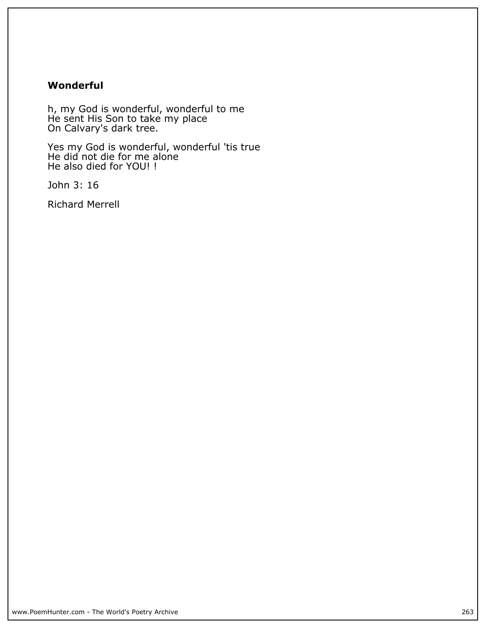## **Wonderful**

**h, my God is wonderful, wonderful to me He sent His Son to take my place On Calvary's dark tree.**

**Yes my God is wonderful, wonderful 'tis true He did not die for me alone He also died for YOU! !**

**John 3: 16**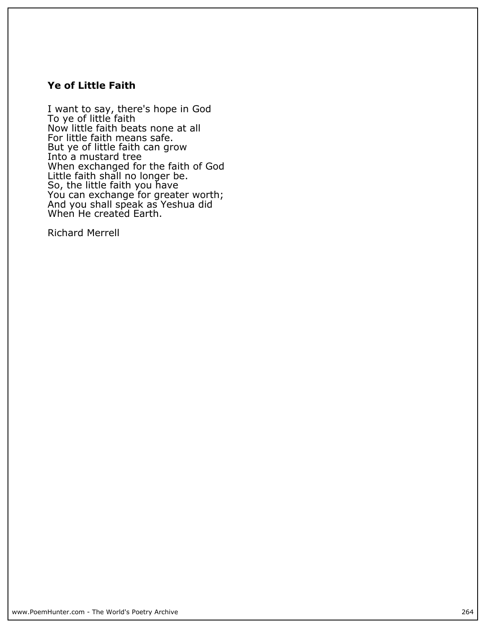## **Ye of Little Faith**

**I want to say, there's hope in God To ye of little faith Now little faith beats none at all For little faith means safe. But ye of little faith can grow Into a mustard tree When exchanged for the faith of God Little faith shall no longer be. So, the little faith you have You can exchange for greater worth; And you shall speak as Yeshua did When He created Earth.**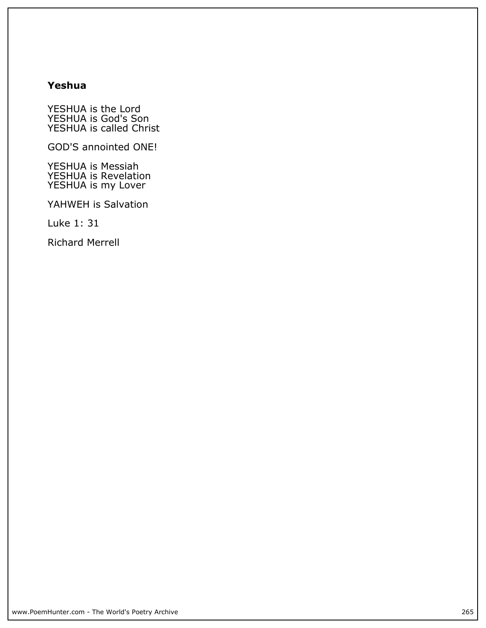# **Yeshua**

**YESHUA is the Lord YESHUA is God's Son YESHUA is called Christ**

**GOD'S annointed ONE!**

**YESHUA is Messiah YESHUA is Revelation YESHUA is my Lover**

**YAHWEH is Salvation**

**Luke 1: 31**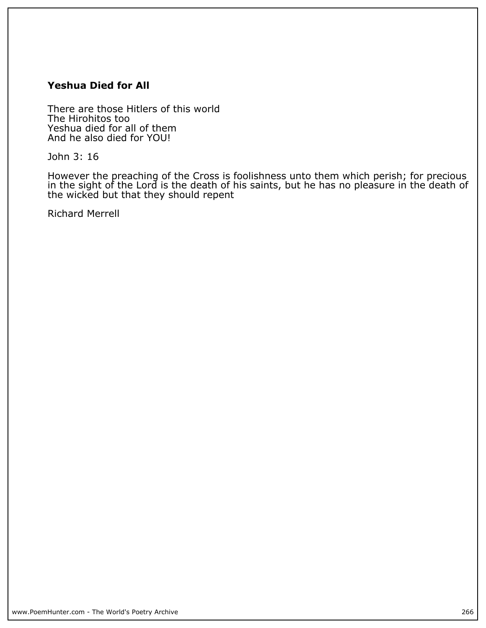## **Yeshua Died for All**

**There are those Hitlers of this world The Hirohitos too Yeshua died for all of them And he also died for YOU!**

**John 3: 16**

**However the preaching of the Cross is foolishness unto them which perish; for precious in the sight of the Lord is the death of his saints, but he has no pleasure in the death of the wicked but that they should repent**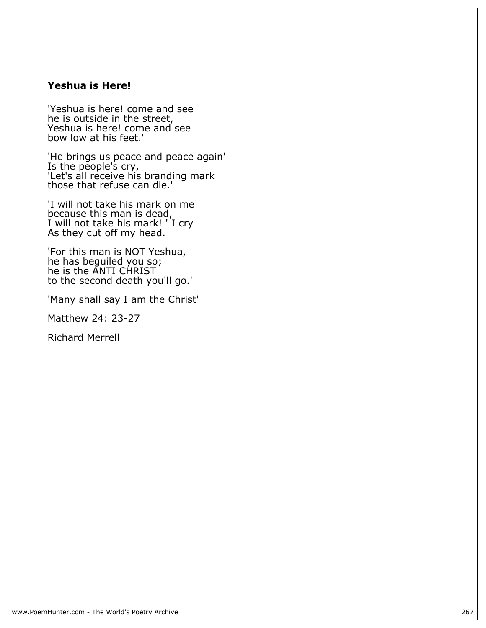### **Yeshua is Here!**

**'Yeshua is here! come and see he is outside in the street, Yeshua is here! come and see bow low at his feet.'**

**'He brings us peace and peace again' Is the people's cry, 'Let's all receive his branding mark those that refuse can die.'**

**'I will not take his mark on me because this man is dead, I will not take his mark! ' I cry As they cut off my head.**

**'For this man is NOT Yeshua, he has beguiled you so; he is the ANTI CHRIST to the second death you'll go.'**

**'Many shall say I am the Christ'**

**Matthew 24: 23-27**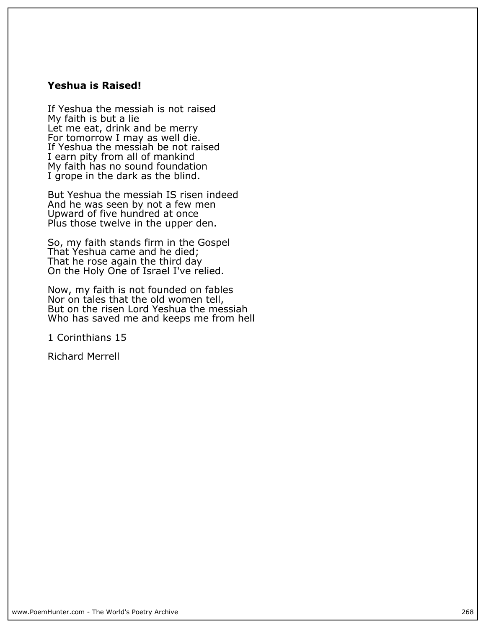### **Yeshua is Raised!**

**If Yeshua the messiah is not raised My faith is but a lie Let me eat, drink and be merry** For tomorrow I may as well die. **If Yeshua the messiah be not raised I earn pity from all of mankind My faith has no sound foundation I grope in the dark as the blind.**

**But Yeshua the messiah IS risen indeed And he was seen by not a few men Upward of five hundred at once Plus those twelve in the upper den.**

**So, my faith stands firm in the Gospel That Yeshua came and he died; That he rose again the third day On the Holy One of Israel I've relied.**

**Now, my faith is not founded on fables Nor on tales that the old women tell, But on the risen Lord Yeshua the messiah Who has saved me and keeps me from hell**

**1 Corinthians 15**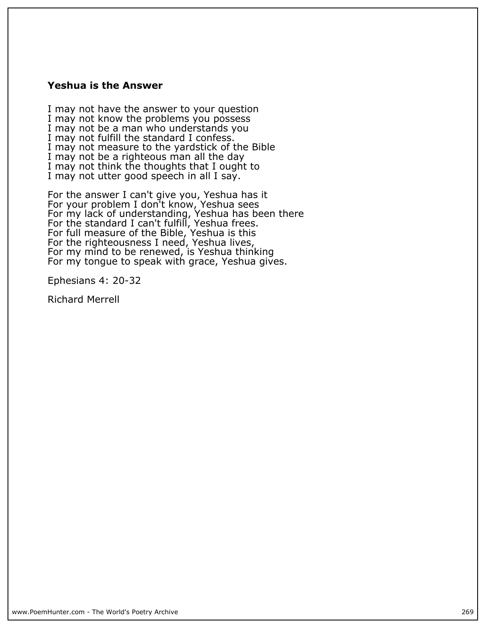#### **Yeshua is the Answer**

**I may not have the answer to your question I may not know the problems you possess I may not be a man who understands you I may not fulfill the standard I confess. I may not measure to the yardstick of the Bible I may not be a righteous man all the day I may not think the thoughts that I ought to I may not utter good speech in all I say.**

**For the answer I can't give you, Yeshua has it For your problem I don't know, Yeshua sees For my lack of understanding, Yeshua has been there For the standard I can't fulfill, Yeshua frees. For full measure of the Bible, Yeshua is this For the righteousness I need, Yeshua lives, For my mind to be renewed, is Yeshua thinking For my tongue to speak with grace, Yeshua gives.**

**Ephesians 4: 20-32**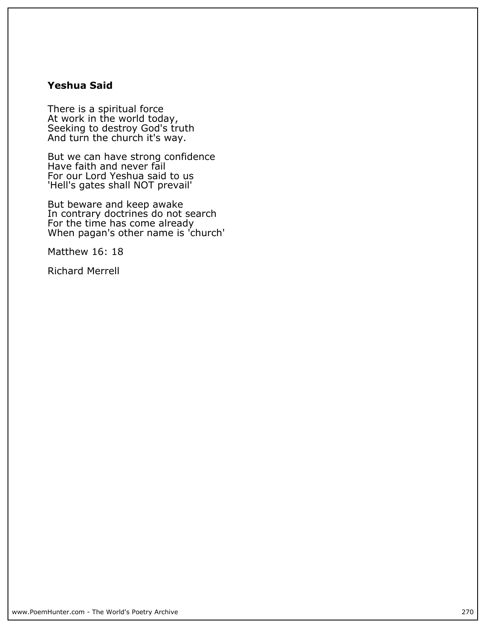## **Yeshua Said**

**There is a spiritual force At work in the world today, Seeking to destroy God's truth And turn the church it's way.**

**But we can have strong confidence Have faith and never fail For our Lord Yeshua said to us 'Hell's gates shall NOT prevail'**

**But beware and keep awake In contrary doctrines do not search For the time has come already When pagan's other name is 'church'**

**Matthew 16: 18**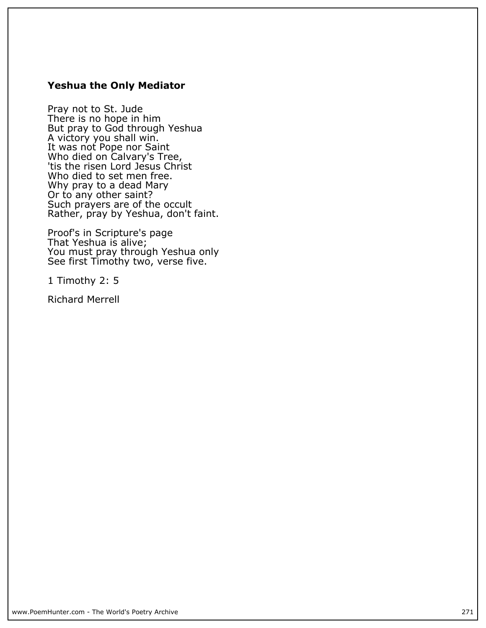### **Yeshua the Only Mediator**

**Pray not to St. Jude There is no hope in him But pray to God through Yeshua A victory you shall win. It was not Pope nor Saint Who died on Calvary's Tree,** 'tis the risen Lord Jesus Christ **Who died to set men free. Why pray to a dead Mary Or to any other saint? Such prayers are of the occult Rather, pray by Yeshua, don't faint.**

**Proof's in Scripture's page That Yeshua is alive; You must pray through Yeshua only See first Timothy two, verse five.**

**1 Timothy 2: 5**